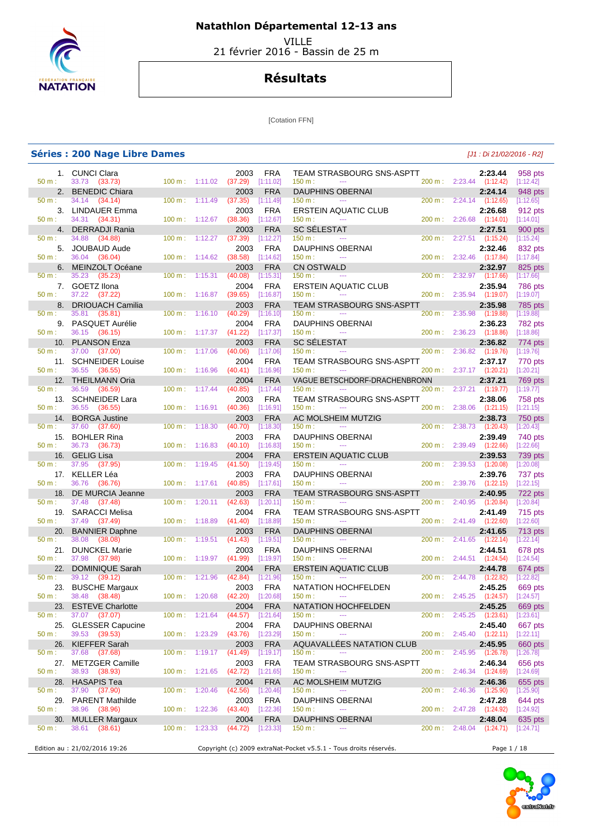

 VILLE 21 février 2016 - Bassin de 25 m

## **Résultats**

[Cotation FFN]

|              | <b>Séries : 200 Nage Libre Dames</b>       |                          |         |                             |                         |                                                                   |                   |                | [J1 : Di 21/02/2016 - R2]           |                             |
|--------------|--------------------------------------------|--------------------------|---------|-----------------------------|-------------------------|-------------------------------------------------------------------|-------------------|----------------|-------------------------------------|-----------------------------|
|              | 1. CUNCI Clara                             |                          |         | 2003                        | FRA                     | <b>TEAM STRASBOURG SNS-ASPTT</b>                                  |                   |                | 2:23.44                             | 958 pts                     |
| 50 m:        | 33.73 (33.73)                              | $100 \text{ m}: 1:11.02$ |         | (37.29)                     | [1:11.02]               | 150 m:<br>$\cdots$                                                |                   |                | 200 m: 2:23.44 (1:12.42)            | [1:12.42]                   |
| 2.<br>50 m:  | <b>BENEDIC Chiara</b><br>34.14 (34.14)     | 100 m:                   | 1:11.49 | 2003<br>(37.35)             | <b>FRA</b><br>[1:11.49] | <b>DAUPHINS OBERNAI</b><br>150 m:<br>$\scriptstyle\cdots$         | 200 m:            |                | 2:24.14<br>2:24.14 (1:12.65)        | 948 pts<br>[1:12.65]        |
| 3.           | <b>LINDAUER Emma</b>                       |                          |         | 2003                        | <b>FRA</b>              | <b>ERSTEIN AQUATIC CLUB</b>                                       |                   |                | 2:26.68                             | 912 pts                     |
| $50 m$ :     | 34.31 (34.31)                              | 100 m:                   | 1:12.67 | (38.36)                     | [1:12.67]               | 150 m:<br>$\sim$ $\sim$                                           | 200 m:            | 2:26.68        | (1:14.01)                           | [1:14.01]                   |
| 4.           | <b>DERRADJI Rania</b>                      |                          |         | 2003                        | <b>FRA</b>              | <b>SC SELESTAT</b>                                                |                   |                | 2:27.51                             | 900 pts                     |
| 50 m:<br>5.  | 34.88<br>(34.88)                           | 100 m:                   | 1:12.27 | (37.39)                     | [1:12.27]               | 150 m:<br>---<br><b>DAUPHINS OBERNAI</b>                          | 200 m:            |                | $2:27.51$ (1:15.24)                 | [1:15.24]                   |
| $50 m$ :     | <b>JOUBAUD Aude</b><br>36.04<br>(36.04)    | 100 m:                   | 1:14.62 | 2003<br>(38.58)             | <b>FRA</b><br>[1:14.62] | 150 m:<br>$\sim$                                                  | 200 m:            | 2:32.46        | 2:32.46<br>(1:17.84)                | 832 pts<br>[1:17.84]        |
| 6.           | <b>MEINZOLT Océane</b>                     |                          |         | 2003                        | <b>FRA</b>              | <b>CN OSTWALD</b>                                                 |                   |                | 2:32.97                             | 825 pts                     |
| 50 m:        | 35.23<br>(35.23)                           | 100 m:                   | 1:15.31 | (40.08)                     | [1:15.31]               | 150 m:<br>$\sim$                                                  | 200 m:            |                | 2:32.97 (1:17.66)                   | [1:17.66]                   |
| 50 m:        | 7. GOETZ Ilona<br>37.22 (37.22)            | 100 m:                   | 1:16.87 | 2004<br>(39.65)             | <b>FRA</b><br>[1:16.87] | <b>ERSTEIN AQUATIC CLUB</b><br>150 m:                             | 200 m:            |                | 2:35.94<br>2:35.94 (1:19.07)        | <b>786 pts</b><br>[1:19.07] |
| 8.           | <b>DRIOUACH Camilia</b>                    |                          |         | 2003                        | <b>FRA</b>              | <b>TEAM STRASBOURG SNS-ASPTT</b>                                  |                   |                | 2:35.98                             | 785 pts                     |
| 50 m:        | 35.81<br>(35.81)                           | 100 m:                   | 1:16.10 | (40.29)                     | [1:16.10]               | 150 m:<br>$\cdots$                                                | 200 m:            | 2:35.98        | (1:19.88)                           | [1:19.88]                   |
| 9.           | PASQUET Aurélie                            |                          |         | 2004                        | <b>FRA</b>              | <b>DAUPHINS OBERNAI</b>                                           |                   |                | 2:36.23                             | 782 pts                     |
| 50 m:        | 36.15<br>(36.15)                           | 100 m:                   | 1:17.37 | (41.22)                     | [1:17.37]               | 150 m:<br>$\sim$ $\sim$                                           | 200 m:            | 2:36.23        | (1:18.86)                           | [1:18.86]                   |
| 10.<br>50 m: | <b>PLANSON Enza</b><br>37.00<br>(37.00)    | 100 m:                   | 1:17.06 | 2003<br>(40.06)             | <b>FRA</b><br>[1:17.06] | <b>SC SÉLESTAT</b><br>150 m:<br>$\cdots$                          | 200 m:            | 2:36.82        | 2:36.82<br>(1:19.76)                | 774 pts<br>[1:19.76]        |
| 11.          | <b>SCHNEIDER Louise</b>                    |                          |         | 2004                        | <b>FRA</b>              | <b>TEAM STRASBOURG SNS-ASPTT</b>                                  |                   |                | 2:37.17                             | 770 pts                     |
| 50 m:        | 36.55<br>(36.55)                           | 100 m:                   | 1:16.96 | (40.41)                     | [1:16.96]               | 150 m:<br>---                                                     | 200 m:            |                | $2:37.17$ $(1:20.21)$               | [1:20.21]                   |
| 12.          | <b>THEILMANN Oria</b>                      |                          |         | 2004                        | <b>FRA</b>              | VAGUE BETSCHDORF-DRACHENBRONN                                     |                   |                | 2:37.21                             | 769 pts                     |
| 50 m:        | 36.59<br>(36.59)                           | 100 m:                   | 1:17.44 | (40.85)                     | [1:17.44]               | 150 m:<br>$- - -$                                                 | $200 \text{ m}$ : | 2:37.21        | (1:19.77)                           | [1:19.77]                   |
| 13.<br>50 m: | <b>SCHNEIDER Lara</b><br>36.55<br>(36.55)  | 100 m:                   | 1:16.91 | 2003<br>(40.36)             | FRA<br>[1:16.91]        | TEAM STRASBOURG SNS-ASPTT<br>150 m:<br>---                        | 200 m:            | 2:38.06        | 2:38.06<br>(1:21.15)                | 758 pts<br>[1:21.15]        |
| 14.          | <b>BORGA Justine</b>                       |                          |         | 2003                        | <b>FRA</b>              | AC MOLSHEIM MUTZIG                                                |                   |                | 2:38.73                             | 750 pts                     |
| 50 m:        | 37.60<br>(37.60)                           | 100 m:                   | 1:18.30 | (40.70)                     | [1:18.30]               | 150 m:<br>---                                                     | 200 m:            |                | $2:38.73$ $(1:20.43)$               | [1:20.43]                   |
| 15.          | <b>BOHLER Rina</b>                         |                          |         | 2003                        | <b>FRA</b>              | <b>DAUPHINS OBERNAI</b>                                           |                   |                | 2:39.49                             | 740 pts                     |
| 50 m:<br>16. | 36.73<br>(36.73)<br><b>GELIG Lisa</b>      | 100 m:                   | 1:16.83 | (40.10)<br>2004             | [1:16.83]<br><b>FRA</b> | 150 m:<br>$\sim$<br><b>ERSTEIN AQUATIC CLUB</b>                   | 200 m:            | 2:39.49        | (1:22.66)<br>2:39.53                | [1:22.66]<br>739 pts        |
| 50 m:        | 37.95<br>(37.95)                           | 100 m:                   | 1:19.45 | (41.50)                     | [1:19.45]               | 150 m:<br>---                                                     | 200 m:            | 2:39.53        | (1:20.08)                           | [1:20.08]                   |
| 17.          | KELLER Léa                                 |                          |         | 2003                        | <b>FRA</b>              | <b>DAUPHINS OBERNAI</b>                                           |                   |                | 2:39.76                             | 737 pts                     |
| 50 m:        | 36.76<br>(36.76)                           | 100 m:                   | 1:17.61 | (40.85)                     | [1:17.61]               | 150 m:<br>$\overline{a}$                                          | 200 m:            |                | 2:39.76 (1:22.15)                   | [1:22.15]                   |
| 18.<br>50 m: | DE MURCIA Jeanne<br>37.48<br>(37.48)       | 100 m:                   | 1:20.11 | 2003<br>(42.63)             | <b>FRA</b><br>[1:20.11] | <b>TEAM STRASBOURG SNS-ASPTT</b><br>150 m:<br>$-$                 | 200 m:            | 2:40.95        | 2:40.95<br>(1:20.84)                | 722 pts<br>[1:20.84]        |
| 19.          | <b>SARACCI Melisa</b>                      |                          |         | 2004                        | FRA                     | TEAM STRASBOURG SNS-ASPTT                                         |                   |                | 2:41.49                             | 715 pts                     |
| 50 m:        | 37.49 (37.49)                              | 100 m:                   | 1:18.89 | (41.40)                     | [1:18.89]               | 150 m:<br>$\cdots$                                                |                   |                | 200 m : 2:41.49 (1:22.60)           | [1:22.60]                   |
| 20.          | <b>BANNIER Daphne</b>                      |                          |         | 2003                        | <b>FRA</b>              | <b>DAUPHINS OBERNAI</b>                                           |                   |                | 2:41.65                             | <b>713 pts</b>              |
| $50 m$ :     | 38.08<br>(38.08)                           | 100 m:                   | 1:19.51 | (41.43)                     | [1:19.51]               | 150 m:<br>---                                                     | 200 m:            | 2:41.65        | (1:22.14)                           | [1:22.14]                   |
| 21.<br>50 m: | <b>DUNCKEL Marie</b><br>37.98 (37.98)      | 100 m:                   | 1:19.97 | 2003<br>(41.99)             | <b>FRA</b><br>[1:19.97] | DAUPHINS OBERNAI<br>150 m:<br>$\overline{a}$                      | 200 m:            |                | 2:44.51<br>$2:44.51$ $(1:24.54)$    | 678 pts<br>[1:24.54]        |
| 22.          | <b>DOMINIQUE Sarah</b>                     |                          |         | 2004                        | FRA                     | <b>ERSTEIN AQUATIC CLUB</b>                                       |                   |                | 2:44.78                             | 674 pts                     |
| 50 m:        | 39.12<br>(39.12)                           | 100 m: 1:21.96           |         | (42.84)                     | [1:21.96]               | 150 m:<br>$\cdots$                                                | 200 m :           | 2:44.78        | (1:22.82)                           | [1:22.82]                   |
| 23.          | <b>BUSCHE Margaux</b>                      |                          |         | 2003<br>$(42.20)$ [1:20.68] | <b>FRA</b>              | NATATION HOCHFELDEN<br>$\sim$                                     |                   |                | 2:45.25                             | 669 pts                     |
| 50 m:<br>23. | 38.48 (38.48)<br><b>ESTEVE Charlotte</b>   | $100 \text{ m}: 1:20.68$ |         | 2004                        | <b>FRA</b>              | 150 m:<br>NATATION HOCHFELDEN                                     |                   |                | 200 m: 2:45.25 (1:24.57)<br>2:45.25 | [1:24.57]<br>669 pts        |
| 50 m:        | 37.07 (37.07)                              | $100 \text{ m}: 1:21.64$ |         | (44.57)                     | [1:21.64]               | 150 m:                                                            | 200 m:            |                | 2:45.25 (1:23.61)                   | [1:23.61]                   |
| 25.          | <b>GLESSER Capucine</b>                    |                          |         | 2004                        | FRA                     | DAUPHINS OBERNAI                                                  |                   |                | 2:45.40                             | 667 pts                     |
| $50 m$ :     | 39.53 (39.53)                              | 100 m: 1:23.29           |         | (43.76)                     | [1:23.29]               | 150 m:<br>---                                                     |                   |                | 200 m : 2:45.40 (1:22.11)           | [1:22.11]                   |
| 26.<br>50 m: | <b>KIEFFER Sarah</b><br>37.68 (37.68)      | 100 m:                   | 1:19.17 | 2003<br>(41.49)             | <b>FRA</b><br>[1:19.17] | AQUAVALLÉES NATATION CLUB<br>150 m:<br>$- - -$                    | 200 m:            |                | 2:45.95<br>2:45.95 (1:26.78)        | 660 pts<br>[1:26.78]        |
| 27.          | <b>METZGER Camille</b>                     |                          |         | 2003                        | FRA                     | <b>TEAM STRASBOURG SNS-ASPTT</b>                                  |                   |                | 2:46.34                             | 656 pts                     |
| 50 m:        | 38.93 (38.93)                              | $100 \text{ m}: 1:21.65$ |         | $(42.72)$ [1:21.65]         |                         | 150 m:<br>$\overline{a}$                                          |                   |                | 200 m : 2:46.34 (1:24.69)           | [1:24.69]                   |
| 28.          | <b>HASAPIS Tea</b>                         |                          |         | 2004                        | <b>FRA</b>              | AC MOLSHEIM MUTZIG                                                |                   |                | 2:46.36                             | 655 pts                     |
| $50 m$ :     | 37.90 (37.90)                              | $100 m$ : 1:20.46        |         | (42.56)                     | [1:20.46]               | 150 m:<br>$\cdots$                                                |                   | 200 m: 2:46.36 | (1:25.90)                           | [1:25.90]                   |
| 29.<br>50 m: | <b>PARENT Mathilde</b><br>38.96<br>(38.96) | 100 m: 1:22.36           |         | 2003<br>(43.40)             | <b>FRA</b><br>[1:22.36] | <b>DAUPHINS OBERNAI</b><br>150 m:<br>$\cdots$                     |                   | 200 m: 2:47.28 | 2:47.28<br>(1:24.92)                | 644 pts<br>[1:24.92]        |
| 30.          | <b>MULLER Margaux</b>                      |                          |         | 2004                        | <b>FRA</b>              | <b>DAUPHINS OBERNAI</b>                                           |                   |                | 2:48.04                             | 635 pts                     |
| $50 m$ :     | 38.61<br>(38.61)                           | 100 m:                   | 1:23.33 | $(44.72)$ [1:23.33]         |                         | 150 m:                                                            | 200 m:            |                | 2:48.04 (1:24.71)                   | [1:24.71]                   |
|              |                                            |                          |         |                             |                         |                                                                   |                   |                |                                     |                             |
|              | Edition au : 21/02/2016 19:26              |                          |         |                             |                         | Copyright (c) 2009 extraNat-Pocket v5.5.1 - Tous droits réservés. |                   |                | Page 1 / 18                         |                             |

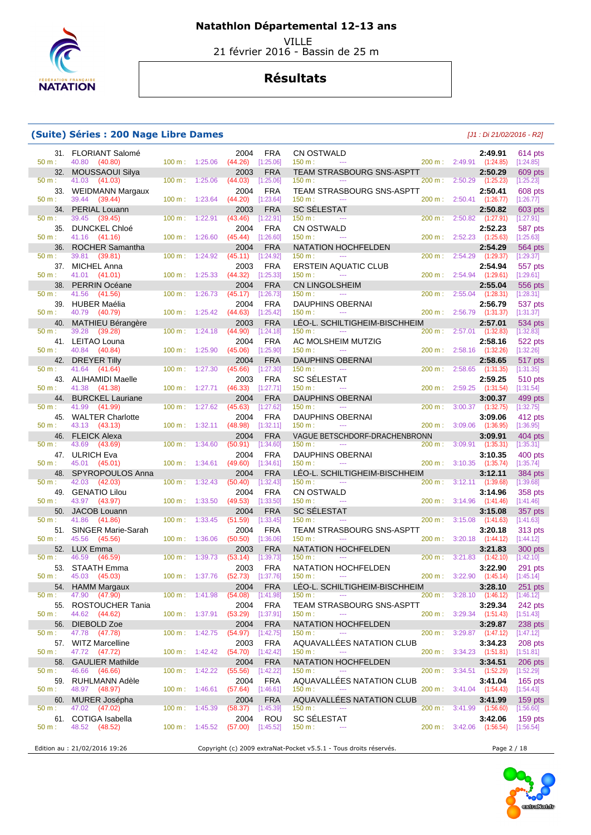

VILLE

21 février 2016 - Bassin de 25 m

## **Résultats**

#### **(Suite) Séries : 200 Nage Libre Dames** [J1 : Di 21/02/2016 - R2]

| 50 m:           | 31. FLORIANT Salomé<br>40.80                  | 100 m: 1:25.06           |                          | 2004<br>(44.26)             | <b>FRA</b><br>[1:25.06]   | CN OSTWALD<br>150 m:<br>$\scriptstyle\cdots$                           |                   |         | 2:49.91<br>200 m: 2:49.91 (1:24.85)  | 614 pts<br>[1:24.85]        |
|-----------------|-----------------------------------------------|--------------------------|--------------------------|-----------------------------|---------------------------|------------------------------------------------------------------------|-------------------|---------|--------------------------------------|-----------------------------|
| 32.             | (40.80)<br><b>MOUSSAOUI Silya</b>             |                          |                          | 2003                        | <b>FRA</b>                | <b>TEAM STRASBOURG SNS-ASPTT</b>                                       |                   |         | 2:50.29                              | 609 pts                     |
| $50 m$ :        | 41.03<br>(41.03)                              | 100 m:                   | 1:25.06                  | (44.03)                     | [1:25.06]                 | 150 m:                                                                 | 200 m:            | 2:50.29 | (1:25.23)                            | [1:25.23]                   |
| 33.<br>50 m:    | <b>WEIDMANN Margaux</b><br>39.44<br>(39.44)   | 100 m:                   | 1:23.64                  | 2004<br>(44.20)             | <b>FRA</b><br>[1:23.64]   | TEAM STRASBOURG SNS-ASPTT<br>150 m:<br>$\scriptstyle\cdots$            |                   |         | 2:50.41<br>200 m: 2:50.41 (1:26.77)  | 608 pts<br>[1:26.77]        |
| 34.             | <b>PERIAL Louann</b>                          |                          |                          | 2003                        | <b>FRA</b>                | <b>SC SÉLESTAT</b>                                                     |                   |         | 2:50.82                              | 603 pts                     |
| 50 m:<br>35.    | 39.45<br>(39.45)<br><b>DUNCKEL Chloé</b>      | 100 m:                   | 1:22.91                  | (43.46)<br>2004             | [1:22.91]<br><b>FRA</b>   | 150 m:<br><b>CN OSTWALD</b>                                            | 200 m:            | 2:50.82 | (1:27.91)<br>2:52.23                 | [1:27.91]<br>587 pts        |
| 50 m:           | 41.16 (41.16)                                 | 100 m:                   | 1:26.60                  | (45.44)                     | [1:26.60]                 | 150 m:<br>$\sim$                                                       | 200 m:            | 2:52.23 | (1:25.63)                            | [1:25.63]                   |
| 36.<br>50 m:    | <b>ROCHER Samantha</b><br>39.81<br>(39.81)    | 100 m:                   | 1:24.92                  | 2004<br>(45.11)             | <b>FRA</b><br>[1:24.92]   | NATATION HOCHFELDEN<br>150 m:<br>$\sim$ $\sim$ $\sim$                  | 200 m:            | 2:54.29 | 2:54.29<br>(1:29.37)                 | 564 pts<br>[1:29.37]        |
| 37.             | <b>MICHEL Anna</b>                            |                          |                          | 2003                        | <b>FRA</b>                | ERSTEIN AQUATIC CLUB                                                   |                   |         | 2:54.94                              | 557 pts                     |
| 50 m:           | 41.01<br>(41.01)                              | 100 m:                   | 1:25.33                  | (44.32)                     | [1:25.33]                 | 150 m:<br>$\scriptstyle\cdots$                                         | 200 m:            | 2:54.94 | (1:29.61)                            | [1:29.61]                   |
| 38.<br>50 m:    | <b>PERRIN Océane</b><br>41.56<br>(41.56)      | 100 m:                   | 1:26.73                  | 2004<br>(45.17)             | <b>FRA</b><br>[1:26.73]   | <b>CN LINGOLSHEIM</b><br>150 m:<br>$\sim$                              | 200 m:            | 2:55.04 | 2:55.04<br>(1:28.31)                 | 556 pts<br>[1:28.31]        |
| 39.             | HUBER Maélia                                  |                          |                          | 2004                        | <b>FRA</b>                | <b>DAUPHINS OBERNAI</b>                                                |                   |         | 2:56.79                              | 537 pts                     |
| 50 m:<br>40.    | 40.79 (40.79)<br>MATHIEU Bérangère            | 100 m:                   | 1:25.42                  | (44.63)<br>2003             | [1:25.42]<br><b>FRA</b>   | 150 m:<br>$\cdots$<br>LÉO-L. SCHILTIGHEIM-BISCHHEIM                    | 200 m:            | 2:56.79 | (1:31.37)<br>2:57.01                 | [1:31.37]<br>534 pts        |
| 50 m:           | 39.28<br>(39.28)                              | 100 m:                   | 1:24.18                  | (44.90)                     | [1:24.18]                 | 150 m:                                                                 | 200 m:            |         | 2:57.01 (1:32.83)                    | [1:32.83]                   |
| $50 m$ :        | 41. LEITAO Louna<br>40.84<br>(40.84)          | 100 m:                   | 1:25.90                  | 2004<br>(45.06)             | <b>FRA</b><br>[1:25.90]   | AC MOLSHEIM MUTZIG<br>150 m:<br>$\scriptstyle\cdots$                   | 200 m:            | 2:58.16 | 2:58.16<br>(1:32.26)                 | 522 pts<br>[1:32.26]        |
| 42.             | DREYER Tilly                                  |                          |                          | 2004                        | <b>FRA</b>                | <b>DAUPHINS OBERNAI</b>                                                |                   |         | 2:58.65                              | 517 pts                     |
| 50 m:           | 41.64<br>(41.64)                              | 100 m:                   | 1:27.30                  | (45.66)                     | [1:27.30]                 | 150 m:<br>$\cdots$                                                     | 200 m:            | 2:58.65 | (1:31.35)                            | [1:31.35]                   |
| 43.<br>$50 m$ : | ALIHAMIDI Maelle<br>41.38<br>(41.38)          | 100 m:                   | 1:27.71                  | 2003<br>(46.33)             | <b>FRA</b><br>[1:27.71]   | <b>SC SÉLESTAT</b><br>150 m:<br>$\scriptstyle\cdots$                   | 200 m:            | 2:59.25 | 2:59.25<br>(1:31.54)                 | 510 pts<br>[1:31.54]        |
| 44.             | <b>BURCKEL Lauriane</b>                       |                          |                          | 2004                        | <b>FRA</b>                | <b>DAUPHINS OBERNAI</b>                                                |                   |         | 3:00.37                              | 499 pts                     |
| 50 m:<br>45.    | 41.99<br>(41.99)<br><b>WALTER Charlotte</b>   | 100 m:                   | 1:27.62                  | (45.63)<br>2004             | [1:27.62]<br><b>FRA</b>   | 150 m:<br>$- - -$<br><b>DAUPHINS OBERNAI</b>                           | 200 m:            | 3:00.37 | (1:32.75)<br>3:09.06                 | [1:32.75]<br>412 pts        |
| 50 m:           | 43.13 (43.13)                                 | 100 m:                   | 1:32.11                  | (48.98)                     | [1:32.11]                 | 150 m:<br>$- - -$                                                      | 200 m:            | 3:09.06 | (1:36.95)                            | [1:36.95]                   |
| 46.<br>50 m:    | <b>FLEICK Alexa</b><br>43.69<br>(43.69)       | 100 m:                   | 1:34.60                  | 2004<br>(50.91)             | <b>FRA</b><br>[1:34.60]   | VAGUE BETSCHDORF-DRACHENBRONN<br>150 m:                                | 200 m:            | 3:09.91 | 3:09.91<br>(1:35.31)                 | 404 pts<br>[1:35.31]        |
| 47.             | <b>ULRICH Eva</b>                             |                          |                          | 2004                        | <b>FRA</b>                | <b>DAUPHINS OBERNAI</b>                                                |                   |         | 3:10.35                              | 400 pts                     |
| 50 m:           | 45.01 (45.01)                                 | 100 m:                   | 1:34.61                  | (49.60)                     | [1:34.61]                 | 150 m:<br>$\scriptstyle\cdots$                                         | 200 m:            | 3:10.35 | (1:35.74)                            | [1:35.74]                   |
| 48.<br>50 m:    | SPYROPOULOS Anna<br>42.03<br>(42.03)          | 100 m:                   | 1:32.43                  | 2004<br>(50.40)             | <b>FRA</b><br>[1:32.43]   | LÉO-L. SCHILTIGHEIM-BISCHHEIM<br>150 m:<br>$\rightarrow$ $\rightarrow$ | 200 m:            |         | 3:12.11<br>$3:12.11$ $(1:39.68)$     | <b>384 pts</b><br>[1:39.68] |
| 49.             | <b>GENATIO Lilou</b>                          |                          |                          | 2004                        | <b>FRA</b>                | <b>CN OSTWALD</b>                                                      |                   |         | 3:14.96                              | 358 pts                     |
| 50 m:<br>50.    | 43.97<br>(43.97)<br><b>JACOB Louann</b>       | 100 m:                   | 1:33.50                  | (49.53)<br>2004             | [1:33.50]<br><b>FRA</b>   | 150 m:<br>$\scriptstyle\cdots$<br><b>SC SELESTAT</b>                   | 200 m:            | 3:14.96 | (1:41.46)<br>3:15.08                 | [1:41.46]<br>357 pts        |
| 50 m:           | 41.86<br>(41.86)                              | 100 m:                   | 1:33.45                  | (51.59)                     | [1:33.45]                 | 150 m:<br>$\sim$ $\sim$ $\sim$                                         | 200 m:            | 3:15.08 | (1:41.63)                            | [1:41.63]                   |
| 51.<br>50 m:    | <b>SINGER Marie-Sarah</b><br>45.56<br>(45.56) | 100 m:                   | 1:36.06                  | 2004<br>(50.50)             | <b>FRA</b><br>[1:36.06]   | TEAM STRASBOURG SNS-ASPTT<br>150 m:<br>$\sim$ $\sim$                   | 200 m:            | 3:20.18 | 3:20.18<br>(1:44.12)                 | 313 pts<br>[1:44.12]        |
|                 | 52. LUX Emma                                  |                          |                          | 2003                        | <b>FRA</b>                | <b>NATATION HOCHFELDEN</b>                                             |                   |         | 3:21.83                              | 300 pts                     |
| 50 m:<br>53.    | 46.59<br>(46.59)<br><b>STAATH Emma</b>        | 100 m:                   | 1:39.73                  | (53.14)<br>2003             | [1:39.73]<br><b>FRA</b>   | 150 m:<br><b>NATATION HOCHFELDEN</b>                                   | $200 \text{ m}$ : | 3:21.83 | (1:42.10)<br>3:22.90                 | [1:42.10]                   |
| 50 m:           | 45.03<br>(45.03)                              | 100 m:                   | 1:37.76                  | (52.73)                     | [1:37.76]                 | 150 m:<br>$\scriptstyle\cdots$                                         | 200 m:            | 3:22.90 | (1:45.14)                            | 291 pts<br>[1:45.14]        |
| 54.             | <b>HAMM Margaux</b>                           |                          |                          | 2004                        | <b>FRA</b>                | LÉO-L. SCHILTIGHEIM-BISCHHEIM                                          |                   |         | 3:28.10                              | 251 pts                     |
| $50 m$ :        | 47.90 (47.90)<br>55. ROSTOUCHER Tania         | 100 m: 1:41.98           |                          | $(54.08)$ [1:41.98]<br>2004 | <b>FRA</b>                | 150 m:<br>$\cdots$<br>TEAM STRASBOURG SNS-ASPTT                        |                   |         | 200 m : 3:28.10 (1:46.12)<br>3:29.34 | [1:46.12]<br>242 pts        |
| 50 m:           | 44.62<br>(44.62)                              |                          | 100 m: 1:37.91           | (53.29)                     | [1:37.91]                 | 150 m:<br>$\cdots$                                                     |                   |         | 200 m: 3:29.34 (1:51.43)             | [1:51.43]                   |
| 56.<br>$50 m$ : | DIEBOLD Zoe<br>47.78 (47.78)                  |                          | 100 m: 1:42.75           | 2004<br>$(54.97)$ [1:42.75] | <b>FRA</b>                | NATATION HOCHFELDEN<br>150 m:                                          |                   |         | 3:29.87<br>200 m: 3:29.87 (1:47.12)  | $238$ pts<br>[1:47.12]      |
|                 | 57. WITZ Marcelline                           |                          |                          | 2003                        | <b>FRA</b>                | AQUAVALLÉES NATATION CLUB                                              |                   |         | 3:34.23                              | 208 pts                     |
| 50 m:<br>58.    | 47.72 (47.72)<br><b>GAULIER Mathilde</b>      |                          | $100 m$ : 1:42.42        | (54.70)<br>2004             | $[1:42.42]$<br><b>FRA</b> | 150 m:<br>$\cdots$<br>NATATION HOCHFELDEN                              |                   |         | 200 m: 3:34.23 (1:51.81)<br>3:34.51  | [1:51.81]<br>$206$ pts      |
| $50 m$ :        | 46.66 (46.66)                                 |                          | 100 m: 1:42.22           | (55.56)                     | $[1:42.22]$               | 150 m:                                                                 |                   |         | 200 m : 3:34.51 (1:52.29)            | [1:52.29]                   |
| 59.             | RUHLMANN Adèle                                |                          |                          | 2004                        | <b>FRA</b>                | AQUAVALLÉES NATATION CLUB                                              |                   |         | 3:41.04                              | $165$ pts                   |
| 50 m:<br>60.    | 48.97 (48.97)<br>MURER Josépha                |                          | 100 m: 1:46.61           | (57.64)<br>2004             | [1:46.61]<br><b>FRA</b>   | 150 m:<br>$\scriptstyle\cdots$<br>AQUAVALLÉES NATATION CLUB            |                   |         | 200 m: 3:41.04 (1:54.43)<br>3:41.99  | [1:54.43]<br>$159$ pts      |
| 50 m:           | 47.02 (47.02)                                 | $100 \text{ m}: 1:45.39$ |                          | (58.37)                     | [1:45.39]                 | 150 m:<br>$\scriptstyle\cdots$                                         |                   |         | 200 m: 3:41.99 (1:56.60)             | [1:56.60]                   |
| 61.<br>$50 m$ : | COTIGA Isabella<br>48.52 (48.52)              |                          | $100 \text{ m}: 1:45.52$ | 2004<br>$(57.00)$ [1:45.52] | ROU                       | <b>SC SÉLESTAT</b><br>150 m:                                           |                   |         | 3:42.06<br>200 m : 3:42.06 (1:56.54) | 159 pts<br>[1:56.54]        |
|                 |                                               |                          |                          |                             |                           |                                                                        |                   |         |                                      |                             |

Edition au : 21/02/2016 19:26 Copyright (c) 2009 extraNat-Pocket v5.5.1 - Tous droits réservés. Page 2 / 18

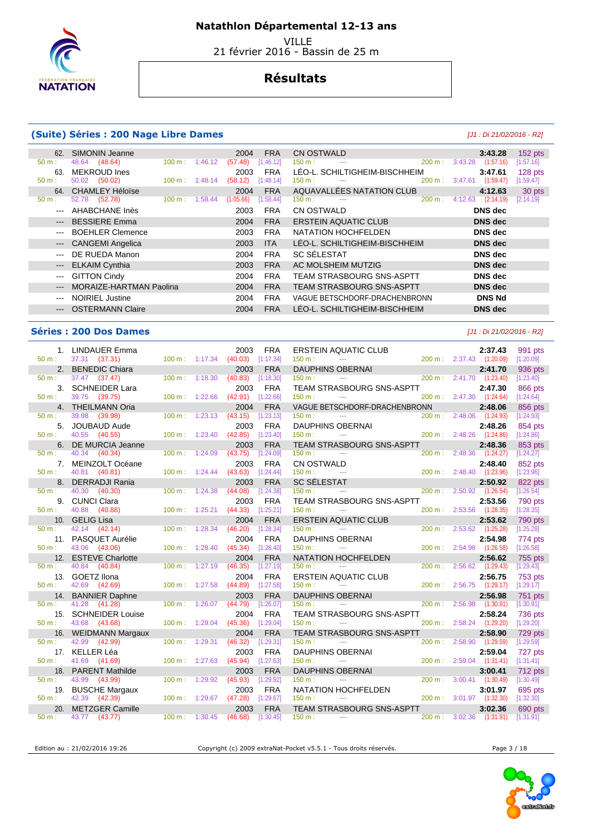

VILLE

21 février 2016 - Bassin de 25 m

## **Résultats**

#### **(Suite) Séries : 200 Nage Libre Dames** [J1 : Di 21/02/2016 - R2]

| 62.                                                     | SIMONIN Jeanne          |                   |         | 2004      | <b>FRA</b> | CN OSTWALD                                 | 3:43.28              | $152$ pts |
|---------------------------------------------------------|-------------------------|-------------------|---------|-----------|------------|--------------------------------------------|----------------------|-----------|
| $50 m$ :                                                | (48.64)<br>48.64        | 100 m :           | 1:46.12 | (57.48)   | [1:46.12]  | $150 m$ :<br>$200 \text{ m}$ :<br>$\cdots$ | 3:43.28<br>(1:57.16) | [1:57.16] |
| 63.                                                     | MEKROUD Ines            |                   |         | 2003      | <b>FRA</b> | LÉO-L. SCHILTIGHEIM-BISCHHEIM              | 3:47.61              | 128 pts   |
| $50 m$ :                                                | (50.02)<br>50.02        | $100 \text{ m}$ : | 1:48.14 | (58.12)   | [1:48.14]  | 200 m:<br>150 m:<br>$\cdots$               | 3:47.61<br>(1:59.47) | [1:59.47] |
| 64.                                                     | <b>CHAMLEY Héloïse</b>  |                   |         | 2004      | <b>FRA</b> | AQUAVALLÉES NATATION CLUB                  | 4:12.63              | 30 pts    |
| $50 m$ :                                                | (52.78)<br>52.78        | 100 m:            | 1:58.44 | (1:05.66) | [1:58.44]  | 200 m:<br>$150 m$ :<br>---                 | 4:12.63<br>(2:14.19) | [2:14.19] |
| $  -$                                                   | AHABCHANE Inès          |                   |         | 2003      | <b>FRA</b> | CN OSTWALD                                 | DNS dec              |           |
| $\qquad \qquad - -$                                     | <b>BESSIERE Emma</b>    |                   |         | 2004      | <b>FRA</b> | <b>ERSTEIN AQUATIC CLUB</b>                | <b>DNS</b> dec       |           |
| $\qquad \qquad \cdots$                                  | <b>BOEHLER Clemence</b> |                   |         | 2003      | <b>FRA</b> | NATATION HOCHFELDEN                        | DNS dec              |           |
| $\cdots$                                                | <b>CANGEMI Angelica</b> |                   |         | 2003      | <b>ITA</b> | LÉO-L. SCHILTIGHEIM-BISCHHEIM              | <b>DNS</b> dec       |           |
| $\cdots$                                                | DE RUEDA Manon          |                   |         | 2004      | <b>FRA</b> | <b>SC SÉLESTAT</b>                         | DNS dec              |           |
| $\hspace{0.05cm} \hspace{0.02cm} \hspace{0.02cm} \dots$ | <b>ELKAIM Cynthia</b>   |                   |         | 2003      | <b>FRA</b> | AC MOLSHEIM MUTZIG                         | <b>DNS</b> dec       |           |
| $\qquad \qquad -$                                       | <b>GITTON Cindy</b>     |                   |         | 2004      | <b>FRA</b> | <b>TEAM STRASBOURG SNS-ASPTT</b>           | DNS dec              |           |
| $---$                                                   | MORAIZE-HARTMAN Paolina |                   |         | 2004      | <b>FRA</b> | TEAM STRASBOURG SNS-ASPTT                  | <b>DNS</b> dec       |           |
| $---$                                                   | <b>NOIRIEL Justine</b>  |                   |         | 2004      | <b>FRA</b> | VAGUE BETSCHDORF-DRACHENBRONN              | <b>DNS Nd</b>        |           |
| $\qquad \qquad -\qquad -$                               | <b>OSTERMANN Claire</b> |                   |         | 2004      | <b>FRA</b> | LÉO-L. SCHILTIGHEIM-BISCHHEIM              | <b>DNS</b> dec       |           |

### **Séries : 200 Dos Dames** [J1 : Di 21/02/2016 - R2]

| $50 m$ :         | 1. LINDAUER Emma<br>37.31 (37.31)   | 100 m: 1:17.34           |         | 2003<br>(40.03) | <b>FRA</b><br>[1:17.34] | <b>ERSTEIN AQUATIC CLUB</b><br>150 m:<br>$\sim$    |                   |         | 2:37.43<br>200 m: 2:37.43 (1:20.09) | 991 pts<br>[1:20.09] |
|------------------|-------------------------------------|--------------------------|---------|-----------------|-------------------------|----------------------------------------------------|-------------------|---------|-------------------------------------|----------------------|
| 2.               | <b>BENEDIC Chiara</b>               |                          |         | 2003            | <b>FRA</b>              | DAUPHINS OBERNAI                                   |                   |         | 2:41.70                             | 936 pts              |
| $50 m$ :         | 37.47 (37.47)                       | 100 m:                   | 1:18.30 | (40.83)         | [1:18.30]               | 150 m:<br>$\sim$                                   | 200 m:            |         | 2:41.70 (1:23.40)                   | [1:23.40]            |
| 3 <sub>1</sub>   | <b>SCHNEIDER Lara</b>               |                          |         | 2003            | <b>FRA</b>              | <b>TEAM STRASBOURG SNS-ASPTT</b>                   |                   |         | 2:47.30                             | 866 pts              |
| $50 m$ :         | 39.75 (39.75)                       | 100 m: 1:22.66           |         | (42.91)         | [1:22.66]               | 150 m:<br>$\sim$ $\sim$                            |                   |         | 200 m: 2:47.30 (1:24.64)            | [1:24.64]            |
|                  | 4. THEILMANN Oria                   |                          |         | 2004            | <b>FRA</b>              | VAGUE BETSCHDORF-DRACHENBRONN                      |                   |         | 2:48.06                             | 856 pts              |
| $50 m$ :         | 39.98<br>(39.98)                    | 100 m:                   | 1:23.13 | (43.15)         | [1:23.13]               | 150 m:<br>$\sim$ $\sim$                            | 200 m:            | 2:48.06 | (1:24.93)                           | [1:24.93]            |
| 5.               | <b>JOUBAUD Aude</b>                 |                          |         | 2003            | <b>FRA</b>              | <b>DAUPHINS OBERNAI</b>                            |                   |         | 2:48.26                             | 854 pts              |
| 50 m:            | 40.55 (40.55)                       | 100 m:                   | 1:23.40 | (42.85)         | [1:23.40]               | 150 m:<br>$\sim$ $\sim$                            | 200 m:            |         | 2:48.26 (1:24.86)                   | [1:24.86]            |
| 6.               | DE MURCIA Jeanne                    |                          |         | 2003            | <b>FRA</b>              | TEAM STRASBOURG SNS-ASPTT                          |                   |         | 2:48.36                             | 853 pts              |
| $50 \text{ m}$ : | 40.34 (40.34)                       | $100 \text{ m}: 1:24.09$ |         | (43.75)         | [1:24.09]               | 150 m:<br>$\sim$ $\sim$ $\sim$                     |                   |         | 200 m: 2:48.36 (1:24.27)            | [1:24.27]            |
| $50 m$ :         | 7. MEINZOLT Océane<br>40.81 (40.81) | 100 m:                   |         | 2003<br>(43.63) | <b>FRA</b><br>[1:24.44] | CN OSTWALD<br>150 m:                               |                   |         | 2:48.40<br>200 m: 2:48.40 (1:23.96) | 852 pts<br>[1:23.96] |
| 8.               | <b>DERRADJI Rania</b>               |                          | 1:24.44 | 2003            | <b>FRA</b>              | $\sim$ $\sim$<br><b>SC SÉLESTAT</b>                |                   |         | 2:50.92                             |                      |
| $50 m$ :         | 40.30<br>(40.30)                    | 100 m:                   | 1:24.38 | (44.08)         | [1:24.38]               | 150 m:<br>$\sim$ $-$                               | 200 m:            |         | 2:50.92 (1:26.54)                   | 822 pts<br>[1:26.54] |
| 9.               | <b>CUNCI Clara</b>                  |                          |         | 2003            | <b>FRA</b>              | TEAM STRASBOURG SNS-ASPTT                          |                   |         | 2:53.56                             | 790 pts              |
| $50 m$ :         | 40.88<br>(40.88)                    | $100 m$ : 1:25.21        |         | (44.33)         | [1:25.21]               | 150 m:<br>$\sim$                                   |                   |         | 200 m: 2:53.56 (1:28.35)            | [1:28.35]            |
|                  | 10. GELIG Lisa                      |                          |         | 2004            | <b>FRA</b>              | <b>ERSTEIN AQUATIC CLUB</b>                        |                   |         | 2:53.62                             | 790 pts              |
| $50 m$ :         | 42.14 (42.14)                       | $100 m$ :                | 1:28.34 | (46.20)         | [1:28.34]               | 150 m:<br>$\sim$ $\sim$                            | 200 m:            |         | 2:53.62 (1:25.28)                   | [1:25.28]            |
|                  | 11. PASQUET Aurélie                 |                          |         | 2004            | <b>FRA</b>              | <b>DAUPHINS OBERNAI</b>                            |                   |         | 2:54.98                             | 774 pts              |
| $50 m$ :         | 43.06 (43.06)                       | $100 \text{ m}: 1:28.40$ |         | (45.34)         | [1:28.40]               | 150 m:<br>$\sim$ $\sim$ $\sim$                     | 200 m:            | 2:54.98 | (1:26.58)                           | [1:26.58]            |
|                  | 12. ESTEVE Charlotte                |                          |         | 2004            | <b>FRA</b>              | <b>NATATION HOCHFELDEN</b>                         |                   |         | 2:56.62                             | 755 pts              |
| 50 m:            | 40.84 (40.84)                       | $100 m$ :                | 1:27.19 | (46.35)         | [1:27.19]               | 150 m:<br>$\sim$ $\sim$                            | 200 m:            |         | 2:56.62 (1:29.43)                   | [1:29.43]            |
| 13.              | GOETZ Ilona                         |                          |         | 2004            | <b>FRA</b>              | <b>ERSTEIN AQUATIC CLUB</b>                        |                   |         | 2:56.75                             | 753 pts              |
| 50 m:            | 42.69 (42.69)                       | 100 m: 1:27.58           |         | (44.89)         | [1:27.58]               | 150 m:<br>$\sim$ $\sim$                            | 200 m:            |         | $2:56.75$ $(1:29.17)$               | [1:29.17]            |
|                  | 14. BANNIER Daphne                  |                          |         | 2003            | <b>FRA</b>              | <b>DAUPHINS OBERNAI</b>                            |                   |         | 2:56.98                             | 751 pts              |
| $50 m$ :         | 41.28 (41.28)                       | 100 m:                   | 1:26.07 | (44.79)         | [1:26.07]               | 150 m:<br>$\sim$ $\sim$                            | 200 m:            | 2:56.98 | (1:30.91)                           | [1:30.91]            |
| 15.              | <b>SCHNEIDER Louise</b>             |                          |         | 2004            | <b>FRA</b>              | <b>TEAM STRASBOURG SNS-ASPTT</b>                   |                   |         | 2:58.24                             | 736 pts              |
| $50 m$ :         | 43.68 (43.68)                       | 100 m:                   | 1:29.04 | (45.36)         | [1:29.04]               | 150 m:<br>$\mathbb{Z} \to \mathbb{Z}$              | $200 \text{ m}$ : |         | 2:58.24 (1:29.20)                   | [1:29.20]            |
|                  | 16. WEIDMANN Margaux                |                          |         | 2004            | <b>FRA</b>              | <b>TEAM STRASBOURG SNS-ASPTT</b>                   |                   |         | 2:58.90                             | 729 pts              |
| 50 m:            | 42.99 (42.99)<br>17. KELLER Léa     | 100 m:                   | 1:29.31 | (46.32)         | [1:29.31]<br><b>FRA</b> | 150 m:<br>$\sim$ $\sim$                            | 200 m:            |         | 2:58.90 (1:29.59)                   | [1:29.59]            |
| $50 m$ :         | 41.69 (41.69)                       | 100 m:                   | 1:27.63 | 2003<br>(45.94) | [1:27.63]               | <b>DAUPHINS OBERNAI</b><br>150 m:<br>$\sim$ $\sim$ | $200 \text{ m}$ : |         | 2:59.04<br>2:59.04 (1:31.41)        | 727 pts<br>[1:31.41] |
|                  | 18. PARENT Mathilde                 |                          |         | 2003            | <b>FRA</b>              | <b>DAUPHINS OBERNAI</b>                            |                   |         | 3:00.41                             | 712 pts              |
| 50 m:            | 43.99 (43.99)                       | $100 m$ :                | 1:29.92 | (45.93)         | [1:29.92]               | 150 m:<br>$\sim$                                   | 200 m:            |         | 3:00.41 (1:30.49)                   | [1:30.49]            |
| 19.              | <b>BUSCHE Margaux</b>               |                          |         | 2003            | <b>FRA</b>              | NATATION HOCHFELDEN                                |                   |         | 3:01.97                             | 695 pts              |
| $50 m$ :         | 42.39 (42.39)                       | $100 m$ : 1:29.67        |         | (47.28)         | [1:29.67]               | 150 m:<br>$\sim$ $\sim$                            |                   |         | 200 m: 3:01.97 (1:32.30)            | [1:32.30]            |
| 20.              | <b>METZGER Camille</b>              |                          |         | 2003            | <b>FRA</b>              | TEAM STRASBOURG SNS-ASPTT                          |                   |         | 3:02.36                             | 690 pts              |
| $50 m$ :         | 43.77 (43.77)                       | $100 \text{ m}: 1:30.45$ |         | (46.68)         | [1:30.45]               | $150 m$ :<br>$\sim$ $\sim$                         |                   |         | 200 m: 3:02.36 (1:31.91)            | [1:31.91]            |

Edition au : 21/02/2016 19:26 Copyright (c) 2009 extraNat-Pocket v5.5.1 - Tous droits réservés.



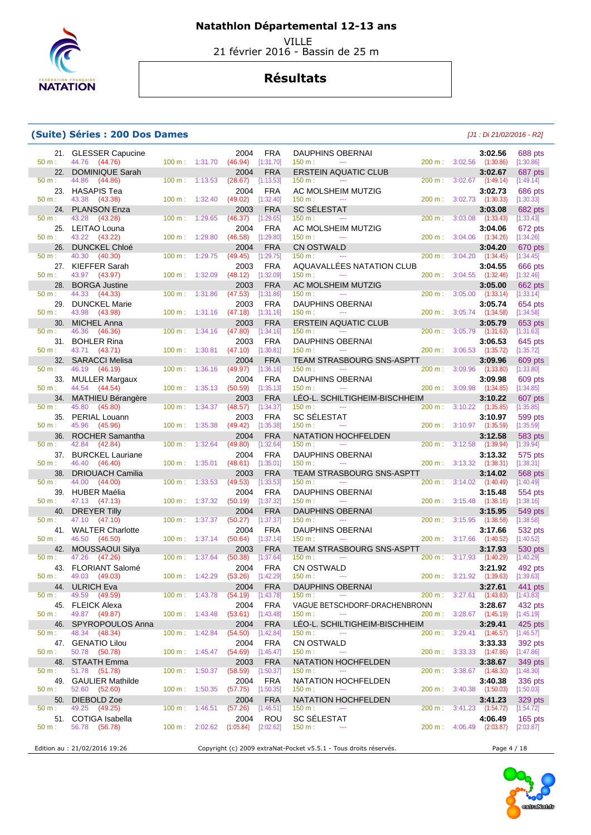

 VILLE 21 février 2016 - Bassin de 25 m

## **Résultats**

### **(Suite) Séries : 200 Dos Dames** [J1 : Di 21/02/2016 - R2]

| 21.             | <b>GLESSER Capucine</b>                     |                   |         | 2004                        | <b>FRA</b>              | <b>DAUPHINS OBERNAI</b>                                           |        |                          | 3:02.56                              | 688 pts                |
|-----------------|---------------------------------------------|-------------------|---------|-----------------------------|-------------------------|-------------------------------------------------------------------|--------|--------------------------|--------------------------------------|------------------------|
| 50 m:<br>22.    | 44.76 (44.76)<br><b>DOMINIQUE Sarah</b>     | 100 m: 1:31.70    |         | (46.94)<br>2004             | [1:31.70]<br><b>FRA</b> | 150 m:<br>$\scriptstyle\cdots$<br><b>ERSTEIN AQUATIC CLUB</b>     |        |                          | 200 m: 3:02.56 (1:30.86)<br>3:02.67  | [1:30.86]<br>687 pts   |
| $50 m$ :        | 44.86<br>(44.86)                            | 100 m:            | 1:13.53 | (28.67)                     | [1:13.53]               | 150 m:                                                            | 200 m: | 3:02.67                  | (1:49.14)                            | [1:49.14]              |
| 23.             | <b>HASAPIS Tea</b>                          |                   |         | 2004                        | <b>FRA</b>              | AC MOLSHEIM MUTZIG                                                |        |                          | 3:02.73                              | 686 pts                |
| 50 m:<br>24.    | 43.38 (43.38)<br><b>PLANSON Enza</b>        | 100 m:            | 1:32.40 | (49.02)<br>2003             | [1:32.40]<br><b>FRA</b> | 150 m:<br>$\scriptstyle\cdots$<br><b>SC SÉLESTAT</b>              | 200 m: |                          | $3:02.73$ $(1:30.33)$<br>3:03.08     | [1:30.33]<br>682 pts   |
| 50 m:           | 43.28<br>(43.28)                            | 100 m:            | 1:29.65 | (46.37)                     | [1:29.65]               | 150 m:                                                            | 200 m: | 3:03.08                  | (1:33.43)                            | [1:33.43]              |
| 25.             | LEITAO Louna                                |                   |         | 2004                        | <b>FRA</b>              | AC MOLSHEIM MUTZIG                                                |        |                          | 3:04.06                              | 672 pts                |
| 50 m:<br>26.    | 43.22 (43.22)<br><b>DUNCKEL Chloé</b>       | 100 m:            | 1:29.80 | (46.58)<br>2004             | [1:29.80]<br><b>FRA</b> | 150 m:<br>$\sim$<br><b>CN OSTWALD</b>                             | 200 m: | 3:04.06                  | (1:34.26)<br>3:04.20                 | [1:34.26]<br>670 pts   |
| 50 m:           | 40.30<br>(40.30)                            | 100 m:            | 1:29.75 | (49.45)                     | [1:29.75]               | 150 m:<br>$\sim$ $\sim$ $\sim$                                    | 200 m: | 3:04.20                  | (1:34.45)                            | [1:34.45]              |
| 27.<br>50 m:    | <b>KIEFFER Sarah</b><br>43.97               | 100 m:            | 1:32.09 | 2003                        | <b>FRA</b><br>[1:32.09] | AQUAVALLÉES NATATION CLUB<br>150 m:<br>$\cdots$                   | 200 m: | 3:04.55                  | 3:04.55                              | 666 pts                |
| 28.             | (43.97)<br><b>BORGA Justine</b>             |                   |         | (48.12)<br>2003             | <b>FRA</b>              | AC MOLSHEIM MUTZIG                                                |        |                          | (1:32.46)<br>3:05.00                 | [1:32.46]<br>662 pts   |
| 50 m:           | 44.33<br>(44.33)                            | 100 m:            | 1:31.86 | (47.53)                     | [1:31.86]               | 150 m:<br>---                                                     | 200 m: | 3:05.00                  | (1:33.14)                            | [1:33.14]              |
| 29.<br>50 m:    | <b>DUNCKEL Marie</b><br>43.98<br>(43.98)    | 100 m:            | 1:31.16 | 2003<br>(47.18)             | <b>FRA</b><br>[1:31.16] | <b>DAUPHINS OBERNAI</b><br>150 m:<br>$\cdots$                     | 200 m: |                          | 3:05.74<br>3:05.74 (1:34.58)         | 654 pts<br>[1:34.58]   |
| 30.             | <b>MICHEL Anna</b>                          |                   |         | 2003                        | <b>FRA</b>              | <b>ERSTEIN AQUATIC CLUB</b>                                       |        |                          | 3:05.79                              | 653 pts                |
| 50 m:           | 46.36<br>(46.36)                            | 100 m:            | 1:34.16 | (47.80)                     | [1:34.16]               | 150 m:<br>---                                                     | 200 m: | 3:05.79                  | (1:31.63)                            | [1:31.63]              |
| 31.<br>50 m:    | <b>BOHLER Rina</b><br>43.71 (43.71)         | 100 m:            | 1:30.81 | 2003<br>(47.10)             | <b>FRA</b><br>[1:30.81] | <b>DAUPHINS OBERNAI</b><br>150 m:<br>$\cdots$                     | 200 m: | 3:06.53                  | 3:06.53<br>(1:35.72)                 | 645 pts<br>[1:35.72]   |
| 32.             | <b>SARACCI Melisa</b>                       |                   |         | 2004                        | <b>FRA</b>              | <b>TEAM STRASBOURG SNS-ASPTT</b>                                  |        |                          | 3:09.96                              | 609 pts                |
| 50 m:           | 46.19<br>(46.19)                            | 100 m:            | 1:36.16 | (49.97)                     | [1:36.16]               | 150 m:<br>$\sim$ $\sim$                                           | 200 m: | 3:09.96                  | (1:33.80)                            | [1:33.80]              |
| 33.<br>50 m:    | <b>MULLER Margaux</b><br>44.54<br>(44.54)   | 100 m:            | 1:35.13 | 2004<br>(50.59)             | <b>FRA</b><br>[1:35.13] | <b>DAUPHINS OBERNAI</b><br>150 m:<br>$\scriptstyle\cdots$         | 200 m: | 3:09.98                  | 3:09.98<br>(1:34.85)                 | 609 pts<br>[1:34.85]   |
| 34.             | MATHIEU Bérangère                           |                   |         | 2003                        | <b>FRA</b>              | LEO-L. SCHILTIGHEIM-BISCHHEIM                                     |        |                          | 3:10.22                              | 607 pts                |
| 50 m:           | 45.80<br>(45.80)                            | 100 m:            | 1:34.37 | (48.57)                     | [1:34.37]               | 150 m:<br>$\cdots$                                                | 200 m: | 3:10.22                  | (1:35.85)                            | [1:35.85]              |
| 35.<br>50 m:    | PERIAL Louann<br>45.96<br>(45.96)           | 100 m:            | 1:35.38 | 2003<br>(49.42)             | <b>FRA</b><br>[1:35.38] | <b>SC SELESTAT</b><br>150 m:<br>$\cdots$                          | 200 m: |                          | 3:10.97<br>$3:10.97$ $(1:35.59)$     | 599 pts<br>[1:35.59]   |
| 36.             | <b>ROCHER Samantha</b>                      |                   |         | 2004                        | <b>FRA</b>              | <b>NATATION HOCHFELDEN</b>                                        |        |                          | 3:12.58                              | 583 pts                |
| 50 m:           | 42.84<br>(42.84)                            | 100 m:            | 1:32.64 | (49.80)                     | [1:32.64]               | 150 m:                                                            | 200 m: | 3:12.58                  | (1:39.94)                            | [1:39.94]              |
| 37.<br>50 m:    | <b>BURCKEL Lauriane</b><br>46.40 (46.40)    | 100 m:            | 1:35.01 | 2004<br>(48.61)             | <b>FRA</b><br>[1:35.01] | <b>DAUPHINS OBERNAI</b><br>150 m:<br>$\sim$ $\sim$                | 200 m: | 3:13.32                  | 3:13.32<br>(1:38.31)                 | 575 pts<br>[1:38.31]   |
| 38.             | <b>DRIOUACH Camilia</b>                     |                   |         | 2003                        | <b>FRA</b>              | <b>TEAM STRASBOURG SNS-ASPTT</b>                                  |        |                          | 3:14.02                              | 568 pts                |
| 50 m:<br>39.    | 44.00<br>(44.00)<br><b>HUBER Maélia</b>     | 100 m:            | 1:33.53 | (49.53)<br>2004             | [1:33.53]<br><b>FRA</b> | 150 m:<br>$\cdots$<br><b>DAUPHINS OBERNAI</b>                     | 200 m: | 3:14.02                  | (1:40.49)<br>3:15.48                 | [1:40.49]              |
| 50 m:           | 47.13 (47.13)                               | 100 m:            | 1:37.32 | (50.19)                     | [1:37.32]               | 150 m:<br>$\scriptstyle\cdots$                                    | 200 m: | 3:15.48                  | (1:38.16)                            | 554 pts<br>[1:38.16]   |
| 40.             | <b>DREYER Tilly</b>                         |                   |         | 2004                        | <b>FRA</b>              | <b>DAUPHINS OBERNAI</b>                                           |        |                          | 3:15.95                              | 549 pts                |
| 50 m:<br>41.    | 47.10<br>(47.10)<br><b>WALTER Charlotte</b> | 100 m:            | 1:37.37 | (50.27)<br>2004             | [1:37.37]<br><b>FRA</b> | 150 m:<br>$- - -$<br><b>DAUPHINS OBERNAI</b>                      | 200 m: | 3:15.95                  | (1:38.58)<br>3:17.66                 | [1:38.58]<br>532 pts   |
| 50 m:           | 46.50<br>(46.50)                            | 100 m:            | 1:37.14 | (50.64)                     | [1:37.14]               | 150 m:<br>$\sim$ $\sim$                                           | 200 m: | 3:17.66                  | (1:40.52)                            | [1:40.52]              |
| 42.             | MOUSSAOUI Silya                             |                   |         | 2003                        | <b>FRA</b>              | <b>TEAM STRASBOURG SNS-ASPTT</b>                                  |        |                          | 3:17.93                              | 530 pts                |
| 50 m:<br>43.    | 47.26<br>(47.26)<br><b>FLORIANT Salomé</b>  | 100 m:            | 1:37.64 | (50.38)<br>2004             | [1:37.64]<br><b>FRA</b> | 150 m:<br><b>CN OSTWALD</b>                                       | 200 m: | 3:17.93                  | (1:40.29)<br>3:21.92                 | [1:40.29]<br>492 pts   |
| 50 m:           | 49.03<br>(49.03)                            | 100 m:            | 1:42.29 | (53.26)                     | [1:42.29]               | 150 m:<br>$\cdots$                                                | 200 m: | 3:21.92                  | (1:39.63)                            | [1:39.63]              |
| 44.<br>$50 m$ : | <b>ULRICH Eva</b><br>49.59 (49.59)          | 100 m: 1:43.78    |         | 2004<br>$(54.19)$ [1:43.78] | <b>FRA</b>              | <b>DAUPHINS OBERNAI</b><br>$\scriptstyle\cdots\scriptstyle\cdots$ |        |                          | 3:27.61<br>200 m: 3:27.61 (1:43.83)  | 441 pts<br>[1:43.83]   |
|                 | 45. FLEICK Alexa                            |                   |         | 2004                        | <b>FRA</b>              | 150 m :<br>VAGUE BETSCHDORF-DRACHENBRONN                          |        |                          | 3:28.67                              | 432 pts                |
| $50 m$ :        | 49.87 (49.87)                               | $100 m$ : 1:43.48 |         | (53.61)                     | [1:43.48]               | 150 m:<br>$\scriptstyle\cdots$                                    |        |                          | 200 m: 3:28.67 (1:45.19)             | [1:45.19]              |
| 46.<br>50 m:    | SPYROPOULOS Anna<br>48.34 (48.34)           | $100 m$ : 1:42.84 |         | 2004<br>(54.50)             | <b>FRA</b><br>[1:42.84] | LÉO-L. SCHILTIGHEIM-BISCHHEIM<br>150 m:<br>---                    | 200 m: |                          | 3:29.41<br>$3:29.41$ $(1:46.57)$     | $425$ pts<br>[1:46.57] |
|                 | 47. GENATIO Lilou                           |                   |         | 2004                        | <b>FRA</b>              | <b>CN OSTWALD</b>                                                 |        |                          | 3:33.33                              | 392 pts                |
| 50 m:           | 50.78 (50.78)                               | $100 m$ : 1:45.47 |         | (54.69)                     | $[1:45.47]$             | 150 m:                                                            |        |                          | 200 m : 3:33.33 (1:47.86)            | [1:47.86]              |
| 48.<br>$50 m$ : | <b>STAATH Emma</b><br>51.78 (51.78)         | $100 \text{ m}$ : | 1:50.37 | 2003<br>(58.59)             | <b>FRA</b><br>[1:50.37] | NATATION HOCHFELDEN<br>150 m:<br>---                              |        |                          | 3:38.67<br>200 m : 3:38.67 (1:48.30) | 349 pts<br>[1:48.30]   |
| 49.             | <b>GAULIER Mathilde</b>                     |                   |         | 2004                        | <b>FRA</b>              | NATATION HOCHFELDEN                                               |        |                          | 3:40.38                              | 336 pts                |
| 50 m:           | 52.60 (52.60)                               | 100 m: 1:50.35    |         | (57.75)                     | [1:50.35]               | 150 m:<br>$\scriptstyle\cdots$                                    |        | $200 \text{ m}: 3:40.38$ | (1:50.03)                            | [1:50.03]              |
| 50.<br>50 m:    | DIEBOLD Zoe<br>49.25 (49.25)                | 100 m:            | 1:46.51 | 2004<br>(57.26)             | <b>FRA</b><br>[1:46.51] | NATATION HOCHFELDEN<br>150 m:<br>$\sim$                           |        | $200 \text{ m}: 3:41.23$ | 3:41.23<br>(1:54.72)                 | 329 pts<br>[1:54.72]   |
| 51.             | COTIGA Isabella                             |                   |         | 2004                        | ROU                     | <b>SC SÉLESTAT</b>                                                |        |                          | 4:06.49                              | $165$ pts              |
| 50 m:           | 56.78 (56.78)                               | 100 m: 2:02.62    |         | (1:05.84)                   | $[2:02.62]$             | 150 m:                                                            |        |                          | 200 m: 4:06.49 (2:03.87)             | [2:03.87]              |
|                 | Edition au : 21/02/2016 19:26               |                   |         |                             |                         | Copyright (c) 2009 extraNat-Pocket v5.5.1 - Tous droits réservés. |        |                          | Page 4 / 18                          |                        |

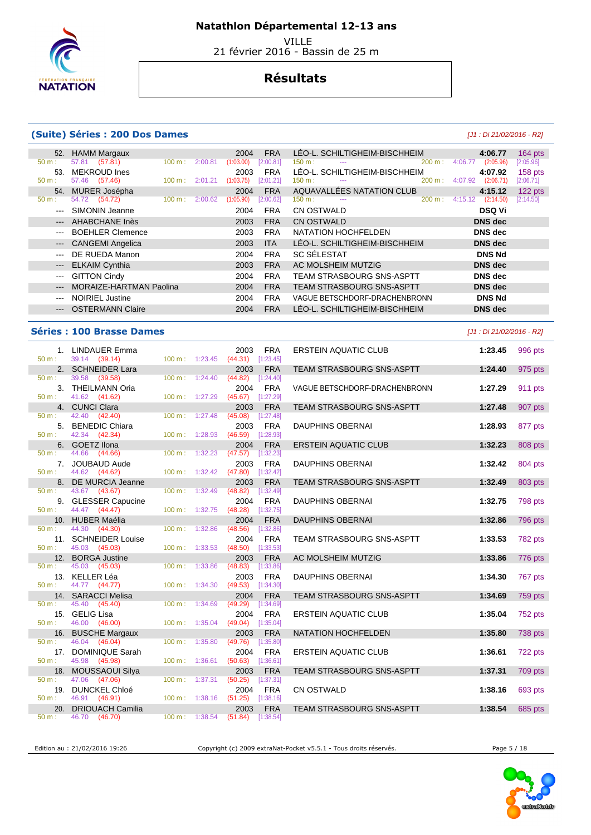

VILLE

# 21 février 2016 - Bassin de 25 m

## **Résultats**

#### **(Suite) Séries : 200 Dos Dames** [J1 : Di 21/02/2016 - R2]

| 52.                      | <b>HAMM Margaux</b>            |                   |         | 2004      | <b>FRA</b> | LÉO-L. SCHILTIGHEIM-BISCHHEIM    |           |         | 4:06.77        | $164$ pts |
|--------------------------|--------------------------------|-------------------|---------|-----------|------------|----------------------------------|-----------|---------|----------------|-----------|
| $50 m$ :                 | 57.81 (57.81)                  | $100 \text{ m}$ : | 2:00.81 | (1:03.00) | [2:00.81]  | 150 m:<br>$\overline{a}$         | 200 m:    | 4:06.77 | (2:05.96)      | [2:05.96] |
| 53.                      | MEKROUD Ines                   |                   |         | 2003      | <b>FRA</b> | LÉO-L. SCHILTIGHEIM-BISCHHEIM    |           |         | 4:07.92        | $158$ pts |
| $50 m$ :                 | 57.46 (57.46)                  | $100 \text{ m}$ : | 2:01.21 | (1:03.75) | [2:01.21]  | 150 m:<br>---                    | 200 m:    | 4:07.92 | (2:06.71)      | [2:06.71] |
| 54.                      | MURER Josépha                  |                   |         | 2004      | <b>FRA</b> | AQUAVALLÉES NATATION CLUB        |           |         | 4:15.12        | 122 pts   |
| $50 m$ :                 | 54.72 (54.72)                  | 100 m:            | 2:00.62 | (1:05.90) | [2:00.62]  | $150 m$ :<br>---                 | $200 m$ : | 4:15.12 | (2:14.50)      | [2:14.50] |
| $---$                    | SIMONIN Jeanne                 |                   |         | 2004      | <b>FRA</b> | CN OSTWALD                       |           |         | <b>DSQ Vi</b>  |           |
| $---$                    | <b>AHABCHANE Inès</b>          |                   |         | 2003      | <b>FRA</b> | <b>CN OSTWALD</b>                |           |         | DNS dec        |           |
| $---$                    | <b>BOEHLER Clemence</b>        |                   |         | 2003      | <b>FRA</b> | NATATION HOCHFELDEN              |           |         | DNS dec        |           |
| $\qquad \qquad - -$      | <b>CANGEMI Angelica</b>        |                   |         | 2003      | <b>ITA</b> | LÉO-L. SCHILTIGHEIM-BISCHHEIM    |           |         | <b>DNS</b> dec |           |
| $- - -$                  | DE RUEDA Manon                 |                   |         | 2004      | <b>FRA</b> | <b>SC SÉLESTAT</b>               |           |         | <b>DNS Nd</b>  |           |
| $\hspace{0.05cm} \ldots$ | <b>ELKAIM Cynthia</b>          |                   |         | 2003      | <b>FRA</b> | AC MOLSHEIM MUTZIG               |           |         | <b>DNS</b> dec |           |
| $--$                     | <b>GITTON Cindy</b>            |                   |         | 2004      | <b>FRA</b> | <b>TEAM STRASBOURG SNS-ASPTT</b> |           |         | DNS dec        |           |
| $---$                    | <b>MORAIZE-HARTMAN Paolina</b> |                   |         | 2004      | <b>FRA</b> | <b>TEAM STRASBOURG SNS-ASPTT</b> |           |         | <b>DNS</b> dec |           |
| $---$                    | <b>NOIRIEL Justine</b>         |                   |         | 2004      | <b>FRA</b> | VAGUE BETSCHDORF-DRACHENBRONN    |           |         | <b>DNS Nd</b>  |           |
| $\qquad \qquad - -$      | <b>OSTERMANN Claire</b>        |                   |         | 2004      | <b>FRA</b> | LÉO-L. SCHILTIGHEIM-BISCHHEIM    |           |         | <b>DNS</b> dec |           |
|                          |                                |                   |         |           |            |                                  |           |         |                |           |

### **Séries : 100 Brasse Dames** [J1 : Di 21/02/2016 - R2]

| 1.           | <b>LINDAUER Emma</b>               |                   |         | <b>FRA</b><br>2003                        |
|--------------|------------------------------------|-------------------|---------|-------------------------------------------|
| 50 m:        | 39.14 (39.14)                      | $100 \text{ m}$ : | 1:23.45 | (44.31)<br>[1:23.45]                      |
| 2.           | <b>SCHNEIDER Lara</b>              |                   |         | <b>FRA</b><br>2003                        |
| 50 m:        | 39.58<br>(39.58)                   | $100 \text{ m}$ : | 1:24.40 | (44.82)<br>[1:24.40]                      |
| 3.           | <b>THEILMANN Oria</b>              |                   |         | 2004<br><b>FRA</b>                        |
| 50 m:        | 41.62<br>(41.62)                   | 100 m:            | 1:27.29 | $(45.67)$ [1:27.29]                       |
| 4.           | <b>CUNCI Clara</b>                 |                   |         | 2003<br><b>FRA</b>                        |
| 50 m:        | 42.40<br>(42.40)                   | 100 m:            | 1:27.48 | $(45.08)$ [1:27.48]                       |
| 5.           | <b>BENEDIC Chiara</b>              |                   |         | 2003<br><b>FRA</b>                        |
| 50 m:        | 42.34 (42.34)                      | 100 m:            | 1:28.93 | $(46.59)$ [1:28.93]                       |
| 6.           | <b>GOETZ Ilona</b>                 |                   |         | 2004<br><b>FRA</b>                        |
| 50 m:        | 44.66<br>(44.66)                   | 100 m:            | 1:32.23 | (47.57)<br>[1:32.23]                      |
| 7.           | <b>JOUBAUD Aude</b>                |                   |         | <b>FRA</b><br>2003                        |
| 50 m : _     | 44.62<br>(44.62)                   | $100 \text{ m}$ : | 1:32.42 | (47.80)<br>[1:32.42]                      |
| 8.           | DE MURCIA Jeanne                   |                   |         | 2003<br><b>FRA</b>                        |
| 50 m:        | 43.67 (43.67)                      | 100 m:            | 1:32.49 | (48.82)<br>[1:32.49]                      |
| 9.           | <b>GLESSER Capucine</b>            |                   |         | 2004<br><b>FRA</b>                        |
| 50 m:        | 44.47 (44.47)                      | $100 \text{ m}$ : | 1:32.75 | (48.28)<br>[1:32.75]                      |
| 10.          | <b>HUBER Maélia</b>                |                   |         | <b>FRA</b><br>2004                        |
| $50 m$ :     | 44.30<br>(44.30)                   | 100 m:            | 1:32.86 | (48.56)<br>[1:32.86]                      |
| 11.          | <b>SCHNEIDER Louise</b>            |                   |         | <b>FRA</b><br>2004                        |
| $50 m$ :     | 45.03 (45.03)                      | 100 m:            | 1:33.53 | (48.50)<br>[1:33.53]                      |
| 12.          | <b>BORGA Justine</b>               |                   | 1:33.86 | 2003<br><b>FRA</b>                        |
| 50 m:        | 45.03 (45.03)                      | 100 m:            |         | $(48.83)$ [1:33.86]                       |
| 13.<br>50 m: | <b>KELLER Léa</b><br>44.77 (44.77) | 100 m:            | 1:34.30 | <b>FRA</b><br>2003<br>$(49.53)$ [1:34.30] |
| 14.          | <b>SARACCI Melisa</b>              |                   |         | <b>FRA</b>                                |
| $50 m$ :     | 45.40 (45.40)                      | 100 m:            | 1:34.69 | 2004<br>(49.29)<br>[1:34.69]              |
| 15.          | <b>GELIG Lisa</b>                  |                   |         | 2004<br><b>FRA</b>                        |
| 50 m:        | 46.00 (46.00)                      | 100 m:            | 1:35.04 | (49.04)<br>[1:35.04]                      |
| 16.          | <b>BUSCHE Margaux</b>              |                   |         | 2003<br><b>FRA</b>                        |
| 50 m:        | 46.04 (46.04)                      | 100 m:            | 1:35.80 | (49.76)<br>[1:35.80]                      |
| 17.          | DOMINIQUE Sarah                    |                   |         | 2004<br><b>FRA</b>                        |
| 50 m:        | 45.98 (45.98)                      | 100 m:            | 1:36.61 | (50.63)<br>[1:36.61]                      |
| 18.          | <b>MOUSSAOUI Silya</b>             |                   |         | 2003<br><b>FRA</b>                        |
| 50 m:        | 47.06<br>(47.06)                   | $100 \text{ m}$ : | 1:37.31 | (50.25)<br>[1:37.31]                      |
| 19.          | DUNCKEL Chloé                      |                   |         | 2004<br><b>FRA</b>                        |
| 50 m:        | 46.91<br>(46.91)                   | 100 m:            | 1:38.16 | (51.25)<br>[1:38.16]                      |
| 20.          | <b>DRIOUACH Camilia</b>            |                   |         | <b>FRA</b><br>2003                        |
| 50 m:        | 46.70 (46.70)                      | 100 m:            | 1:38.54 | (51.84)<br>[1:38.54]                      |

|                | 1. LINDAUER Emma<br>39.14 (39.14)       | 100 m: 1:23.45           |         | 2003<br>$(44.31)$ [1:23.45] | <b>FRA</b>              | <b>ERSTEIN AQUATIC CLUB</b>      | 1:23.45 | 996 pts |
|----------------|-----------------------------------------|--------------------------|---------|-----------------------------|-------------------------|----------------------------------|---------|---------|
|                | 2. SCHNEIDER Lara                       |                          |         | 2003                        | <b>FRA</b>              | TEAM STRASBOURG SNS-ASPTT        | 1:24.40 | 975 pts |
|                | 39.58 (39.58)                           | 100 m:                   | 1:24.40 | (44.82)                     | [1:24.40]               |                                  |         |         |
| 3.             | <b>THEILMANN Oria</b>                   |                          |         | 2004                        | <b>FRA</b>              | VAGUE BETSCHDORF-DRACHENBRONN    | 1:27.29 | 911 pts |
| 4 <sup>1</sup> | 41.62 (41.62)<br><b>CUNCI Clara</b>     | 100 m: 1:27.29           |         | (45.67)<br>2003             | [1:27.29]<br><b>FRA</b> | <b>TEAM STRASBOURG SNS-ASPTT</b> | 1:27.48 | 907 pts |
|                | 42.40 (42.40)                           | 100 m:                   | 1:27.48 | (45.08)                     | [1:27.48]               |                                  |         |         |
|                | 5. BENEDIC Chiara                       |                          |         | 2003                        | <b>FRA</b>              | <b>DAUPHINS OBERNAI</b>          | 1:28.93 | 877 pts |
|                | 42.34 (42.34)                           | $100 \text{ m}$ :        | 1:28.93 | (46.59)                     | [1:28.93]               |                                  |         |         |
| 6.             | <b>GOETZ Ilona</b>                      |                          |         | 2004                        | <b>FRA</b>              | <b>ERSTEIN AQUATIC CLUB</b>      | 1:32.23 | 808 pts |
|                | 44.66 (44.66)                           | 100 m:                   | 1:32.23 | (47.57)                     | [1:32.23]               |                                  |         |         |
| 7.             | <b>JOUBAUD Aude</b>                     |                          |         | 2003                        | <b>FRA</b>              | <b>DAUPHINS OBERNAI</b>          | 1:32.42 | 804 pts |
|                | 44.62 (44.62)                           | $100 \text{ m}$ :        | 1:32.42 | (47.80)                     | [1:32.42]               |                                  |         |         |
|                | 8. DE MURCIA Jeanne<br>43.67 (43.67)    | $100 m$ :                | 1:32.49 | 2003<br>(48.82)             | <b>FRA</b><br>[1:32.49] | <b>TEAM STRASBOURG SNS-ASPTT</b> | 1:32.49 | 803 pts |
|                | 9. GLESSER Capucine                     |                          |         | 2004                        | <b>FRA</b>              | <b>DAUPHINS OBERNAI</b>          | 1:32.75 | 798 pts |
| ÷.             | 44.47 (44.47)                           | 100 m: 1:32.75           |         | (48.28)                     | [1:32.75]               |                                  |         |         |
| 10.            | <b>HUBER Maélia</b>                     |                          |         | 2004                        | <b>FRA</b>              | <b>DAUPHINS OBERNAI</b>          | 1:32.86 | 796 pts |
| t.             | 44.30 (44.30)                           | 100 m:                   | 1:32.86 | (48.56)                     | [1:32.86]               |                                  |         |         |
| 11.            | <b>SCHNEIDER Louise</b>                 |                          |         | 2004                        | <b>FRA</b>              | <b>TEAM STRASBOURG SNS-ASPTT</b> | 1:33.53 | 782 pts |
| t.             | 45.03 (45.03)                           | $100 \text{ m}: 1:33.53$ |         | (48.50)                     | [1:33.53]               |                                  |         |         |
| 12.            | <b>BORGA Justine</b>                    |                          | 1:33.86 | 2003<br>(48.83)             | <b>FRA</b>              | AC MOLSHEIM MUTZIG               | 1:33.86 | 776 pts |
| ÷.             | 45.03 (45.03)<br>13. KELLER Léa         | 100 m:                   |         | 2003                        | [1:33.86]<br><b>FRA</b> |                                  |         |         |
|                | 44.77 (44.77)                           | $100 \text{ m}$ :        | 1:34.30 | (49.53)                     | [1:34.30]               | <b>DAUPHINS OBERNAI</b>          | 1:34.30 | 767 pts |
| 14.            | <b>SARACCI Melisa</b>                   |                          |         | 2004                        | <b>FRA</b>              | TEAM STRASBOURG SNS-ASPTT        | 1:34.69 | 759 pts |
|                | 45.40 (45.40)                           | 100 m:                   | 1:34.69 | (49.29)                     | [1:34.69]               |                                  |         |         |
| 15.            | <b>GELIG Lisa</b>                       |                          |         | 2004                        | <b>FRA</b>              | <b>ERSTEIN AQUATIC CLUB</b>      | 1:35.04 | 752 pts |
|                | 46.00 (46.00)                           | 100 m: 1:35.04           |         | (49.04)                     | [1:35.04]               |                                  |         |         |
|                | 16. BUSCHE Margaux                      |                          |         | 2003                        | <b>FRA</b>              | NATATION HOCHFELDEN              | 1:35.80 | 738 pts |
| ÷.             | 46.04 (46.04)                           | $100 \text{ m}$ :        | 1:35.80 | (49.76)                     | [1:35.80]               |                                  |         |         |
| 17.<br>÷.      | <b>DOMINIQUE Sarah</b><br>45.98 (45.98) | 100 m: 1:36.61           |         | 2004<br>(50.63)             | <b>FRA</b><br>[1:36.61] | <b>ERSTEIN AQUATIC CLUB</b>      | 1:36.61 | 722 pts |
| 18.            | <b>MOUSSAOUI Silya</b>                  |                          |         | 2003                        | <b>FRA</b>              | TEAM STRASBOURG SNS-ASPTT        | 1:37.31 | 709 pts |
| ÷.             | 47.06 (47.06)                           | $100 \text{ m}$ :        | 1:37.31 | (50.25)                     | [1:37.31]               |                                  |         |         |
| 19.            | <b>DUNCKEL Chloé</b>                    |                          |         | 2004                        | <b>FRA</b>              | <b>CN OSTWALD</b>                | 1:38.16 | 693 pts |
|                | 46.91 (46.91)                           | 100 m: 1:38.16           |         | (51.25)                     | [1:38.16]               |                                  |         |         |
| 20.            | <b>DRIOUACH Camilia</b>                 |                          |         | 2003                        | <b>FRA</b>              | <b>TEAM STRASBOURG SNS-ASPTT</b> | 1:38.54 | 685 pts |

Edition au : 21/02/2016 19:26 Copyright (c) 2009 extraNat-Pocket v5.5.1 - Tous droits réservés. Page 5 / 18

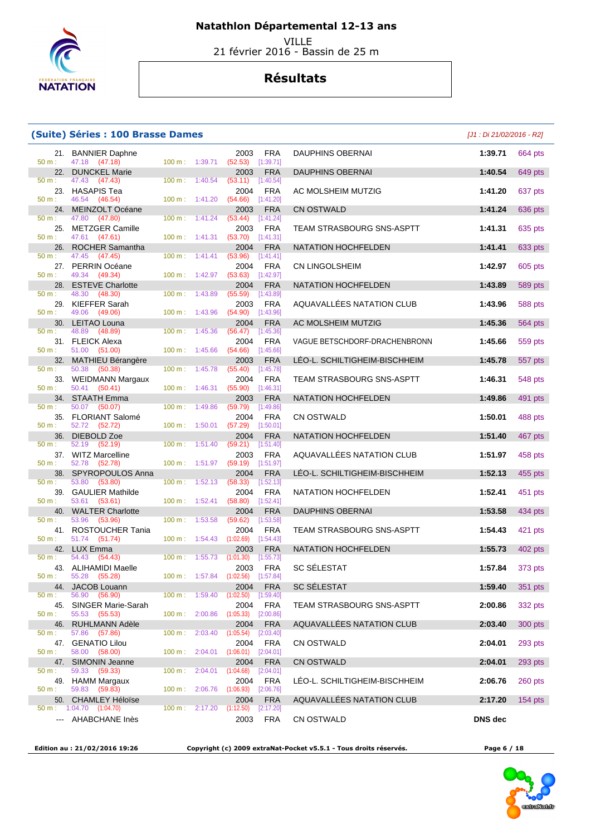

 VILLE 21 février 2016 - Bassin de 25 m

## **Résultats**

#### **(Suite) Séries : 100 Brasse Dames**

| 50 m:        | 21. BANNIER Daphne<br>47.18 (47.18)         | 100 m: 1:39.71    |                   | 2003<br>(52.53)     | <b>FRA</b><br>[1:39.71] | DAUPHINS OBERNAI                 | 1:39.71        |
|--------------|---------------------------------------------|-------------------|-------------------|---------------------|-------------------------|----------------------------------|----------------|
| 22.          | <b>DUNCKEL Marie</b>                        |                   |                   | 2003                | <b>FRA</b>              | <b>DAUPHINS OBERNAI</b>          | 1:40.54        |
| 50 m:        | 47.43<br>(47.43)                            | $100 m$ :         | 1:40.54           | (53.11)             | [1:40.54]               |                                  |                |
| 23.          | <b>HASAPIS Tea</b>                          |                   |                   | 2004<br>(54.66)     | FRA                     | AC MOLSHEIM MUTZIG               | 1:41.20        |
| $50 m$ :     | 46.54 (46.54)<br>24. MEINZOLT Océane        |                   | $100 m$ : 1:41.20 | 2003                | [1:41.20]<br><b>FRA</b> | <b>CN OSTWALD</b>                | 1:41.24        |
| $50 m$ :     | 47.80<br>(47.80)                            | 100 m:            | 1:41.24           | (53.44)             | [1:41.24]               |                                  |                |
| 25.          | <b>METZGER Camille</b>                      |                   |                   | 2003                | <b>FRA</b>              | TEAM STRASBOURG SNS-ASPTT        | 1:41.31        |
| 50 m:        | 47.61 (47.61)                               | 100 m:            | 1:41.31           | (53.70)             | [1:41.31]               |                                  |                |
|              | 26. ROCHER Samantha                         |                   |                   | 2004                | <b>FRA</b>              | NATATION HOCHFELDEN              | 1:41.41        |
| 50 m:        | 47.45 (47.45)<br>27. PERRIN Océane          | 100 m:            | 1:41.41           | (53.96)<br>2004     | [1:41.41]               | <b>CN LINGOLSHEIM</b>            | 1:42.97        |
| 50 m:        | 49.34<br>(49.34)                            | $100 m$ :         | 1:42.97           | (53.63)             | <b>FRA</b><br>[1:42.97] |                                  |                |
| 28.          | <b>ESTEVE Charlotte</b>                     |                   |                   | 2004                | <b>FRA</b>              | <b>NATATION HOCHFELDEN</b>       | 1:43.89        |
| 50 m:        | 48.30<br>(48.30)                            | 100 m:            | 1:43.89           | (55.59)             | [1:43.89]               |                                  |                |
|              | 29. KIEFFER Sarah                           |                   |                   | 2003                | <b>FRA</b>              | AQUAVALLÉES NATATION CLUB        | 1:43.96        |
| 50 m:        | 49.06 (49.06)                               | 100 m:            | 1:43.96           | (54.90)             | [1:43.96]               |                                  |                |
| 50 m:        | 30. LEITAO Louna<br>48.89<br>(48.89)        | 100 m:            | 1:45.36           | 2004<br>(56.47)     | <b>FRA</b><br>[1:45.36] | AC MOLSHEIM MUTZIG               | 1:45.36        |
|              | 31. FLEICK Alexa                            |                   |                   | 2004                | <b>FRA</b>              | VAGUE BETSCHDORF-DRACHENBRONN    | 1:45.66        |
| $50 m$ :     | 51.00 (51.00)                               | 100 m:            | 1:45.66           | (54.66)             | [1:45.66]               |                                  |                |
|              | 32. MATHIEU Bérangère                       |                   |                   | 2003                | <b>FRA</b>              | LEO-L. SCHILTIGHEIM-BISCHHEIM    | 1:45.78        |
| 50 m:        | 50.38<br>(50.38)                            | 100 m:            | 1:45.78           | (55.40)             | [1:45.78]               |                                  |                |
| 50 m:        | 33. WEIDMANN Margaux<br>50.41<br>(50.41)    | 100 m:            | 1:46.31           | 2004<br>(55.90)     | <b>FRA</b><br>[1:46.31] | TEAM STRASBOURG SNS-ASPTT        | 1:46.31        |
|              | 34. STAATH Emma                             |                   |                   | 2003                | <b>FRA</b>              | <b>NATATION HOCHFELDEN</b>       | 1:49.86        |
| 50 m:        | 50.07 (50.07)                               | 100 m:            | 1:49.86           | (59.79)             | [1:49.86]               |                                  |                |
|              | 35. FLORIANT Salomé                         |                   |                   | 2004                | <b>FRA</b>              | <b>CN OSTWALD</b>                | 1:50.01        |
| 50 m:        | 52.72 (52.72)                               | 100 m:            | 1:50.01           | (57.29)             | [1:50.01]               |                                  |                |
|              | 36. DIEBOLD Zoe                             |                   |                   | 2004                | <b>FRA</b>              | <b>NATATION HOCHFELDEN</b>       | 1:51.40        |
| $50 m$ :     | 52.19 (52.19)<br>37. WITZ Marcelline        | 100 m:            | 1:51.40           | (59.21)<br>2003     | [1:51.40]<br><b>FRA</b> | AQUAVALLÉES NATATION CLUB        | 1:51.97        |
| 50 m:        | 52.78 (52.78)                               | 100 m:            | 1:51.97           | $(59.19)$ [1:51.97] |                         |                                  |                |
|              | 38. SPYROPOULOS Anna                        |                   |                   | 2004                | <b>FRA</b>              | LEO-L. SCHILTIGHEIM-BISCHHEIM    | 1:52.13        |
| 50 m:        | 53.80<br>(53.80)                            | 100 m:            | 1:52.13           | (58.33)             | [1:52.13]               |                                  |                |
|              | 39. GAULIER Mathilde                        |                   |                   | 2004                | <b>FRA</b>              | NATATION HOCHFELDEN              | 1:52.41        |
| 50 m:<br>40. | 53.61<br>(53.61)<br><b>WALTER Charlotte</b> | 100 m:            | 1:52.41           | (58.80)<br>2004     | [1:52.41]<br><b>FRA</b> | <b>DAUPHINS OBERNAI</b>          | 1:53.58        |
| 50 m:        | 53.96<br>(53.96)                            | 100 m:            | 1:53.58           | (59.62)             | [1:53.58]               |                                  |                |
|              | 41. ROSTOUCHER Tania                        |                   |                   | 2004                | <b>FRA</b>              | TEAM STRASBOURG SNS-ASPTT        | 1:54.43        |
| $50 m$ :     | 51.74 (51.74)                               | 100 m:            | 1:54.43           | (1:02.69)           | [1:54.43]               |                                  |                |
|              | 42. LUX Emma                                |                   |                   | 2003                | <b>FRA</b>              | NATATION HOCHFELDEN              | 1:55.73        |
| 50 m:        | 54.43<br>(54.43)<br>43. ALIHAMIDI Maelle    | $100 m$ :         | 1:55.73           | (1:01.30)<br>2003   | [1:55.73]<br><b>FRA</b> | <b>SC SÉLESTAT</b>               | 1:57.84        |
| 50 m:        | 55.28<br>(55.28)                            | 100 m:            | 1:57.84           | (1:02.56)           | [1:57.84]               |                                  |                |
|              | 44. JACOB Louann                            |                   |                   | 2004                | <b>FRA</b>              | <b>SC SELESTAT</b>               | 1:59.40        |
| 50 m:        | 56.90 (56.90)                               | $100 \text{ m}$ : | 1:59.40           | (1:02.50)           | [1:59.40]               |                                  |                |
| 45.          | SINGER Marie-Sarah                          |                   |                   | 2004                | <b>FRA</b>              | TEAM STRASBOURG SNS-ASPTT        | 2:00.86        |
| 50 m:<br>46. | 55.53<br>(55.53)<br><b>RUHLMANN Adèle</b>   | $100 m$ :         | 2:00.86           | (1:05.33)<br>2004   | [2:00.86]<br><b>FRA</b> | AQUAVALLEES NATATION CLUB        | 2:03.40        |
| $50 m$ :     | 57.86<br>(57.86)                            | 100 m:            | 2:03.40           | (1:05.54)           | [2:03.40]               |                                  |                |
|              | 47. GENATIO Lilou                           |                   |                   | 2004                | <b>FRA</b>              | CN OSTWALD                       | 2:04.01        |
| 50 m:        | 58.00 (58.00)                               | 100 m:            | 2:04.01           | (1:06.01)           | [2:04.01]               |                                  |                |
|              | 47. SIMONIN Jeanne                          |                   |                   | 2004                | <b>FRA</b>              | <b>CN OSTWALD</b>                | 2:04.01        |
| 50 m:        | 59.33 (59.33)                               | 100 m:            | 2:04.01           | (1:04.68)<br>2004   | [2:04.01]<br><b>FRA</b> | LÉO-L. SCHILTIGHEIM-BISCHHEIM    | 2:06.76        |
| 50 m:        | 49. HAMM Margaux<br>59.83 (59.83)           | 100 m:            | 2:06.76           | (1:06.93)           | [2:06.76]               |                                  |                |
|              | 50. CHAMLEY Héloïse                         |                   |                   | 2004                | <b>FRA</b>              | <b>AQUAVALLEES NATATION CLUB</b> | 2:17.20        |
|              | $50 \text{ m}: 1:04.70$ (1:04.70)           |                   | 100 m: 2:17.20    | (1:12.50)           | [2:17.20]               |                                  |                |
| $--$         | AHABCHANE Inès                              |                   |                   | 2003                | <b>FRA</b>              | CN OSTWALD                       | <b>DNS</b> dec |

|           | te) Séries : 100 Brasse Dames                      |                           |                    |                                            |                                      |                               | $[J1:Di 21/02/2016 - R2]$ |         |
|-----------|----------------------------------------------------|---------------------------|--------------------|--------------------------------------------|--------------------------------------|-------------------------------|---------------------------|---------|
| 21.       | <b>BANNIER Daphne</b><br>47.18 (47.18)             | 100 m: 1:39.71            |                    | 2003<br>$(52.53)$ [1:39.71]                | <b>FRA</b>                           | <b>DAUPHINS OBERNAI</b>       | 1:39.71                   | 664 pts |
| 22.       | <b>DUNCKEL Marie</b>                               |                           |                    | 2003                                       | <b>FRA</b>                           | <b>DAUPHINS OBERNAI</b>       | 1:40.54                   | 649 pts |
|           | 47.43 (47.43)<br>23. HASAPIS Tea                   | 100 m:                    | 1:40.54            | (53.11)<br>2004                            | [1:40.54]<br><b>FRA</b>              | AC MOLSHEIM MUTZIG            | 1:41.20                   | 637 pts |
| 24.       | 46.54 (46.54)<br><b>MEINZOLT Océane</b>            | 100 m:                    | 1:41.20            | (54.66)<br>2003                            | [1:41.20]<br><b>FRA</b>              | <b>CN OSTWALD</b>             | 1:41.24                   | 636 pts |
| ÷<br>25.  | 47.80<br>(47.80)<br><b>METZGER Camille</b>         | $100 m$ :                 | 1:41.24            | (53.44)<br>2003                            | [1:41.24]<br><b>FRA</b>              | TEAM STRASBOURG SNS-ASPTT     | 1:41.31                   | 635 pts |
|           | 47.61 (47.61)                                      | 100 m:                    | 1:41.31            | (53.70)                                    | [1:41.31]                            |                               |                           |         |
| 26.<br>÷. | <b>ROCHER Samantha</b><br>47.45 (47.45)            | 100 m:                    | 1:41.41            | 2004<br>(53.96)                            | <b>FRA</b><br>[1:41.41]              | <b>NATATION HOCHFELDEN</b>    | 1:41.41                   | 633 pts |
| 27.       | PERRIN Océane<br>49.34 (49.34)                     | 100 m:                    | 1:42.97            | 2004<br>(53.63)                            | <b>FRA</b><br>[1:42.97]              | CN LINGOLSHEIM                | 1:42.97                   | 605 pts |
| 28.       | <b>ESTEVE Charlotte</b>                            |                           |                    | 2004                                       | <b>FRA</b>                           | <b>NATATION HOCHFELDEN</b>    | 1:43.89                   | 589 pts |
| ÷.<br>29. | 48.30 (48.30)<br>KIEFFER Sarah<br>49.06<br>(49.06) | 100 m:<br>100 m:          | 1:43.89<br>1:43.96 | (55.59)<br>2003<br>(54.90)                 | [1:43.89]<br><b>FRA</b><br>[1:43.96] | AQUAVALLÉES NATATION CLUB     | 1:43.96                   | 588 pts |
| 30.       | LEITAO Louna                                       |                           |                    | 2004                                       | <b>FRA</b>                           | AC MOLSHEIM MUTZIG            | 1:45.36                   | 564 pts |
|           | 48.89<br>(48.89)<br>31. FLEICK Alexa               | 100 m:                    | 1:45.36            | (56.47)<br>2004                            | [1:45.36]<br><b>FRA</b>              | VAGUE BETSCHDORF-DRACHENBRONN | 1:45.66                   | 559 pts |
| ÷<br>32.  | 51.00 (51.00)<br><b>MATHIEU Bérangère</b>          | 100 m:                    | 1:45.66            | (54.66)<br>2003                            | [1:45.66]<br><b>FRA</b>              | LEO-L. SCHILTIGHEIM-BISCHHEIM | 1:45.78                   | 557 pts |
| ÷.        | 50.38 (50.38)                                      | 100 m:                    | 1:45.78            | (55.40)                                    | [1:45.78]                            |                               |                           |         |
| 33.<br>÷  | WEIDMANN Margaux<br>50.41 (50.41)                  | 100 m:                    | 1:46.31            | 2004<br>(55.90)                            | <b>FRA</b><br>[1:46.31]              | TEAM STRASBOURG SNS-ASPTT     | 1:46.31                   | 548 pts |
| 34.<br>t. | <b>STAATH Emma</b><br>50.07 (50.07)                | 100 m:                    | 1:49.86            | 2003<br>(59.79)                            | <b>FRA</b><br>[1:49.86]              | <b>NATATION HOCHFELDEN</b>    | 1:49.86                   | 491 pts |
| 35.       | <b>FLORIANT Salomé</b><br>52.72 (52.72)            | 100 m:                    | 1:50.01            | 2004<br>(57.29)                            | <b>FRA</b><br>[1:50.01]              | CN OSTWALD                    | 1:50.01                   | 488 pts |
| 36.       | DIEBOLD Zoe<br>52.19 (52.19)                       | 100 m:                    | 1:51.40            | 2004<br>(59.21)                            | <b>FRA</b><br>[1:51.40]              | NATATION HOCHFELDEN           | 1:51.40                   | 467 pts |
| 37.       | <b>WITZ Marcelline</b><br>52.78 (52.78)            | 100 m:                    | 1:51.97            | 2003<br>(59.19)                            | <b>FRA</b><br>[1:51.97]              | AQUAVALLÉES NATATION CLUB     | 1:51.97                   | 458 pts |
| 38.       | SPYROPOULOS Anna                                   |                           |                    | 2004                                       | <b>FRA</b>                           | LEO-L. SCHILTIGHEIM-BISCHHEIM | 1:52.13                   | 455 pts |
| ÷.<br>39. | 53.80 (53.80)<br><b>GAULIER Mathilde</b>           | 100 m:                    | 1:52.13            | (58.33)<br>2004                            | [1:52.13]<br><b>FRA</b>              | NATATION HOCHFELDEN           | 1:52.41                   | 451 pts |
|           | 53.61 (53.61)<br>40. WALTER Charlotte              | 100 m:                    | 1:52.41            | (58.80)<br>2004                            | [1:52.41]<br><b>FRA</b>              | <b>DAUPHINS OBERNAI</b>       | 1:53.58                   | 434 pts |
| t.<br>41. | 53.96<br>(53.96)<br>ROSTOUCHER Tania               | 100 m:                    | 1:53.58            | (59.62)<br>2004                            | [1:53.58]<br><b>FRA</b>              | TEAM STRASBOURG SNS-ASPTT     | 1:54.43                   | 421 pts |
| 42.       | 51.74<br>(51.74)<br><b>LUX Emma</b>                | 100 m:                    | 1:54.43            | (1:02.69)<br>2003                          | [1:54.43]<br><b>FRA</b>              | <b>NATATION HOCHFELDEN</b>    | 1:55.73                   | 402 pts |
|           | 54.43 (54.43)                                      | $100 \text{ m}$ : 1:55.73 |                    | $(1:01.30)$ [1:55.73]                      |                                      |                               |                           |         |
| 43.<br>t. | <b>ALIHAMIDI Maelle</b><br>55.28 (55.28)           |                           |                    | 2003<br>100 m: 1:57.84 (1:02.56) [1:57.84] | <b>FRA</b>                           | SC SÉLESTAT                   | 1:57.84                   | 373 pts |
| t.        | 44. JACOB Louann<br>56.90 (56.90)                  | 100 m:                    | 1:59.40            | 2004<br>$(1:02.50)$ $[1:59.40]$            | <b>FRA</b>                           | <b>SC SELESTAT</b>            | 1:59.40                   | 351 pts |
| t         | 45. SINGER Marie-Sarah<br>55.53 (55.53)            | $100 \text{ m}$ :         | 2:00.86            | 2004<br>$(1:05.33)$ $[2:00.86]$            | FRA                                  | TEAM STRASBOURG SNS-ASPTT     | 2:00.86                   | 332 pts |
|           | 46. RUHLMANN Adèle<br>57.86 (57.86)                | 100 m:                    | 2:03.40            | 2004<br>(1:05.54)                          | <b>FRA</b><br>[2:03.40]              | AQUAVALLÉES NATATION CLUB     | 2:03.40                   | 300 pts |
| ÷.        | 47. GENATIO Lilou<br>58.00 (58.00)                 | $100 m$ :                 | 2:04.01            | 2004                                       | <b>FRA</b>                           | CN OSTWALD                    | 2:04.01                   | 293 pts |
|           | 47. SIMONIN Jeanne                                 |                           |                    | $(1:06.01)$ $[2:04.01]$<br>2004            | <b>FRA</b>                           | <b>CN OSTWALD</b>             | 2:04.01                   | 293 pts |
| ÷.        | 59.33 (59.33)<br>49. HAMM Margaux                  | 100 m:                    | 2:04.01            | (1:04.68)<br>2004                          | [2:04.01]<br><b>FRA</b>              | LEO-L. SCHILTIGHEIM-BISCHHEIM | 2:06.76                   | 260 pts |
| ÷         | 59.83 (59.83)                                      | $100 \text{ m}$ :         | 2:06.76            | (1:06.93)                                  | $[2:06.76]$                          |                               |                           |         |
| ÷.        | 50. CHAMLEY Héloïse<br>1:04.70 (1:04.70)           | $100 \text{ m}$ :         | 2:17.20            | 2004<br>(1:12.50)                          | <b>FRA</b><br>[2:17.20]              | AQUAVALLÉES NATATION CLUB     | 2:17.20                   | 154 pts |
|           | --- AHABCHANE Inès                                 |                           |                    | 2003                                       | <b>FRA</b>                           | CN OSTWALD                    | <b>DNS</b> dec            |         |

 **Edition au : 21/02/2016 19:26 Copyright (c) 2009 extraNat-Pocket v5.5.1 - Tous droits réservés. Page 6 / 18** 

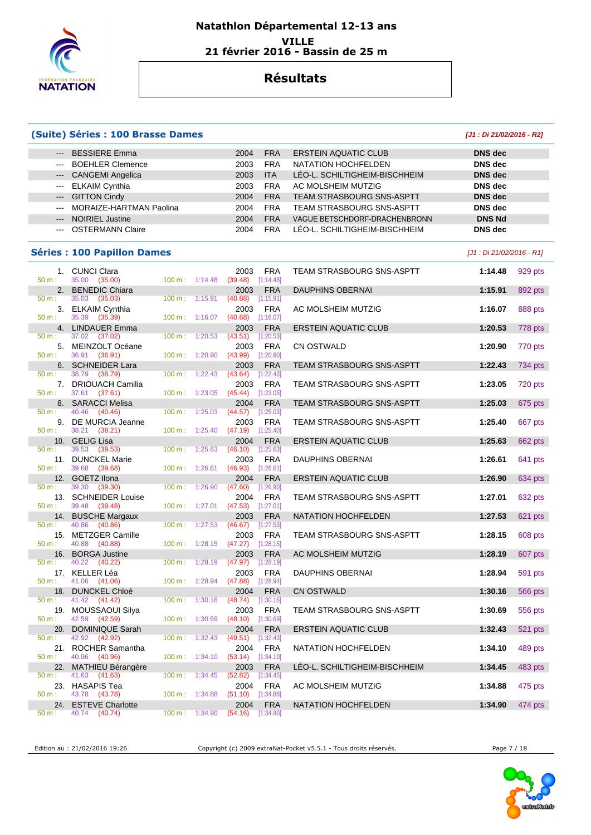

### **Natathlon Départemental 12-13 ans VILLE 21 février 2016 - Bassin de 25 m**

## **Résultats**

#### **(Suite) Séries : 100 Brasse Dames [J1 : Di 21/02/2016 - R2]**

| --- BESSIERE Emma           | 2004 | <b>ERSTEIN AQUATIC CLUB</b><br><b>FRA</b>      | DNS dec        |
|-----------------------------|------|------------------------------------------------|----------------|
| --- BOEHLER Clemence        | 2003 | NATATION HOCHFELDEN<br><b>FRA</b>              | DNS dec        |
| --- CANGEMI Angelica        | 2003 | LÉO-L. SCHILTIGHEIM-BISCHHEIM<br><b>ITA</b>    | <b>DNS</b> dec |
| --- ELKAIM Cynthia          | 2003 | AC MOLSHEIM MUTZIG<br><b>FRA</b>               | DNS dec        |
| --- GITTON Cindy            | 2004 | <b>TEAM STRASBOURG SNS-ASPTT</b><br><b>FRA</b> | DNS dec        |
| --- MORAIZE-HARTMAN Paolina | 2004 | TEAM STRASBOURG SNS-ASPTT<br><b>FRA</b>        | DNS dec        |
| --- NOIRIEL Justine         | 2004 | VAGUE BETSCHDORF-DRACHENBRONN<br><b>FRA</b>    | <b>DNS Nd</b>  |
| --- OSTERMANN Claire        | 2004 | LÉO-L. SCHILTIGHEIM-BISCHHEIM<br><b>FRA</b>    | DNS dec        |

#### **Séries : 100 Papillon Dames** [J1 : Di 21/02/2016 - R1]

|          | 1. CUNCI Clara                         |                   |                          | 2003                        | <b>FRA</b>              | TEAM STRASBOURG SNS-ASPTT        | 1:14.48 | 929 pts |
|----------|----------------------------------------|-------------------|--------------------------|-----------------------------|-------------------------|----------------------------------|---------|---------|
| $50 m$ : | 35.00 (35.00)                          |                   | $100 \text{ m}: 1:14.48$ | $(39.48)$ [1:14.48]<br>2003 |                         |                                  | 1:15.91 |         |
| $50 m$ : | 2. BENEDIC Chiara<br>35.03<br>(35.03)  | $100 m$ :         | 1:15.91                  | (40.88)                     | <b>FRA</b><br>[1:15.91] | <b>DAUPHINS OBERNAI</b>          |         | 892 pts |
|          | 3. ELKAIM Cynthia                      |                   |                          | 2003                        | <b>FRA</b>              | AC MOLSHEIM MUTZIG               | 1:16.07 | 888 pts |
| $50 m$ : | 35.39 (35.39)                          |                   | $100 m$ : 1:16.07        | (40.68)                     | [1:16.07]               |                                  |         |         |
|          | 4. LINDAUER Emma                       |                   |                          | 2003                        | <b>FRA</b>              | <b>ERSTEIN AQUATIC CLUB</b>      | 1:20.53 | 778 pts |
| 50 m:    | 37.02 (37.02)                          | $100 m$ :         | 1:20.53                  | (43.51)                     | [1:20.53]               |                                  |         |         |
| 5.       | MEINZOLT Océane                        |                   |                          | 2003                        | <b>FRA</b>              | <b>CN OSTWALD</b>                | 1:20.90 | 770 pts |
| $50 m$ : | 36.91 (36.91)                          |                   | $100 m$ : 1:20.90        | (43.99)                     | [1:20.90]               |                                  |         |         |
|          | 6. SCHNEIDER Lara                      |                   |                          | 2003                        | <b>FRA</b>              | <b>TEAM STRASBOURG SNS-ASPTT</b> | 1:22.43 | 734 pts |
| $50 m$ : | 38.79<br>(38.79)                       | 100 m:            | 1:22.43                  | (43.64)                     | [1:22.43]               |                                  |         |         |
|          | 7. DRIOUACH Camilia                    |                   |                          | 2003                        | <b>FRA</b>              | TEAM STRASBOURG SNS-ASPTT        | 1:23.05 | 720 pts |
| $50 m$ : | 37.61 (37.61)                          | 100 m:            | 1:23.05                  | (45.44)                     | [1:23.05]               |                                  |         |         |
|          | 8. SARACCI Melisa                      |                   |                          | 2004                        | <b>FRA</b>              | <b>TEAM STRASBOURG SNS-ASPTT</b> | 1:25.03 | 675 pts |
| $50 m$ : | (40.46)<br>40.46                       | 100 m:            | 1:25.03                  | (44.57)                     | [1:25.03]               |                                  |         |         |
| 9.       | DE MURCIA Jeanne                       |                   |                          | 2003                        | <b>FRA</b>              | <b>TEAM STRASBOURG SNS-ASPTT</b> | 1:25.40 | 667 pts |
| $50 m$ : | 38.21 (38.21)                          | $100 \text{ m}$ : | 1:25.40                  | $(47.19)$ [1:25.40]         |                         |                                  |         |         |
|          | 10. GELIG Lisa                         |                   |                          | 2004                        | <b>FRA</b>              | <b>ERSTEIN AQUATIC CLUB</b>      | 1:25.63 | 662 pts |
| 50 m:    | 39.53<br>(39.53)                       | 100 m:            | 1:25.63                  | (46.10)                     | [1:25.63]               |                                  |         |         |
|          | 11. DUNCKEL Marie                      |                   |                          | 2003                        | <b>FRA</b>              | <b>DAUPHINS OBERNAI</b>          | 1:26.61 | 641 pts |
| $50 m$ : | 39.68 (39.68)                          | 100 m:            | 1:26.61                  | $(46.93)$ [1:26.61]         |                         |                                  |         |         |
|          | 12. GOETZ Ilona                        |                   |                          | 2004                        | <b>FRA</b>              | <b>ERSTEIN AQUATIC CLUB</b>      | 1:26.90 | 634 pts |
| $50 m$ : | 39.30<br>(39.30)                       | 100 m:            | 1:26.90                  | (47.60)                     | [1:26.90]               |                                  |         |         |
|          | 13. SCHNEIDER Louise                   |                   |                          | 2004                        | <b>FRA</b>              | <b>TEAM STRASBOURG SNS-ASPTT</b> | 1:27.01 | 632 pts |
| $50 m$ : | 39.48 (39.48)                          | 100 m: 1:27.01    |                          | $(47.53)$ [1:27.01]         |                         |                                  |         |         |
| $50 m$ : | 14. BUSCHE Margaux<br>40.86<br>(40.86) |                   | 100 m: 1:27.53           | 2003<br>(46.67)             | <b>FRA</b><br>[1:27.53] | NATATION HOCHFELDEN              | 1:27.53 | 621 pts |
|          | 15. METZGER Camille                    |                   |                          | 2003                        | <b>FRA</b>              | <b>TEAM STRASBOURG SNS-ASPTT</b> | 1:28.15 | 608 pts |
| 50 m:    | 40.88 (40.88)                          |                   | $100 m$ : 1:28.15        | (47.27)                     | [1:28.15]               |                                  |         |         |
|          | 16. BORGA Justine                      |                   |                          | 2003                        | <b>FRA</b>              | AC MOLSHEIM MUTZIG               | 1:28.19 | 607 pts |
| $50 m$ : | 40.22 (40.22)                          | $100 m$ :         | 1:28.19                  | (47.97)                     | [1:28.19]               |                                  |         |         |
|          | 17. KELLER Léa                         |                   |                          | 2003                        | <b>FRA</b>              | <b>DAUPHINS OBERNAI</b>          | 1:28.94 | 591 pts |
| $50 m$ : | 41.06 (41.06)                          |                   | 100 m: 1:28.94           | (47.88)                     | [1:28.94]               |                                  |         |         |
|          | 18. DUNCKEL Chloé                      |                   |                          | 2004                        | <b>FRA</b>              | <b>CN OSTWALD</b>                | 1:30.16 | 566 pts |
| $50 m$ : | 41.42<br>(41.42)                       | $100 m$ :         | 1:30.16                  | (48.74)                     | [1:30.16]               |                                  |         |         |
| 19.      | MOUSSAOUI Silya                        |                   |                          | 2003                        | <b>FRA</b>              | <b>TEAM STRASBOURG SNS-ASPTT</b> | 1:30.69 | 556 pts |
| 50 m:    | 42.59 (42.59)                          | 100 m:            | 1:30.69                  | (48.10)                     | [1:30.69]               |                                  |         |         |
| 20.      | <b>DOMINIQUE Sarah</b>                 |                   |                          | 2004                        | <b>FRA</b>              | <b>ERSTEIN AQUATIC CLUB</b>      | 1:32.43 | 521 pts |
| 50 m:    | 42.92<br>(42.92)                       | 100 m:            | 1:32.43                  | (49.51)                     | [1:32.43]               |                                  |         |         |
|          | 21. ROCHER Samantha                    |                   |                          | 2004                        | <b>FRA</b>              | NATATION HOCHFELDEN              | 1:34.10 | 489 pts |
| 50 m:    | 40.96 (40.96)                          | 100 m:            | 1:34.10                  | (53.14)                     | [1:34.10]               |                                  |         |         |
| 22.      | <b>MATHIEU Bérangère</b>               |                   |                          | 2003                        | <b>FRA</b>              | LÉO-L. SCHILTIGHEIM-BISCHHEIM    | 1:34.45 | 483 pts |
| 50 m:    | 41.63<br>(41.63)                       | 100 m:            | 1:34.45                  | (52.82)                     | [1:34.45]               |                                  |         |         |
|          | 23. HASAPIS Tea                        |                   |                          | 2004                        | <b>FRA</b>              | AC MOLSHEIM MUTZIG               | 1:34.88 | 475 pts |
| 50 m:    | 43.78 (43.78)                          | 100 m:            | 1:34.88                  | (51.10)                     | [1:34.88]               |                                  |         |         |
| 24.      | <b>ESTEVE Charlotte</b>                |                   |                          | 2004                        | <b>FRA</b>              | NATATION HOCHFELDEN              | 1:34.90 | 474 pts |
| 50 m:    | 40.74 (40.74)                          |                   | 100 m: 1:34.90           | $(54.16)$ [1:34.90]         |                         |                                  |         |         |

Edition au : 21/02/2016 19:26 Copyright (c) 2009 extraNat-Pocket v5.5.1 - Tous droits réservés. Page 7 / 18

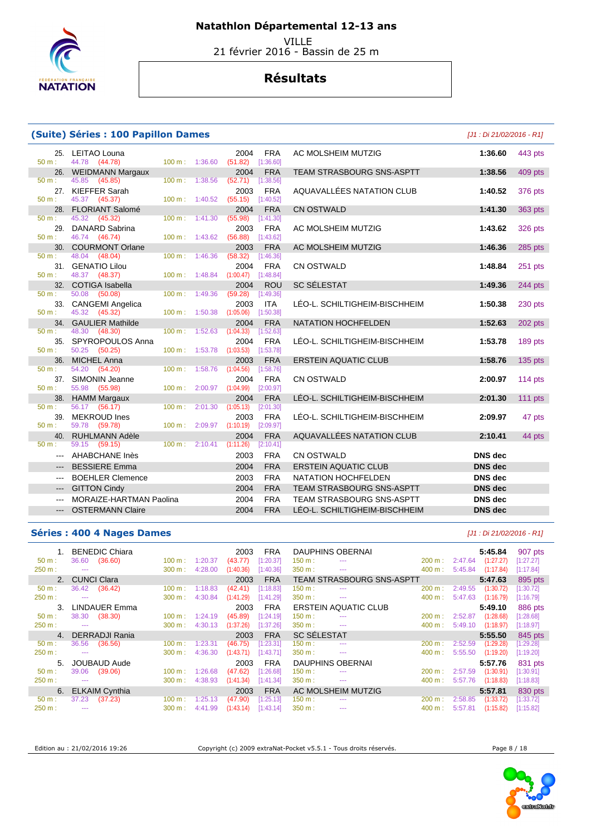

VILLE

21 février 2016 - Bassin de 25 m

## **Résultats**

#### **(Suite) Séries : 100 Papillon Dames**

25. LEITAO Louna 2004 FRA<br>
<sup>2004</sup> <sup>200</sup>m: 44.78 (44.78) 100 m: 1:36.60 (51.82) [1:36.60] 44.78 (44.78) 26. WEIDMANN Margaux 2004 FRA<br>  $\frac{2004}{50 \text{ m}}$ : 45.85 (45.85) **100 m**: 1:38.56 (52.71) [1:38.56]  $(45.85)$ 27. KIEFFER Sarah 2003 FRA<br>
<sup>2003</sup> <sup>1.40.52</sup> 100 m: 1:40.52 (55.15) [1:40.52]  $(45.37)$ 28. FLORIANT Salomé 2004 FRA<br>  $\frac{2004}{50 \text{ m}}$ : 45.32 (45.32) 100 m: 1:41.30 (55.98) [1:41.30] 50 m : 45.32 (45.32) 100 m : 1:41.30 (55.98) [1:41.30] 29. DANARD Sabrina 2003 FRA<br>
2003 FRA  $\frac{2003}{100 \text{ m}}$  1:43.62 (56.88) [1:43.62] 46.74 (46.74) 30. COURMONT Orlane 2003 FRA<br>
50 m : 48.04 (48.04) 100 m : 1:46.36 (58.32) [1:46.36] 50 m : 48.04 (48.04) 100 m : 1:46.36 (58.32) [1:46.36] 31. GENATIO Lilou 2004 FRA<br>
50 m : 48.37 (48.37) 100 m : 1:48.84 (1:00.47) [1:48.84]  $(48.37)$ 32. COTIGA Isabella 2004 ROU 2004 **ROU** 50 m : 50.08 **(50.08)** 100 m : 1:49.36 **(59.28)** [1:49.36] 50 m : 50.08 (50.08) 100 m : 1:49.36 (59.28) [1:49.36] 33. CANGEMI Angelica 2003 ITA<br>  $\frac{50 \text{ m}}{45.32}$  (45.32)  $\frac{100 \text{ m}}{45.0 \text{ m}}$  provided 1:50.38 pts 1:50.38 pts 1:50.38 50 m : 45.32 (45.32) 100 m : 1:50.38 (1:05.06) [1:50.38] 34. GAULIER Mathilde 2004 FRA<br>  $\frac{50 \text{ m}}{2004}$  100 m; 1:52.63 (1:04.33) [1:52.63] 50 m : 48.30 (48.30) 100 m : 1:52.63 (1:04.33) [1:52.63] 35. SPYROPOULOS Anna 2004 FRA<br>  $50 \text{ m}: 50.25 (50.25) (1:53.78)$ 50.25 (50.25) 36. MICHEL Anna **2003** FRA 50 m : 54.20 (54.20) 100 m : 1:58.76 (1:04.56) [1:58.76] 37. SIMONIN Jeanne 2004 FRA<br>
50 m : 55.98 (55.98) 100 m : 2:00.97 (1:04.99) [2:00.97] 50 m : 55.98 (55.98) 100 m : 2:00.97 (1:04.99) [2:00.97] 38. HAMM Margaux 2004 FRA<br>  $\frac{50 \text{ m}}{2.01.30}$  56.17 (56.17) 100 m 2:01.30 (1:05.13) [2:01.30] 56.17 (56.17) 39. MEKROUD Ines 2003 FRA<br>100 m : 2:09.97 **(1:10.19)** [2:09.97] 50 m : 59.78 (59.78) 100 m : 40. RUHLMANN Adèle 2004 FRA<br>  $\frac{40.730 \text{ m}}{50 \text{ m}}$ : 59.15 (59.15)  $\frac{50 \text{ m}}{2.10 \text{ m}}$ : 2:10.41 (1:11.26) [2:10.41] 50 m : 59.15 (59.15) 100 m : 2:10.41 (1:11.26) [2:10.41] --- AHABCHANE Inès 2003 FRA --- BESSIERE Emma 2004 FRA --- BOEHLER Clemence 2003 FRA --- GITTON Cindy 2004 FRA --- MORAIZE-HARTMAN Paolina 2004 FRA --- OSTERMANN Claire 2004 FRA

|                                  | [J1 : Di 21/02/2016 - R1] |                |
|----------------------------------|---------------------------|----------------|
| AC MOLSHEIM MUTZIG               | 1:36.60                   | 443 pts        |
| <b>TEAM STRASBOURG SNS-ASPTT</b> | 1:38.56                   | 409 pts        |
| AQUAVALLÉES NATATION CLUB        | 1:40.52                   | 376 pts        |
| <b>CN OSTWALD</b>                | 1:41.30                   | 363 pts        |
| AC MOLSHEIM MUTZIG               | 1:43.62                   | <b>326 pts</b> |
| AC MOLSHEIM MUTZIG               | 1:46.36                   | 285 pts        |
| <b>CN OSTWALD</b>                | 1:48.84                   | 251 pts        |
| SC SÉLESTAT                      | 1:49.36                   | 244 pts        |
| LÉO-L. SCHILTIGHEIM-BISCHHEIM    | 1:50.38                   | 230 pts        |
| <b>NATATION HOCHFELDEN</b>       | 1:52.63                   | 202 pts        |
| LÉO-L. SCHILTIGHEIM-BISCHHEIM    | 1:53.78                   | 189 pts        |
| <b>ERSTEIN AQUATIC CLUB</b>      | 1:58.76                   | $135$ pts      |
| <b>CN OSTWALD</b>                | 2:00.97                   | $114$ pts      |
| LÉO-L. SCHILTIGHEIM-BISCHHEIM    | 2:01.30                   | 111 $pts$      |
| LÉO-L. SCHILTIGHEIM-BISCHHEIM    | 2:09.97                   | 47 pts         |
| AQUAVALLÉES NATATION CLUB        | 2:10.41                   | 44 pts         |
| <b>CN OSTWALD</b>                | <b>DNS</b> dec            |                |
| <b>ERSTEIN AQUATIC CLUB</b>      | <b>DNS</b> dec            |                |
| <b>NATATION HOCHFELDEN</b>       | <b>DNS</b> dec            |                |
| TEAM STRASBOURG SNS-ASPTT        | <b>DNS</b> dec            |                |
| TEAM STRASBOURG SNS-ASPTT        | <b>DNS</b> dec            |                |
| LÉO-L. SCHILTIGHEIM-BISCHHEIM    | <b>DNS</b> dec            |                |

#### **Séries : 400 4 Nages Dames and the series of the series of the series (J1** : Di 21/02/2016 - R1]

| <b>BENEDIC Chiara</b> |                   |         | 2003      | <b>FRA</b> |           |                                                                                                                                                                                                                                                                                                                                                                                                                                                                            |                                                                                         |                                                                 |           | 907 pts                                                        |
|-----------------------|-------------------|---------|-----------|------------|-----------|----------------------------------------------------------------------------------------------------------------------------------------------------------------------------------------------------------------------------------------------------------------------------------------------------------------------------------------------------------------------------------------------------------------------------------------------------------------------------|-----------------------------------------------------------------------------------------|-----------------------------------------------------------------|-----------|----------------------------------------------------------------|
| 36.60<br>(36.60)      | 100 m:            | 1:20.37 | (43.77)   | [1:20.37]  | $150 m$ : | $\cdots$                                                                                                                                                                                                                                                                                                                                                                                                                                                                   | 200 m:                                                                                  | 2:47.64                                                         | (1:27.27) | [1:27.27]                                                      |
| $\sim$ $\sim$         | 300 m:            | 4:28.00 | (1:40.36) | [1:40.36]  | 350 m:    | $\sim$ $\sim$ $\sim$                                                                                                                                                                                                                                                                                                                                                                                                                                                       | 400 m:                                                                                  | 5:45.84                                                         | (1:17.84) | [1:17.84]                                                      |
| CUNCI Clara           |                   |         | 2003      | <b>FRA</b> |           |                                                                                                                                                                                                                                                                                                                                                                                                                                                                            |                                                                                         |                                                                 |           | 895 pts                                                        |
| 36.42<br>(36.42)      | 100 m:            | 1:18.83 | (42.41)   | [1:18.83]  | $150 m$ : | $-1$                                                                                                                                                                                                                                                                                                                                                                                                                                                                       | 200 m:                                                                                  | 2:49.55                                                         | (1:30.72) | [1:30.72]                                                      |
| $\cdots$              | 300 m:            | 4:30.84 | (1:41.29) | [1:41.29]  | 350 m:    | $\sim$ $\sim$ $\sim$                                                                                                                                                                                                                                                                                                                                                                                                                                                       | 400 m:                                                                                  | 5:47.63                                                         | (1:16.79) | [1:16.79]                                                      |
| LINDAUER Emma         |                   |         | 2003      | <b>FRA</b> |           |                                                                                                                                                                                                                                                                                                                                                                                                                                                                            |                                                                                         |                                                                 |           | 886 pts                                                        |
| 38.30<br>(38.30)      | $100 \text{ m}$ : | 1:24.19 | (45.89)   | [1:24.19]  | $150 m$ : | $\cdots$                                                                                                                                                                                                                                                                                                                                                                                                                                                                   | $200 \text{ m}$ :                                                                       | 2:52.87                                                         | (1:28.68) | [1:28.68]                                                      |
| $- - -$               | 300 m:            | 4:30.13 | (1:37.26) | [1:37.26]  | 350 m:    | $\sim$ $\sim$ $\sim$                                                                                                                                                                                                                                                                                                                                                                                                                                                       | 400 m:                                                                                  | 5:49.10                                                         | (1:18.97) | [1:18.97]                                                      |
| DERRADJI Rania        |                   |         | 2003      | <b>FRA</b> |           |                                                                                                                                                                                                                                                                                                                                                                                                                                                                            |                                                                                         |                                                                 |           | 845 pts                                                        |
| 36.56<br>(36.56)      | 100 m:            | 1:23.31 | (46.75)   | [1:23.31]  | 150 m :   | $\cdots$                                                                                                                                                                                                                                                                                                                                                                                                                                                                   | 200 m:                                                                                  | 2:52.59                                                         | (1:29.28) | 1:29.28                                                        |
| $  -$                 | 300 m:            | 4:36.30 | (1:43.71) | [1:43.71]  | 350 m:    | $\cdots$                                                                                                                                                                                                                                                                                                                                                                                                                                                                   | 400 m:                                                                                  | 5:55.50                                                         | (1:19.20) | [1:19.20]                                                      |
| <b>JOUBAUD Aude</b>   |                   |         | 2003      | <b>FRA</b> |           |                                                                                                                                                                                                                                                                                                                                                                                                                                                                            |                                                                                         |                                                                 |           | 831 pts                                                        |
| 39.06<br>(39.06)      | 100 m:            | 1:26.68 | (47.62)   | [1:26.68]  | $150 m$ : | $\cdots$                                                                                                                                                                                                                                                                                                                                                                                                                                                                   | 200 m:                                                                                  | 2:57.59                                                         | (1:30.91) | [1:30.91]                                                      |
| $\cdots$              | 300 m:            | 4:38.93 | (1:41.34) | [1:41.34]  | 350 m:    | $\frac{1}{2} \left( \frac{1}{2} \right) \left( \frac{1}{2} \right) \left( \frac{1}{2} \right) \left( \frac{1}{2} \right) \left( \frac{1}{2} \right) \left( \frac{1}{2} \right) \left( \frac{1}{2} \right) \left( \frac{1}{2} \right) \left( \frac{1}{2} \right) \left( \frac{1}{2} \right) \left( \frac{1}{2} \right) \left( \frac{1}{2} \right) \left( \frac{1}{2} \right) \left( \frac{1}{2} \right) \left( \frac{1}{2} \right) \left( \frac{1}{2} \right) \left( \frac$ | 400 m:                                                                                  | 5:57.76                                                         | (1:18.83) | [1:18.83]                                                      |
| <b>ELKAIM Cynthia</b> |                   |         | 2003      | <b>FRA</b> |           |                                                                                                                                                                                                                                                                                                                                                                                                                                                                            |                                                                                         |                                                                 |           | 830 pts                                                        |
| 37.23<br>(37.23)      | 100 m:            | 1:25.13 | (47.90)   | [1:25.13]  | 150 m :   | $\cdots$                                                                                                                                                                                                                                                                                                                                                                                                                                                                   | 200 m:                                                                                  | 2:58.85                                                         | (1:33.72) | [1:33.72]                                                      |
| $- - -$               | 300 m:            | 4:41.99 | (1:43.14) | [1:43.14]  | $350 m$ : | $\frac{1}{2} \left( \frac{1}{2} \right) \left( \frac{1}{2} \right) \left( \frac{1}{2} \right) \left( \frac{1}{2} \right) \left( \frac{1}{2} \right) \left( \frac{1}{2} \right) \left( \frac{1}{2} \right) \left( \frac{1}{2} \right) \left( \frac{1}{2} \right) \left( \frac{1}{2} \right) \left( \frac{1}{2} \right) \left( \frac{1}{2} \right) \left( \frac{1}{2} \right) \left( \frac{1}{2} \right) \left( \frac{1}{2} \right) \left( \frac{1}{2} \right) \left( \frac$ | 400 m:                                                                                  | 5:57.81                                                         | (1:15.82) | [1:15.82]                                                      |
|                       |                   |         |           |            |           |                                                                                                                                                                                                                                                                                                                                                                                                                                                                            | DAUPHINS OBERNAI<br><b>SC SÉLESTAT</b><br><b>DAUPHINS OBERNAL</b><br>AC MOLSHEIM MUTZIG | <b>TEAM STRASBOURG SNS-ASPTT</b><br><b>ERSTEIN AQUATIC CLUB</b> |           | 5:45.84<br>5:47.63<br>5:49.10<br>5:55.50<br>5:57.76<br>5:57.81 |

Edition au : 21/02/2016 19:26 Copyright (c) 2009 extraNat-Pocket v5.5.1 - Tous droits réservés. Page 8 / 18

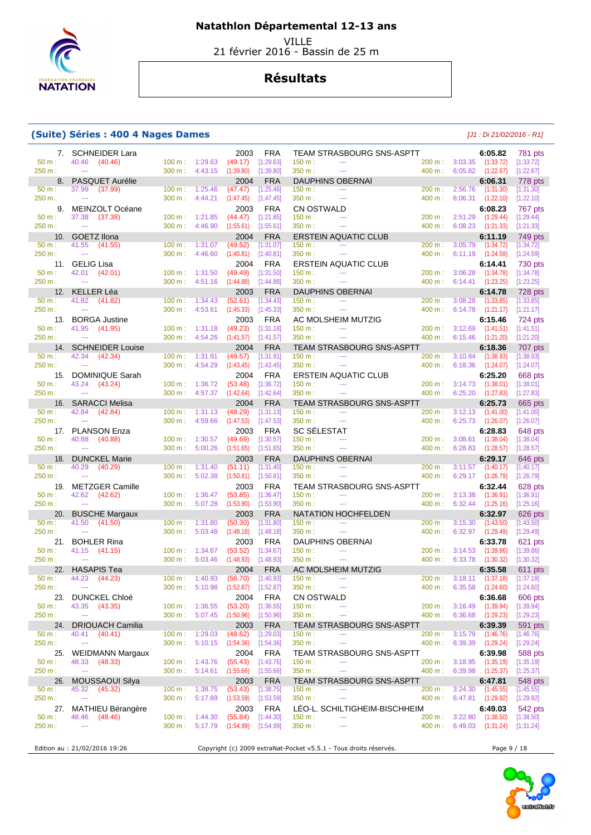

VILLE

21 février 2016 - Bassin de 25 m

## **Résultats**

#### **(Suite) Séries : 400 4 Nages Dames** [J1 : Di 21/02/2016 - R1]

|                    | 7. SCHNEIDER Lara                       |                             |                                                      | 2003                          | <b>FRA</b>                | TEAM STRASBOURG SNS-ASPTT                                                 |                          |                                                       | 6:05.82                                    | <b>781 pts</b>         |
|--------------------|-----------------------------------------|-----------------------------|------------------------------------------------------|-------------------------------|---------------------------|---------------------------------------------------------------------------|--------------------------|-------------------------------------------------------|--------------------------------------------|------------------------|
| $50 m$ :           | 40.46 (40.46)                           | 100 m: 1:29.63              |                                                      | (49.17)                       | [1:29.63]                 | 150 m:<br>$\sim$ $\sim$                                                   |                          | 200 m: 3:03.35 (1:33.72)                              |                                            | [1:33.72]              |
| 250 m:             | $\sim$                                  |                             | 300 m: 4:43.15                                       | (1:39.80)                     | [1:39.80]                 | 350 m:<br>$\sim$                                                          |                          | 400 m: 6:05.82 (1:22.67)                              |                                            | [1:22.67]              |
| 50 m:              | 8. PASQUET Aurélie<br>37.99 (37.99)     | 100 m: 1:25.46              |                                                      | 2004<br>(47.47)               | <b>FRA</b><br>[1:25.46]   | DAUPHINS OBERNAI<br>150 m:<br>$\sim$ $\sim$ $\sim$                        |                          | 200 m: 2:56.76 (1:31.30)                              | 6:06.31                                    | 778 pts<br>[1:31.30]   |
| 250 m:             | $\sim$ $\sim$                           | $300 \text{ m}$ : $4:44.21$ |                                                      | (1:47.45)                     | [1:47.45]                 | 350 m:<br>$\sim$                                                          | 400 m:                   |                                                       | $6:06.31$ $(1:22.10)$                      | [1:22.10]              |
|                    | 9. MEINZOLT Océane                      |                             |                                                      | 2003                          | <b>FRA</b>                | <b>CN OSTWALD</b>                                                         |                          |                                                       | 6:08.23                                    | 767 pts                |
| 50 m:              | 37.38 (37.38)                           |                             | 100 m: 1:21.85                                       | $(44.47)$ [1:21.85]           |                           | 150 m:<br>$\sim$                                                          |                          | 200 m: 2:51.29 (1:29.44)                              |                                            | [1:29.44]              |
| 250 m:             | $\sim$                                  |                             | $300 \text{ m}: 4:46.90$                             | $(1:55.61)$ [1:55.61]         |                           | 350 m:<br>$\cdots$                                                        | 400 m:                   |                                                       | $6:08.23$ $(1:21.33)$                      | [1:21.33]              |
|                    | 10. GOETZ Ilona                         |                             |                                                      | 2004                          | <b>FRA</b>                | <b>ERSTEIN AQUATIC CLUB</b>                                               |                          |                                                       | 6:11.19                                    | 749 pts                |
| 50 m:              | 41.55<br>(41.55)                        |                             | $100 m$ : 1:31.07                                    | (49.52)                       | [1:31.07]                 | 150 m:<br>$\sim$ $\sim$                                                   | 200 m:                   |                                                       | 3:05.79 (1:34.72)                          | [1:34.72]              |
| 250 m:             | $\sim$                                  |                             | $300 \text{ m}: 4:46.60$                             | $(1:40.81)$ $[1:40.81]$       |                           | 350 m :<br>$\omega_{\rm{max}}$                                            | 400 m:                   |                                                       | 6:11.19 (1:24.59)                          | [1:24.59]              |
| $50 m$ :           | 11. GELIG Lisa<br>42.01 (42.01)         | $100 \text{ m}$ : $1:31.50$ |                                                      | 2004<br>$(49.49)$ $[1:31.50]$ | FRA                       | <b>ERSTEIN AQUATIC CLUB</b><br>150 m:<br>$\sim$ $\sim$ $\sim$             |                          | 200 m: 3:06.28 (1:34.78)                              | 6:14.41                                    | 730 pts<br>[1:34.78]   |
| 250 m:             | $\sim$                                  |                             | $300 \text{ m}: 4:51.16$                             | (1:44.88)                     | [1:44.88]                 | 350 m:<br>$\sim$ $\sim$                                                   | $400 m$ :                |                                                       | $6:14.41$ $(1:23.25)$                      | [1:23.25]              |
|                    | 12. KELLER Léa                          |                             |                                                      | 2003                          | <b>FRA</b>                | <b>DAUPHINS OBERNAI</b>                                                   |                          |                                                       | 6:14.78                                    | 728 pts                |
| 50 m:              | 41.82 (41.82)                           | $100 \text{ m}: 1:34.43$    |                                                      | $(52.61)$ [1:34.43]           |                           | 150 m:<br>$\sim$ $\sim$                                                   | 200 m:                   |                                                       | $3:08.28$ $(1:33.85)$                      | [1:33.85]              |
| 250 m:             | $\sim$                                  | 300 m: 4:53.61              |                                                      | (1:45.33)                     | $[1:45.33]$               | 350 m:<br>$\sim$ $\sim$                                                   |                          |                                                       | 400 m: 6:14.78 (1:21.17)                   | [1:21.17]              |
|                    | 13. BORGA Justine                       |                             |                                                      | 2003                          | <b>FRA</b>                | AC MOLSHEIM MUTZIG                                                        |                          |                                                       | 6:15.46                                    | 724 pts                |
| $50 m$ :           | 41.95 (41.95)                           |                             | $100 \text{ m}: 1:31.18$                             | (49.23)                       | [1:31.18]                 | 150 m:<br>$\sim$                                                          |                          | 200 m: 3:12.69 (1:41.51)                              |                                            | [1:41.51]              |
| 250 m:             | $\sim$                                  |                             | $300 \text{ m}: 4:54.26$                             | (1:41.57)                     | [1:41.57]                 | 350 m:<br>$\sim$ $\sim$                                                   |                          | 400 m: 6:15.46 (1:21.20)                              |                                            | [1:21.20]              |
| 50 m:              | 14. SCHNEIDER Louise<br>42.34 (42.34)   | 100 m: 1:31.91              |                                                      | 2004<br>(49.57)               | <b>FRA</b><br>[1:31.91]   | <b>TEAM STRASBOURG SNS-ASPTT</b><br>150 m:<br>$\sim$ $\sim$               |                          | $200 \text{ m}: 3:10.84$ (1:38.93)                    | 6:18.36                                    | 707 pts<br>[1:38.93]   |
| 250 m:             | $\sim$                                  | $300 m$ :                   | 4:54.29                                              | (1:43.45)                     | [1:43.45]                 | 350 m:<br>$\sim$                                                          |                          |                                                       | 400 m: 6:18.36 (1:24.07)                   | [1:24.07]              |
|                    | 15. DOMINIQUE Sarah                     |                             |                                                      | 2004                          | <b>FRA</b>                | ERSTEIN AQUATIC CLUB                                                      |                          |                                                       | 6:25.20                                    | 668 pts                |
| 50 m:              | 43.24 (43.24)                           |                             | 100 m: 1:36.72                                       | (53.48)                       | [1:36.72]                 | 150 m:<br>$\sim$                                                          |                          | 200 m: 3:14.73 (1:38.01)                              |                                            | [1:38.01]              |
| 250 m:             | $\sim$                                  |                             | 300 m: 4:57.37                                       | $(1:42.64)$ $[1:42.64]$       |                           | 350 m:<br>$\sim$                                                          | 400 m:                   |                                                       | $6:25.20$ $(1:27.83)$                      | [1:27.83]              |
|                    | 16. SARACCI Melisa                      |                             |                                                      | 2004                          | <b>FRA</b>                | <b>TEAM STRASBOURG SNS-ASPTT</b>                                          |                          |                                                       | 6:25.73                                    | 665 pts                |
| 50 m:              | 42.84 (42.84)                           |                             | 100 m: 1:31.13                                       | (48.29)                       | [1:31.13]                 | 150 m:<br>$\sim$ $\sim$ $\sim$                                            |                          | 200 m: 3:12.13 (1:41.00)                              |                                            | [1:41.00]              |
| 250 m:             | $\sim$                                  | 300 m:                      | 4:59.66                                              | $(1:47.53)$ $[1:47.53]$       |                           | 350 m:<br>$\sim$ $\sim$ $\sim$                                            | 400 m:                   |                                                       | 6:25.73 (1:26.07)                          | [1:26.07]              |
| $50 m$ :           | 17. PLANSON Enza<br>40.88 (40.88)       | 100 m: 1:30.57              |                                                      | 2003<br>(49.69)               | FRA<br>[1:30.57]          | SC SÉLESTAT<br>150 m:<br>$\sim$                                           |                          | 200 m: 3:08.61 (1:38.04)                              | 6:28.83                                    | 648 pts<br>[1:38.04]   |
| 250 m:             | $\sim$                                  | $300 \text{ m}$ :           | 5:00.26                                              | (1:51.65)                     | $[1:51.65]$               | 350 m:<br>$\sim$                                                          |                          | 400 m: 6:28.83 (1:28.57)                              |                                            | [1:28.57]              |
| 18.                | <b>DUNCKEL Marie</b>                    |                             |                                                      | 2003                          | <b>FRA</b>                | <b>DAUPHINS OBERNAI</b>                                                   |                          |                                                       | 6:29.17                                    | 646 pts                |
| 50 m:              | 40.29 (40.29)                           |                             | $100 \text{ m}: 1:31.40$                             | (51.11)                       | [1:31.40]                 | 150 m:<br>$\rightarrow$ $\rightarrow$                                     | 200 m:                   |                                                       | $3:11.57$ $(1:40.17)$                      | [1:40.17]              |
| 250 m:             | $-$                                     |                             | 300 m: 5:02.38                                       | $(1:50.81)$ $[1:50.81]$       |                           | 350 m:<br>$\sim$                                                          | 400 m:                   |                                                       | 6:29.17 (1:26.79)                          | [1:26.79]              |
|                    | 19. METZGER Camille                     |                             |                                                      | 2003                          | <b>FRA</b>                | <b>TEAM STRASBOURG SNS-ASPTT</b>                                          |                          |                                                       | 6:32.44                                    | 628 pts                |
|                    |                                         |                             | 100 m: 1:36.47                                       | (53.85)                       | [1:36.47]                 | 150 m:<br>$\sim$ $\sim$                                                   |                          | 200 m: 3:13.38 (1:36.91)                              |                                            | [1:36.91]<br>[1:25.16] |
| 50 m:              | 42.62 (42.62)                           |                             |                                                      |                               |                           |                                                                           |                          |                                                       |                                            |                        |
| 250 m:             | $\sim$                                  |                             | 300 m: 5:07.28                                       | (1:53.90)                     | [1:53.90]                 | 350 m:<br>$\sim$ $\sim$ $\sim$                                            | 400 m: 6:32.44 (1:25.16) |                                                       |                                            |                        |
|                    | 20. BUSCHE Margaux                      |                             |                                                      | 2003                          | <b>FRA</b>                | NATATION HOCHFELDEN<br>$\sim$                                             |                          |                                                       | 6:32.97                                    | 626 pts                |
| $50 m$ :<br>250 m: | 41.50 (41.50)<br>$\sim$                 | $300 m$ :                   | $100 \text{ m}: 1:31.80$<br>5:03.48                  | (50.30)<br>(1:48.18)          | [1:31.80]<br>[1:48.18]    | 150 m:<br>350 m:<br>$\sim$                                                | $200 m$ :<br>400 m:      |                                                       | $3:15.30$ $(1:43.50)$<br>6:32.97 (1:29.49) | [1:43.50]<br>[1:29.49] |
|                    | 21. BOHLER Rina                         |                             |                                                      | 2003                          | <b>FRA</b>                | <b>DAUPHINS OBERNAI</b>                                                   |                          |                                                       | 6:33.78                                    | 621 pts                |
| $50 m$ :           | 41.15 (41.15)                           | 100 m: 1:34.67              |                                                      | (53.52)                       | [1:34.67]                 | 150 m:<br>$\sim$ $\sim$                                                   | 200 m:                   |                                                       | $3:14.53$ $(1:39.86)$                      | [1:39.86]              |
| 250 m:             | $\sim$ $\sim$                           |                             | 300 m: 5:03.46                                       | $(1:48.93)$ $[1:48.93]$       |                           | 350 m:<br>$\sim$                                                          |                          |                                                       | 400 m: 6:33.78 (1:30.32)                   | [1:30.32]              |
|                    | 22. HASAPIS Tea                         |                             |                                                      | 2004                          | <b>FRA</b>                | AC MOLSHEIM MUTZIG                                                        |                          |                                                       | 6:35.58                                    | 611 pts                |
| 50 m:              | 44.23<br>(44.23)                        |                             | $100 \text{ m}: 1:40.93$                             | (56.70)                       | [1:40.93]                 | 150 m:<br>$\sim$ $\sim$                                                   | 200 m:                   |                                                       | $3:18.11$ $(1:37.18)$                      | [1:37.18]              |
| 250 m:             | $\sim$                                  |                             | 300 m: 5:10.98                                       | (1:52.87)                     | [1:52.87]                 | 350 m:<br>$\sim$ $\sim$                                                   |                          | 400 m: 6:35.58                                        | (1:24.60)                                  | [1:24.60]              |
| 23.                | DUNCKEL Chloé                           |                             |                                                      | 2004                          | FRA                       | <b>CN OSTWALD</b><br>$\scriptstyle\cdots$                                 |                          |                                                       | 6:36.68                                    | 606 pts                |
| 50 m:<br>250 m:    | 43.35 (43.35)<br>$\scriptstyle\cdots$   |                             | $100 \text{ m}: 1:36.55$<br>$300 \text{ m}: 5:07.45$ | (53.20)<br>(1:50.96)          | $[1:36.55]$<br>[1:50.96]  | 150 m:<br>350 m:<br>$\sim$                                                |                          | 200 m : 3:16.49 (1:39.94)<br>400 m: 6:36.68 (1:29.23) |                                            | [1:39.94]<br>[1:29.23] |
| 24.                | <b>DRIOUACH Camilia</b>                 |                             |                                                      | 2003                          | <b>FRA</b>                | <b>TEAM STRASBOURG SNS-ASPTT</b>                                          |                          |                                                       | 6:39.39                                    | 591 pts                |
| 50 m:              | 40.41 (40.41)                           |                             | 100 m: 1:29.03                                       | (48.62)                       | [1:29.03]                 | 150 m:<br>---                                                             |                          | 200 m: 3:15.79 (1:46.76)                              |                                            | [1:46.76]              |
| 250 m:             | $\sim$                                  |                             | 300 m: 5:10.15                                       | (1:54.36)                     | [1:54.36]                 | 350 m:<br>$\scriptstyle\cdots$                                            |                          | 400 m: 6:39.39 (1:29.24)                              |                                            | [1:29.24]              |
|                    | 25. WEIDMANN Margaux                    |                             |                                                      | 2004                          | FRA                       | <b>TEAM STRASBOURG SNS-ASPTT</b>                                          |                          |                                                       | 6:39.98                                    | 588 pts                |
| $50 m$ :           | 48.33 (48.33)                           |                             | $100 \text{ m}: 1:43.76$                             | $(55.43)$ [1:43.76]           |                           | 150 m:<br>$\cdots$                                                        |                          | 200 m : 3:18.95 (1:35.19)                             |                                            | [1:35.19]              |
| 250 m:             | $\sim$                                  |                             | $300 \text{ m}: 5:14.61$                             | (1:55.66)                     | [1:55.66]                 | 350 m:<br>$\sim$ $\sim$                                                   |                          | 400 m: 6:39.98 (1:25.37)                              |                                            | [1:25.37]              |
| 26.<br>50 m:       | <b>MOUSSAOUI Silya</b><br>45.32 (45.32) |                             | $100 \text{ m}: 1:38.75$                             | 2003<br>(53.43)               | <b>FRA</b><br>$[1:38.75]$ | <b>TEAM STRASBOURG SNS-ASPTT</b><br>150 m:<br>$\rightarrow$ $\rightarrow$ | 200 m:                   |                                                       | 6:47.81<br>$3:24.30$ $(1:45.55)$           | 548 pts<br>[1:45.55]   |
| 250 m:             | $\sim$                                  |                             | $300 \text{ m}: 5:17.89$                             | (1:53.59)                     | $[1:53.59]$               | 350 m:<br>$\sim$                                                          |                          | 400 m: 6:47.81 (1:29.92)                              |                                            | [1:29.92]              |
|                    | 27. MATHIEU Bérangère                   |                             |                                                      | 2003                          | <b>FRA</b>                | LÉO-L. SCHILTIGHEIM-BISCHHEIM                                             |                          |                                                       | 6:49.03                                    | 542 pts                |
| 50 m:              | 48.46 (48.46)                           |                             | $100 \text{ m}: 1:44.30$                             | (55.84)                       | $[1:44.30]$               | 150 m:<br>$\scriptstyle\cdots$                                            |                          | 200 m : 3:22.80 (1:38.50)                             |                                            | [1:38.50]              |
| 250 m:             | $\sim$                                  | 300 m:                      | 5:17.79                                              | $(1:54.99)$ $[1:54.99]$       |                           | 350 m:<br>$\cdots$                                                        |                          |                                                       | 400 m: 6:49.03 (1:31.24)                   | $[1:31.24]$            |
|                    |                                         |                             |                                                      |                               |                           |                                                                           |                          |                                                       |                                            |                        |

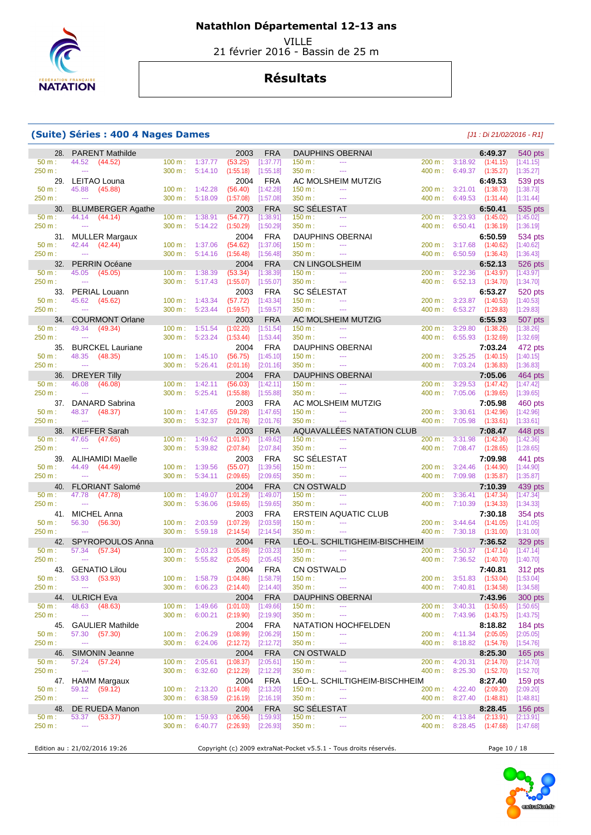

VILLE

21 février 2016 - Bassin de 25 m

## **Résultats**

### **(Suite) Séries : 400 4 Nages Dames** [J1 : Di 21/02/2016 - R1]

| 28.             | <b>PARENT Mathilde</b>                     |                             |                    | 2003                   | <b>FRA</b>              | <b>DAUPHINS OBERNAI</b>                                         |                   |                                                   | 6:49.37                | 540 pts                |
|-----------------|--------------------------------------------|-----------------------------|--------------------|------------------------|-------------------------|-----------------------------------------------------------------|-------------------|---------------------------------------------------|------------------------|------------------------|
| 50 m:<br>250 m: | 44.52 (44.52)<br>$\sim$                    | 100 m: 1:37.77<br>300 m:    |                    | (53.25)                | [1:37.77]               | 150 m:<br><b>Service</b><br>$\sim$ $\sim$ $\sim$                | 400 m:            | 200 m: 3:18.92 (1:41.15)                          | 6:49.37 (1:35.27)      | [1:41.15]              |
|                 | 29. LEITAO Louna                           |                             | 5:14.10            | (1:55.18)<br>2004      | [1:55.18]<br><b>FRA</b> | 350 m:<br>AC MOLSHEIM MUTZIG                                    |                   |                                                   | 6:49.53                | [1:35.27]<br>539 pts   |
| 50 m:           | 45.88 (45.88)                              | 100 m:                      | 1:42.28            | (56.40)                | [1:42.28]               | 150 m:<br>$\cdots$                                              | 200 m:            | $3:21.01$ $(1:38.73)$                             |                        | [1:38.73]              |
| 250 m:          | $\mathbb{Z} \to \mathbb{Z}$                | 300 m:                      | 5:18.09            | (1:57.08)              | [1:57.08]               | 350 m:<br>$\sim$                                                | 400 m:            | 6:49.53 (1:31.44)                                 |                        | [1:31.44]              |
| 30.             | <b>BLUMBERGER Agathe</b>                   |                             |                    | 2003                   | <b>FRA</b>              | <b>SC SÉLESTAT</b>                                              |                   |                                                   | 6:50.41                | 535 pts                |
| 50 m:<br>250 m: | 44.14 (44.14)<br>$\sim$                    | $100 \text{ m}$ :<br>300 m: | 1:38.91<br>5:14.22 | (54.77)<br>(1:50.29)   | [1:38.91]<br>[1:50.29]  | 150 m:<br>$\sim$<br>350 m:<br>$\sim$                            | 200 m:<br>400 m:  | 3:23.93<br>6:50.41                                | (1:45.02)<br>(1:36.19) | [1:45.02]<br>[1:36.19] |
|                 | 31. MULLER Margaux                         |                             |                    | 2004                   | <b>FRA</b>              | <b>DAUPHINS OBERNAI</b>                                         |                   |                                                   | 6:50.59                | 534 pts                |
| 50 m:           | 42.44<br>(42.44)                           | $100 \text{ m}$ :           | 1:37.06            | (54.62)                | [1:37.06]               | 150 m:<br>$\sim$                                                | 200 m:            | 3:17.68                                           | (1:40.62)              | [1:40.62]              |
| 250 m:          | $\sim 100$ and $\sim 100$                  | 300 m:                      | 5:14.16            | (1:56.48)              | [1:56.48]               | 350 m:<br>$\sim$ $\sim$                                         | 400 m:            |                                                   | 6:50.59 (1:36.43)      | [1:36.43]              |
| 32.             | PERRIN Océane                              |                             |                    | 2004                   | <b>FRA</b>              | <b>CN LINGOLSHEIM</b>                                           |                   |                                                   | 6:52.13                | 526 pts                |
| 50 m:<br>250 m: | 45.05<br>(45.05)<br>$\sim$                 | $100 m$ :<br>300 m:         | 1:38.39<br>5:17.43 | (53.34)<br>(1:55.07)   | [1:38.39]<br>[1:55.07]  | 150 m:<br>$\cdots$<br>350 m:<br>$\scriptstyle\cdots$            | 200 m:<br>400 m:  | 6:52.13 (1:34.70)                                 | $3:22.36$ $(1:43.97)$  | [1:43.97]<br>[1:34.70] |
|                 | 33. PERIAL Louann                          |                             |                    | 2003                   | <b>FRA</b>              | <b>SC SÉLESTAT</b>                                              |                   |                                                   | 6:53.27                | 520 pts                |
| 50 m:           | 45.62 (45.62)                              | $100 \text{ m}$ :           | 1:43.34            | (57.72)                | [1:43.34]               | 150 m:<br>$\scriptstyle\cdots$                                  | 200 m:            | 3:23.87                                           | (1:40.53)              | [1:40.53]              |
| 250 m:          | $\sim$                                     | 300 m:                      | 5:23.44            | (1:59.57)              | [1:59.57]               | 350 m:<br>$\sim$ $\sim$                                         | 400 m:            | 6:53.27                                           | (1:29.83)              | [1:29.83]              |
| 34.<br>50 m:    | <b>COURMONT Orlane</b><br>49.34<br>(49.34) | $100 \text{ m}$ :           | 1:51.54            | 2003<br>(1:02.20)      | <b>FRA</b><br>[1:51.54] | AC MOLSHEIM MUTZIG<br>150 m:<br>$\sim$                          | 200 m:            | 3:29.80                                           | 6:55.93<br>(1:38.26)   | 507 pts<br>[1:38.26]   |
| 250 m:          | $\sim$                                     | 300 m:                      | 5:23.24            | (1:53.44)              | [1:53.44]               | 350 m:<br>$\sim$ $\sim$ $\sim$                                  | 400 m:            |                                                   | 6:55.93 (1:32.69)      | [1:32.69]              |
| 35.             | <b>BURCKEL Lauriane</b>                    |                             |                    | 2004                   | <b>FRA</b>              | <b>DAUPHINS OBERNAI</b>                                         |                   |                                                   | 7:03.24                | 472 pts                |
| 50 m:           | 48.35<br>(48.35)                           | 100 m:                      | 1:45.10            | (56.75)                | [1:45.10]               | 150 m:<br>$\sim$                                                | 200 m:            | $3:25.25$ $(1:40.15)$                             |                        | [1:40.15]              |
| 250 m:          | $\sim$                                     | $300 \text{ m}$ :           | 5:26.41            | (2:01.16)              | [2:01.16]               | 350 m:<br>$\sim$ $\sim$                                         | 400 m:            | 7:03.24 (1:36.83)                                 |                        | [1:36.83]              |
| 36.<br>50 m:    | DREYER Tilly<br>46.08<br>(46.08)           | $100 m$ : 1:42.11           |                    | 2004<br>(56.03)        | <b>FRA</b><br>[1:42.11] | <b>DAUPHINS OBERNAI</b><br>150 m:<br>$\sim$ $\sim$              | 200 m:            | 3:29.53                                           | 7:05.06<br>(1:47.42)   | 464 pts<br>[1:47.42]   |
| 250 m:          | $\sim$                                     | 300 m:                      | 5:25.41            | (1:55.88)              | [1:55.88]               | 350 m:<br>$\sim$                                                | 400 m:            | 7:05.06 (1:39.65)                                 |                        | [1:39.65]              |
|                 | 37. DANARD Sabrina                         |                             |                    | 2003                   | <b>FRA</b>              | AC MOLSHEIM MUTZIG                                              |                   |                                                   | 7:05.98                | 460 pts                |
| 50 m:           | 48.37<br>(48.37)                           | 100 m:                      | 1:47.65            | (59.28)                | [1:47.65]               | 150 m:<br>$\sim$ $\sim$                                         | 200 m:            | 3:30.61 (1:42.96)                                 |                        | [1:42.96]              |
| 250 m:          | $\sim$                                     | 300 m:                      | 5:32.37            | (2:01.76)              | [2:01.76]               | 350 m:<br>$-$                                                   | 400 m:            | 7:05.98 (1:33.61)                                 |                        | [1:33.61]              |
| 38.<br>50 m:    | KIEFFER Sarah<br>47.65<br>(47.65)          | $100 m$ :                   | 1:49.62            | 2003<br>(1:01.97)      | <b>FRA</b><br>[1:49.62] | AQUAVALLÉES NATATION CLUB<br>150 m:<br>$\cdots$                 | 200 m:            | $3:31.98$ $(1:42.36)$                             | 7:08.47                | 448 pts<br>[1:42.36]   |
| 250 m:          | $\sim$                                     | 300 m:                      | 5:39.82            | (2:07.84)              | [2:07.84]               | 350 m:<br>$\cdots$                                              | 400 m:            | 7:08.47 (1:28.65)                                 |                        | [1:28.65]              |
|                 | 39. ALIHAMIDI Maelle                       |                             |                    | 2003                   | <b>FRA</b>              | <b>SC SÉLESTAT</b>                                              |                   |                                                   | 7:09.98                | 441 pts                |
| 50 m:           | 44.49<br>(44.49)                           | $100 \text{ m}$ :           | 1:39.56            | (55.07)                | [1:39.56]               | 150 m:<br>$\sim$                                                | 200 m:            | 3:24.46                                           | (1:44.90)              | [1:44.90]              |
| 250 m:<br>40.   | $\sim$<br><b>FLORIANT Salomé</b>           | 300 m:                      | 5:34.11            | (2:09.65)<br>2004      | [2:09.65]<br><b>FRA</b> | 350 m:<br>$\sim$<br><b>CN OSTWALD</b>                           |                   | 400 m: 7:09.98 (1:35.87)                          | 7:10.39                | [1:35.87]<br>439 pts   |
| 50 m:           | 47.78<br>(47.78)                           | $100 \text{ m}$ :           | 1:49.07            | (1:01.29)              | [1:49.07]               | 150 m:<br>$\cdots$                                              | 200 m:            | 3:36.41                                           | (1:47.34)              | [1:47.34]              |
| 250 m:          | $\sim$                                     | 300 m:                      | 5:36.06            | (1:59.65)              | [1:59.65]               | 350 m:<br>$\scriptstyle\cdots$                                  | 400 m:            | 7:10.39 (1:34.33)                                 |                        | [1:34.33]              |
|                 | 41. MICHEL Anna                            |                             |                    | 2003                   | <b>FRA</b>              | <b>ERSTEIN AQUATIC CLUB</b>                                     |                   |                                                   | 7:30.18                | 354 pts                |
| 50 m:<br>250 m: | 56.30<br>(56.30)<br>$\sim$                 | $100 m$ :<br>300 m:         | 2:03.59<br>5:59.18 | (1:07.29)<br>(2:14.54) | [2:03.59]<br>[2:14.54]  | 150 m:<br>$\sim$ $\sim$ $\sim$<br>350 m :<br>$\sim$             | 200 m:            | $3:44.64$ $(1:41.05)$<br>400 m: 7:30.18 (1:31.00) |                        | [1:41.05]<br>[1:31.00] |
|                 | 42. SPYROPOULOS Anna                       |                             |                    | 2004                   | <b>FRA</b>              | LEO-L. SCHILTIGHEIM-BISCHHEIM                                   |                   |                                                   | 7:36.52                | 329 pts                |
| 50 m:           | 57.34<br>(57.34)                           | $100 \text{ m}$ :           | 2:03.23            | (1:05.89)              | [2:03.23]               | 150 m:<br>$\sim$ $\sim$                                         | 200 m:            | 3:50.37                                           | (1:47.14)              | [1:47.14]              |
| 250 m:          | $\sim$                                     | $300 \text{ m}$ :           | 5:55.82            | (2:05.45)              | [2:05.45]               | 350 m:<br>$\sim$                                                | 400 m:            | 7:36.52                                           | (1:40.70)              | [1:40.70]              |
| 50 m:           | 43. GENATIO Lilou                          | $100 m$ :                   | 1:58.79            | 2004                   | <b>FRA</b><br>[1:58.79] | CN OSTWALD<br>$\mathbb{Z} \to \mathbb{Z}$<br>150 m:             |                   | 200 m: 3:51.83 (1:53.04)                          | 7:40.81                | 312 pts                |
| 250 m:          | 53.93<br>(53.93)<br>$\sim$                 | 300 m:                      | 6:06.23            | (1:04.86)<br>(2:14.40) | [2:14.40]               | 350 m :                                                         | 400 m:            | 7:40.81                                           | (1:34.58)              | [1:53.04]<br>[1:34.58] |
| 44.             | <b>ULRICH Eva</b>                          |                             |                    | 2004                   | <b>FRA</b>              | <b>DAUPHINS OBERNAI</b>                                         |                   |                                                   | 7:43.96                | 300 pts                |
| 50 m:           | 48.63<br>(48.63)                           | $100 \text{ m}$ :           | 1:49.66            | (1:01.03)              | [1:49.66]               | 150 m:                                                          | 200 m :           | 3:40.31 (1:50.65)                                 |                        | [1:50.65]              |
| 250 m:          | $\rightarrow$                              | 300 m:                      | 6:00.21            | (2:19.90)              | [2:19.90]               | 350 m:<br>$\scriptstyle\cdots$                                  |                   | 400 m: 7:43.96 (1:43.75)                          |                        | [1:43.75]              |
| 45.<br>50 m:    | <b>GAULIER Mathilde</b><br>57.30 (57.30)   | 100 m:                      | 2:06.29            | 2004<br>(1:08.99)      | <b>FRA</b><br>[2:06.29] | NATATION HOCHFELDEN<br>150 m:<br>$\scriptstyle\cdots$           |                   | 200 m : 4:11.34 (2:05.05)                         | 8:18.82                | 184 pts<br>[2:05.05]   |
| 250 m:          | $\rightarrow$ $\rightarrow$                | 300 m:                      | 6:24.06            | (2:12.72)              | [2:12.72]               | 350 m:<br>$\scriptstyle\cdots$                                  |                   | 400 m: 8:18.82 (1:54.76)                          |                        | [1:54.76]              |
| 46.             | SIMONIN Jeanne                             |                             |                    | 2004                   | <b>FRA</b>              | <b>CN OSTWALD</b>                                               |                   |                                                   | 8:25.30                | $165$ pts              |
| 50 m:           | (57.24)<br>57.24                           | 100 m:                      | 2:05.61            | (1:08.37)              | [2:05.61]               | 150 m:<br>$\scriptstyle\cdots$                                  | $200 m$ :         | 4:20.31                                           | (2:14.70)              | [2:14.70]              |
| 250 m:          | $\sim$                                     | 300 m:                      | 6:32.60            | (2:12.29)              | [2:12.29]               | 350 m:<br>$\scriptstyle\cdots$                                  | $400 \text{ m}$ : | 8:25.30 (1:52.70)                                 |                        | [1:52.70]              |
| 47.<br>50 m:    | HAMM Margaux<br>59.12 (59.12)              | 100 m:                      | 2:13.20            | 2004<br>(1:14.08)      | <b>FRA</b><br>[2:13.20] | LEO-L. SCHILTIGHEIM-BISCHHEIM<br>150 m:<br>$\scriptstyle\cdots$ |                   | 200 m : 4:22.40 (2:09.20)                         | 8:27.40                | 159 $pts$<br>[2:09.20] |
| 250 m:          | $\rightarrow$ $\rightarrow$                | 300 m:                      | 6:38.59            | (2:16.19)              | [2:16.19]               | 350 m:<br>$\scriptstyle\cdots$                                  |                   | 400 m: 8:27.40 (1:48.81)                          |                        | [1:48.81]              |
| 48.             | DE RUEDA Manon                             |                             |                    | 2004                   | <b>FRA</b>              | <b>SC SELESTAT</b>                                              |                   |                                                   | 8:28.45                | $156$ pts              |
| 50 m:           | 53.37<br>(53.37)                           |                             | 100 m: 1:59.93     | (1:06.56)              | [1:59.93]               | 150 m:<br>---                                                   |                   | 200 m: 4:13.84                                    | (2:13.91)              | [2:13.91]              |
| 250 m:          | $\rightarrow$ $\rightarrow$                | $300 \text{ m}$ :           | 6:40.77            | (2:26.93)              | [2:26.93]               | 350 m:<br>$\cdots$                                              |                   | 400 m: 8:28.45                                    | (1:47.68)              | [1:47.68]              |

Edition au : 21/02/2016 19:26 Copyright (c) 2009 extraNat-Pocket v5.5.1 - Tous droits réservés. Page 10 / 18

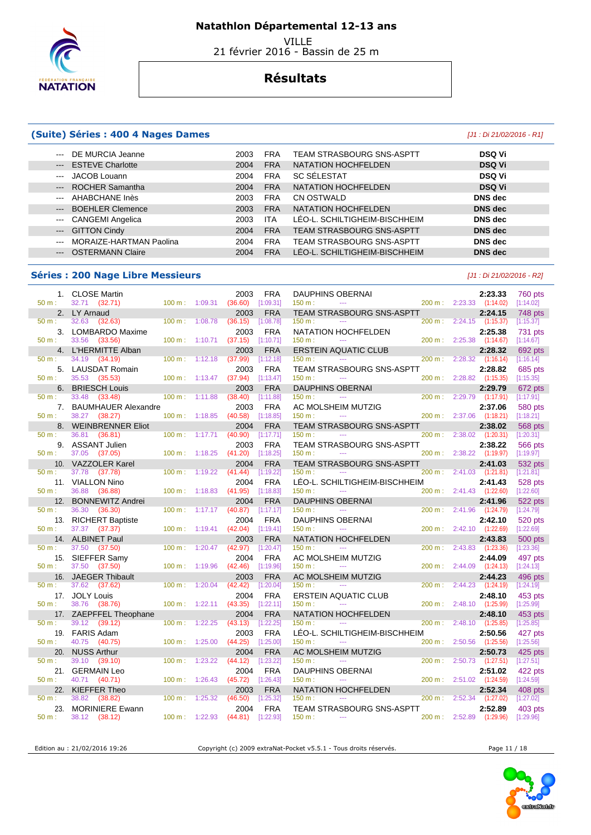

 VILLE 21 février 2016 - Bassin de 25 m

## **Résultats**

### **(Suite) Séries : 400 4 Nages Dames** [J1 : Di 21/02/2016 - R1]

| --- DE MURCIA Jeanne                                                                                                                                                                                                                                                                                                                                                                                                                                                                         |                         | 2003 | <b>FRA</b> | <b>TEAM STRASBOURG SNS-ASPTT</b> | <b>DSQ Vi</b>  |
|----------------------------------------------------------------------------------------------------------------------------------------------------------------------------------------------------------------------------------------------------------------------------------------------------------------------------------------------------------------------------------------------------------------------------------------------------------------------------------------------|-------------------------|------|------------|----------------------------------|----------------|
| <b>ESTEVE Charlotte</b><br>$\qquad \qquad - -$                                                                                                                                                                                                                                                                                                                                                                                                                                               |                         | 2004 | <b>FRA</b> | NATATION HOCHFELDEN              | <b>DSQ Vi</b>  |
| JACOB Louann<br>$\frac{1}{2} \frac{1}{2} \frac{1}{2} \frac{1}{2} \frac{1}{2} \frac{1}{2} \frac{1}{2} \frac{1}{2} \frac{1}{2} \frac{1}{2} \frac{1}{2} \frac{1}{2} \frac{1}{2} \frac{1}{2} \frac{1}{2} \frac{1}{2} \frac{1}{2} \frac{1}{2} \frac{1}{2} \frac{1}{2} \frac{1}{2} \frac{1}{2} \frac{1}{2} \frac{1}{2} \frac{1}{2} \frac{1}{2} \frac{1}{2} \frac{1}{2} \frac{1}{2} \frac{1}{2} \frac{1}{2} \frac{$                                                                                 |                         | 2004 | <b>FRA</b> | SC SÉLESTAT                      | <b>DSQ Vi</b>  |
| --- ROCHER Samantha                                                                                                                                                                                                                                                                                                                                                                                                                                                                          |                         | 2004 | <b>FRA</b> | NATATION HOCHFELDEN              | <b>DSQ Vi</b>  |
| AHABCHANE Inès<br>$\frac{1}{2} \left( \frac{1}{2} \right) \left( \frac{1}{2} \right) \left( \frac{1}{2} \right) \left( \frac{1}{2} \right) \left( \frac{1}{2} \right) \left( \frac{1}{2} \right) \left( \frac{1}{2} \right) \left( \frac{1}{2} \right) \left( \frac{1}{2} \right) \left( \frac{1}{2} \right) \left( \frac{1}{2} \right) \left( \frac{1}{2} \right) \left( \frac{1}{2} \right) \left( \frac{1}{2} \right) \left( \frac{1}{2} \right) \left( \frac{1}{2} \right) \left( \frac$ |                         | 2003 | <b>FRA</b> | CN OSTWALD                       | <b>DNS</b> dec |
| --- BOEHLER Clemence                                                                                                                                                                                                                                                                                                                                                                                                                                                                         |                         | 2003 | <b>FRA</b> | NATATION HOCHFELDEN              | <b>DNS</b> dec |
| <b>CANGEMI Angelica</b><br>$\sim$ $\sim$ $\sim$                                                                                                                                                                                                                                                                                                                                                                                                                                              |                         | 2003 | <b>ITA</b> | LÉO-L. SCHILTIGHEIM-BISCHHEIM    | DNS dec        |
| --- GITTON Cindy                                                                                                                                                                                                                                                                                                                                                                                                                                                                             |                         | 2004 | <b>FRA</b> | <b>TEAM STRASBOURG SNS-ASPTT</b> | <b>DNS</b> dec |
| $\frac{1}{2}$                                                                                                                                                                                                                                                                                                                                                                                                                                                                                | MORAIZE-HARTMAN Paolina | 2004 | <b>FRA</b> | <b>TEAM STRASBOURG SNS-ASPTT</b> | DNS dec        |
| <b>OSTERMANN Claire</b><br>$\qquad \qquad - -$                                                                                                                                                                                                                                                                                                                                                                                                                                               |                         | 2004 | <b>FRA</b> | LÉO-L. SCHILTIGHEIM-BISCHHEIM    | <b>DNS</b> dec |
|                                                                                                                                                                                                                                                                                                                                                                                                                                                                                              |                         |      |            |                                  |                |

#### **Séries : 200 Nage Libre Messieurs Community Community Community Community Community Community Community Community**

| $1_{\cdot}$     | <b>CLOSE Martin</b>                          |                |         | 2003            | <b>FRA</b>              | <b>DAUPHINS OBERNAI</b>                                            |                   |                | 2:23.33                          | <b>760 pts</b>              |
|-----------------|----------------------------------------------|----------------|---------|-----------------|-------------------------|--------------------------------------------------------------------|-------------------|----------------|----------------------------------|-----------------------------|
| 50 m:           | 32.71 (32.71)                                | 100 m: 1:09.31 |         | (36.60)         | [1:09.31]<br><b>FRA</b> | 150 m:<br>$\sim$ $\sim$                                            |                   |                | 200 m: 2:23.33 (1:14.02)         | [1:14.02]                   |
| 50 m:           | 2. LY Arnaud<br>32.63<br>(32.63)             | 100 m:         | 1:08.78 | 2003<br>(36.15) | [1:08.78]               | TEAM STRASBOURG SNS-ASPTT<br>150 m:<br>$- - -$                     | 200 m:            |                | 2:24.15<br>$2:24.15$ $(1:15.37)$ | 748 pts<br>[1:15.37]        |
|                 |                                              |                |         |                 |                         |                                                                    |                   |                |                                  |                             |
| 3.              | LOMBARDO Maxime                              |                |         | 2003            | <b>FRA</b>              | NATATION HOCHFELDEN                                                |                   |                | 2:25.38                          | 731 pts                     |
| $50 m$ :        | 33.56<br>(33.56)                             | 100 m: 1:10.71 |         | (37.15)         | [1:10.71]               | 150 m:<br>$\overline{a}$                                           |                   | 200 m: 2:25.38 | (1:14.67)                        | [1:14.67]                   |
| 4.<br>$50 m$ :  | L'HERMITTE Alban<br>34.19                    | 100 m:         | 1:12.18 | 2003            | <b>FRA</b>              | <b>ERSTEIN AQUATIC CLUB</b><br>150 m:<br>$\sim$ $\sim$             | 200 m:            | 2:28.32        | 2:28.32                          | 692 pts                     |
|                 | (34.19)                                      |                |         | (37.99)         | [1:12.18]               |                                                                    |                   |                | (1:16.14)                        | [1:16.14]                   |
| 5.<br>$50 m$ :  | <b>LAUSDAT Romain</b><br>35.53               | 100 m:         | 1:13.47 | 2003<br>(37.94) | <b>FRA</b><br>[1:13.47] | TEAM STRASBOURG SNS-ASPTT<br>150 m:<br>$\mathbb{Z} \to \mathbb{Z}$ | 200 m:            | 2:28.82        | 2:28.82<br>(1:15.35)             | 685 pts                     |
|                 | (35.53)                                      |                |         |                 |                         |                                                                    |                   |                |                                  | [1:15.35]                   |
| 6.<br>$50 m$ :  | <b>BRIESCH Louis</b><br>33.48<br>(33.48)     | 100 m:         | 1:11.88 | 2003<br>(38.40) | <b>FRA</b><br>[1:11.88] | <b>DAUPHINS OBERNAI</b><br>150 m:<br>$\sim$ $\sim$                 | $200 \text{ m}$ : | 2:29.79        | 2:29.79<br>(1:17.91)             | 672 pts<br>[1:17.91]        |
|                 |                                              |                |         |                 |                         |                                                                    |                   |                |                                  |                             |
| 7.<br>50 m:     | <b>BAUMHAUER Alexandre</b><br>38.27 (38.27)  | 100 m: 1:18.85 |         | 2003<br>(40.58) | <b>FRA</b><br>[1:18.85] | AC MOLSHEIM MUTZIG<br>150 m:<br>$-$                                | 200 m:            | 2:37.06        | 2:37.06<br>(1:18.21)             | 580 pts<br>[1:18.21]        |
|                 |                                              |                |         |                 |                         |                                                                    |                   |                |                                  |                             |
| 8.<br>50 m:     | <b>WEINBRENNER Eliot</b><br>36.81<br>(36.81) | 100 m:         | 1:17.71 | 2004<br>(40.90) | <b>FRA</b><br>[1:17.71] | TEAM STRASBOURG SNS-ASPTT<br>150 m:<br>$\sim$ $\sim$               | 200 m:            | 2:38.02        | 2:38.02<br>(1:20.31)             | <b>568 pts</b><br>[1:20.31] |
| 9.              | <b>ASSANT Julien</b>                         |                |         | 2003            | <b>FRA</b>              |                                                                    |                   |                | 2:38.22                          |                             |
| 50 m:           | 37.05<br>(37.05)                             | 100 m:         | 1:18.25 | (41.20)         | [1:18.25]               | TEAM STRASBOURG SNS-ASPTT<br>150 m:<br>$\sim$                      | 200 m:            | 2:38.22        | (1:19.97)                        | 566 pts<br>[1:19.97]        |
|                 | 10. VAZZOLER Karel                           |                |         | 2004            | <b>FRA</b>              | <b>TEAM STRASBOURG SNS-ASPTT</b>                                   |                   |                | 2:41.03                          | 532 pts                     |
| 50 m:           | 37.78<br>(37.78)                             | 100 m:         | 1:19.22 | (41.44)         | [1:19.22]               | 150 m:<br>$\sim$ $\sim$                                            | 200 m:            | 2:41.03        | (1:21.81)                        | [1:21.81]                   |
|                 | 11. VIALLON Nino                             |                |         | 2004            | <b>FRA</b>              | LÉO-L. SCHILTIGHEIM-BISCHHEIM                                      |                   |                | 2:41.43                          |                             |
| $50 m$ :        | 36.88<br>(36.88)                             | 100 m:         | 1:18.83 | (41.95)         | [1:18.83]               | 150 m:<br>$\mathbb{Z} \to \mathbb{Z}$                              | 200 m:            |                | 2:41.43 (1:22.60)                | 528 pts<br>[1:22.60]        |
| 12.             | <b>BONNEWITZ Andrei</b>                      |                |         | 2004            | <b>FRA</b>              | <b>DAUPHINS OBERNAI</b>                                            |                   |                | 2:41.96                          | 522 pts                     |
| $50 m$ :        | 36.30<br>(36.30)                             | 100 m:         | 1:17.17 | (40.87)         | [1:17.17]               | 150 m:<br>$\sim$ $\sim$                                            | 200 m:            | 2:41.96        | (1:24.79)                        | [1:24.79]                   |
| 13.             | <b>RICHERT Baptiste</b>                      |                |         | 2004            | <b>FRA</b>              | <b>DAUPHINS OBERNAI</b>                                            |                   |                | 2:42.10                          | 520 pts                     |
| 50 m:           | 37.37<br>(37.37)                             | 100 m:         | 1:19.41 | (42.04)         | [1:19.41]               | 150 m:<br>$\mathbb{Z} \to \mathbb{Z}$                              | 200 m:            | 2:42.10        | (1:22.69)                        | [1:22.69]                   |
|                 | <b>ALBINET Paul</b>                          |                |         | 2003            | <b>FRA</b>              |                                                                    |                   |                | 2:43.83                          |                             |
| 14.<br>$50 m$ : | 37.50<br>(37.50)                             | 100 m:         | 1:20.47 | (42.97)         | [1:20.47]               | <b>NATATION HOCHFELDEN</b><br>$150 m$ :<br>$- - -$                 | 200 m:            | 2:43.83        | (1:23.36)                        | 500 pts<br>[1:23.36]        |
| 15.             | SIEFFER Samy                                 |                |         | 2004            | <b>FRA</b>              | AC MOLSHEIM MUTZIG                                                 |                   |                | 2:44.09                          | 497 pts                     |
| $50 m$ :        | 37.50 (37.50)                                | 100 m:         | 1:19.96 | (42.46)         | [1:19.96]               | 150 m:<br>$\sim$ $\sim$                                            | 200 m:            | 2:44.09        | (1:24.13)                        | [1:24.13]                   |
| 16.             | <b>JAEGER Thibault</b>                       |                |         | 2003            | <b>FRA</b>              | <b>AC MOLSHEIM MUTZIG</b>                                          |                   |                | 2:44.23                          | 496 pts                     |
| $50 m$ :        | 37.62<br>(37.62)                             | 100 m:         | 1:20.04 | (42.42)         | [1:20.04]               | 150 m:                                                             | 200 m:            | 2:44.23        | (1:24.19)                        | [1:24.19]                   |
| 17.             | <b>JOLY Louis</b>                            |                |         | 2004            | <b>FRA</b>              | ERSTEIN AQUATIC CLUB                                               |                   |                | 2:48.10                          | 453 pts                     |
| $50 m$ :        | 38.76<br>(38.76)                             | 100 m:         | 1:22.11 | (43.35)         | [1:22.11]               | 150 m:<br>$\sim$ $\sim$                                            | 200 m:            |                | 2:48.10 (1:25.99)                | [1:25.99]                   |
|                 | 17. ZAEPFFEL Theophane                       |                |         | 2004            | <b>FRA</b>              | <b>NATATION HOCHFELDEN</b>                                         |                   |                | 2:48.10                          | 453 pts                     |
| $50 m$ :        | 39.12<br>(39.12)                             | 100 m:         | 1:22.25 | (43.13)         | [1:22.25]               | $150 m$ :<br>$\sim$ $\sim$                                         | 200 m:            | 2:48.10        | (1:25.85)                        | [1:25.85]                   |
| 19.             | <b>FARIS Adam</b>                            |                |         | 2003            | <b>FRA</b>              | LÉO-L. SCHILTIGHEIM-BISCHHEIM                                      |                   |                | 2:50.56                          | 427 pts                     |
| 50 m:           | 40.75<br>(40.75)                             | 100 m:         | 1:25.00 | (44.25)         | [1:25.00]               | 150 m:<br>$\sim$                                                   | 200 m:            |                | $2:50.56$ $(1:25.56)$            | [1:25.56]                   |
| 20.             | <b>NUSS Arthur</b>                           |                |         | 2004            | <b>FRA</b>              | AC MOLSHEIM MUTZIG                                                 |                   |                | 2:50.73                          | 425 pts                     |
| $50 m$ :        | 39.10 (39.10)                                | 100 m:         | 1:23.22 | (44.12)         | [1:23.22]               | 150 m:<br>$\sim$                                                   | 200 m:            | 2:50.73        | (1:27.51)                        | [1:27.51]                   |
| 21.             | <b>GERMAIN Leo</b>                           |                |         | 2004            | <b>FRA</b>              | <b>DAUPHINS OBERNAI</b>                                            |                   |                | 2:51.02                          | 422 pts                     |
| 50 m:           | 40.71 (40.71)                                | 100 m:         | 1:26.43 | (45.72)         | [1:26.43]               | 150 m:<br>$\sim$ $\sim$                                            | 200 m:            | 2:51.02        | (1:24.59)                        | [1:24.59]                   |
| 22.             | <b>KIEFFER Theo</b>                          |                |         | 2003            | <b>FRA</b>              | NATATION HOCHFELDEN                                                |                   |                | 2:52.34                          | 408 pts                     |
| $50 m$ :        | 38.82<br>(38.82)                             | 100 m:         | 1:25.32 | (46.50)         | [1:25.32]               | 150 m:                                                             | 200 m:            | 2:52.34        | (1:27.02)                        | [1:27.02]                   |
| 23.             | <b>MORINIERE Ewann</b>                       |                |         | 2004            | <b>FRA</b>              | <b>TEAM STRASBOURG SNS-ASPTT</b>                                   |                   |                | 2:52.89                          | 403 pts                     |
| 50 m:           | 38.12<br>(38.12)                             | 100 m: 1:22.93 |         | (44.81)         | [1:22.93]               | 150 m:<br>$\sim$ $\sim$                                            | 200 m:            | 2:52.89        | (1:29.96)                        | [1:29.96]                   |
|                 |                                              |                |         |                 |                         |                                                                    |                   |                |                                  |                             |

Edition au : 21/02/2016 19:26 Copyright (c) 2009 extraNat-Pocket v5.5.1 - Tous droits réservés.

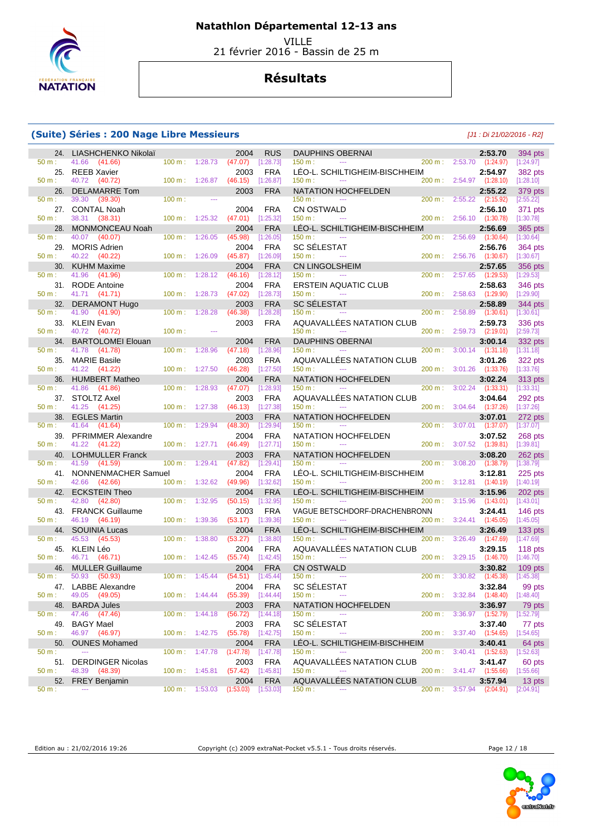

VILLE

21 février 2016 - Bassin de 25 m

## **Résultats**

#### **(Suite) Séries : 200 Nage Libre Messieurs** [J1 : Di 21/02/2016 - R2]

| 24.          | LIASHCHENKO Nikolaï                         |                          |                | 2004                | <b>RUS</b>              | <b>DAUPHINS OBERNAI</b>                               |         |                           | 2:53.70              | 394 pts                |
|--------------|---------------------------------------------|--------------------------|----------------|---------------------|-------------------------|-------------------------------------------------------|---------|---------------------------|----------------------|------------------------|
| 50 m:        | 41.66<br>(41.66)                            | 100 m: 1:28.73           |                | (47.07)             | [1:28.73]               | 150 m:<br>$\sim$ $\sim$                               | 200 m:  | 2:53.70                   | (1:24.97)            | [1:24.97]              |
| 25.          | <b>REEB Xavier</b>                          |                          |                | 2003                | <b>FRA</b>              | LÉO-L. SCHILTIGHEIM-BISCHHEIM                         |         |                           | 2:54.97              | 382 pts                |
| $50 m$ :     | 40.72<br>(40.72)                            | 100 m: 1:26.87           |                | (46.15)             | [1:26.87]               | 150 m:<br>$\cdots$                                    | 200 m:  | 2:54.97                   | (1:28.10)            | [1:28.10]              |
| 26.<br>50 m: | <b>DELAMARRE Tom</b><br>39.30<br>(39.30)    | 100 m:                   | $-$            | 2003                | <b>FRA</b>              | NATATION HOCHFELDEN<br>150 m:<br>$\cdots$             | 200 m:  | 2:55.22                   | 2:55.22<br>(2:15.92) | 379 pts<br>[2:55.22]   |
|              | 27. CONTAL Noah                             |                          |                | 2004                | <b>FRA</b>              | <b>CN OSTWALD</b>                                     |         |                           | 2:56.10              | 371 pts                |
| 50 m:        | 38.31 (38.31)                               | 100 m:                   | 1:25.32        | (47.01)             | [1:25.32]               | 150 m:<br>$\sim$                                      | 200 m:  | 2:56.10 (1:30.78)         |                      | [1:30.78]              |
| 28.          | <b>MONMONCEAU Noah</b>                      |                          |                | 2004                | <b>FRA</b>              | LÉO-L. SCHILTIGHEIM-BISCHHEIM                         |         |                           | 2:56.69              | 365 pts                |
| 50 m:        | 40.07<br>(40.07)                            | 100 m:                   | 1:26.05        | (45.98)             | [1:26.05]               | 150 m:<br>$- - -$                                     | 200 m:  | 2:56.69                   | (1:30.64)            | [1:30.64]              |
| 29.          | <b>MORIS Adrien</b>                         |                          |                | 2004                | <b>FRA</b>              | <b>SC SÉLESTAT</b>                                    |         |                           | 2:56.76              | 364 pts                |
| $50 m$ :     | 40.22<br>(40.22)                            | 100 m:                   | 1:26.09        | (45.87)             | [1:26.09]               | 150 m:<br>$---$                                       | 200 m:  | 2:56.76                   | (1:30.67)            | [1:30.67]              |
| 30.          | <b>KUHM Maxime</b>                          |                          |                | 2004                | <b>FRA</b>              | <b>CN LINGOLSHEIM</b><br>$\sim$                       |         |                           | 2:57.65              | 356 pts                |
| 50 m:<br>31. | 41.96<br>(41.96)                            | 100 m:                   | 1:28.12        | (46.16)             | [1:28.12]<br><b>FRA</b> | 150 m:<br><b>ERSTEIN AQUATIC CLUB</b>                 | 200 m:  | 2:57.65                   | (1:29.53)            | [1:29.53]              |
| 50 m:        | <b>RODE Antoine</b><br>41.71<br>(41.71)     | 100 m:                   | 1:28.73        | 2004<br>(47.02)     | [1:28.73]               | 150 m:<br>$\scriptstyle\cdots$                        | 200 m:  | 2:58.63                   | 2:58.63<br>(1:29.90) | 346 pts<br>[1:29.90]   |
| 32.          | <b>DERAMONT Hugo</b>                        |                          |                | 2003                | <b>FRA</b>              | <b>SC SÉLESTAT</b>                                    |         |                           | 2:58.89              | 344 pts                |
| 50 m:        | 41.90<br>(41.90)                            | 100 m:                   | 1:28.28        | (46.38)             | [1:28.28]               | 150 m:<br>$- - -$                                     | 200 m:  | 2:58.89                   | (1:30.61)            | [1:30.61]              |
| 33.          | <b>KLEIN Evan</b>                           |                          |                | 2003                | <b>FRA</b>              | AQUAVALLEES NATATION CLUB                             |         |                           | 2:59.73              | 336 pts                |
| 50 m:        | 40.72 (40.72)                               | 100 m:                   | $- - -$        |                     |                         | 150 m:<br>$- - -$                                     | 200 m:  | 2:59.73 (2:19.01)         |                      | [2:59.73]              |
| 34.          | <b>BARTOLOMEI Elouan</b>                    |                          |                | 2004                | <b>FRA</b>              | <b>DAUPHINS OBERNAI</b>                               |         |                           | 3:00.14              | 332 pts                |
| 50 m:        | 41.78<br>(41.78)                            | 100 m:                   | 1:28.96        | (47.18)             | [1:28.96]               | 150 m:                                                | 200 m:  | 3:00.14                   | (1:31.18)            | [1:31.18]              |
| 35.<br>50 m: | <b>MARIE Basile</b><br>41.22<br>(41.22)     | 100 m:                   | 1:27.50        | 2003<br>(46.28)     | <b>FRA</b><br>[1:27.50] | AQUAVALLEES NATATION CLUB<br>150 m:<br>$\overline{a}$ | 200 m:  | 3:01.26                   | 3:01.26<br>(1:33.76) | 322 pts<br>[1:33.76]   |
| 36.          | <b>HUMBERT Matheo</b>                       |                          |                | 2004                | <b>FRA</b>              | NATATION HOCHFELDEN                                   |         |                           | 3:02.24              | 313 pts                |
| 50 m:        | 41.86<br>(41.86)                            | 100 m:                   | 1:28.93        | (47.07)             | [1:28.93]               | 150 m:<br>$\cdots$                                    | 200 m:  | 3:02.24                   | (1:33.31)            | [1:33.31]              |
| 37.          | <b>STOLTZ Axel</b>                          |                          |                | 2003                | <b>FRA</b>              | AQUAVALLEES NATATION CLUB                             |         |                           | 3:04.64              | 292 pts                |
| 50 m:        | 41.25<br>(41.25)                            | 100 m:                   | 1:27.38        | (46.13)             | [1:27.38]               | 150 m:<br>$\sim$                                      | 200 m:  | 3:04.64                   | (1:37.26)            | [1:37.26]              |
| 38.          | <b>EGLES Martin</b>                         |                          |                | 2003                | <b>FRA</b>              | NATATION HOCHFELDEN                                   |         |                           | 3:07.01              | 272 pts                |
| 50 m:        | 41.64<br>(41.64)                            | 100 m:                   | 1:29.94        | (48.30)             | [1:29.94]               | 150 m:                                                | 200 m:  | $3:07.01$ $(1:37.07)$     |                      | [1:37.07]              |
| 39.<br>50 m: | <b>PFRIMMER Alexandre</b><br>41.22 (41.22)  | 100 m:                   | 1:27.71        | 2004<br>(46.49)     | <b>FRA</b><br>[1:27.71] | NATATION HOCHFELDEN<br>150 m:<br>$- - -$              | 200 m:  | 3:07.52                   | 3:07.52<br>(1:39.81) | 268 pts<br>[1:39.81]   |
| 40.          | <b>LOHMULLER Franck</b>                     |                          |                | 2003                | <b>FRA</b>              | NATATION HOCHFELDEN                                   |         |                           | 3:08.20              | 262 pts                |
| 50 m:        | 41.59<br>(41.59)                            | 100 m:                   | 1:29.41        | (47.82)             | [1:29.41]               | 150 m:                                                | 200 m:  | 3:08.20                   | (1:38.79)            | [1:38.79]              |
| 41.          | NONNENMACHER Samuel                         |                          |                | 2004                | <b>FRA</b>              | LÉO-L. SCHILTIGHEIM-BISCHHEIM                         |         |                           | 3:12.81              | $225$ pts              |
| 50 m:        | 42.66<br>(42.66)                            | 100 m:                   | 1:32.62        | (49.96)             | [1:32.62]               | 150 m:<br>$\sim$                                      | 200 m : | 3:12.81                   | (1:40.19)            | [1:40.19]              |
| 42.          | <b>ECKSTEIN Theo</b>                        |                          |                | 2004                | <b>FRA</b>              | LEO-L. SCHILTIGHEIM-BISCHHEIM<br>$- - -$              |         |                           | 3:15.96              | 202 pts                |
| 50 m:<br>43. | 42.80<br>(42.80)<br><b>FRANCK Guillaume</b> | 100 m:                   | 1:32.95        | (50.15)<br>2003     | [1:32.95]<br><b>FRA</b> | 150 m:<br>VAGUE BETSCHDORF-DRACHENBRONN               | 200 m : | 3:15.96                   | (1:43.01)<br>3:24.41 | [1:43.01]<br>$146$ pts |
| 50 m:        | 46.19<br>(46.19)                            | 100 m:                   | 1:39.36        | (53.17)             | [1:39.36]               | 150 m:<br>$\sim$                                      | 200 m:  | $3:24.41$ $(1:45.05)$     |                      | [1:45.05]              |
| 44.          | <b>SOUINIA Lucas</b>                        |                          |                | 2004                | <b>FRA</b>              | LEO-L. SCHILTIGHEIM-BISCHHEIM                         |         |                           | 3:26.49              | $133$ pts              |
| 50 m:        | 45.53<br>(45.53)                            | 100 m:                   | 1:38.80        | (53.27)             | [1:38.80]               | 150 m:<br>---                                         | 200 m:  | 3:26.49                   | (1:47.69)            | [1:47.69]              |
| 45.          | KLEIN Léo                                   |                          |                | 2004                | <b>FRA</b>              | AQUAVALLEES NATATION CLUB                             |         |                           | 3:29.15              | 118 pts                |
| 50 m:        | 46.71 (46.71)                               | 100 m:                   | 1:42.45        | (55.74)             | [1:42.45]               | 150 m:<br>$\sim$                                      | 200 m:  | $3:29.15$ $(1:46.70)$     |                      | [1:46.70]              |
| 46.<br>50 m: | <b>MULLER Guillaume</b><br>50.93<br>(50.93) | 100 m:                   | 1:45.44        | 2004<br>(54.51)     | <b>FRA</b><br>[1:45.44] | <b>CN OSTWALD</b><br>150 m:<br>$\cdots$               | 200 m:  | 3:30.82                   | 3:30.82              | $109$ pts              |
| 47.          | <b>LABBE Alexandre</b>                      |                          |                | 2004                | <b>FRA</b>              | <b>SC SÉLESTAT</b>                                    |         |                           | (1:45.38)<br>3:32.84 | [1:45.38]<br>99 pts    |
| 50 m:        | 49.05 (49.05)                               | $100 \text{ m}: 1:44.44$ |                | $(55.39)$ [1:44.44] |                         | $\sim$ 100 $\pm$<br>150 m:                            | 200 m:  | $3:32.84$ $(1:48.40)$     |                      | [1:48.40]              |
| 48.          | <b>BARDA Jules</b>                          |                          |                | 2003                | <b>FRA</b>              | NATATION HOCHFELDEN                                   |         |                           | 3:36.97              | 79 pts                 |
| 50 m:        | 47.46<br>(47.46)                            | 100 m: 1:44.18           |                | (56.72)             | [1:44.18]               | 150 m:<br>$\sim$                                      | 200 m:  | $3:36.97$ $(1:52.79)$     |                      | [1:52.79]              |
| 49.          | <b>BAGY Mael</b>                            |                          |                | 2003                | <b>FRA</b>              | <b>SC SÉLESTAT</b>                                    |         |                           | 3:37.40              | 77 pts                 |
| 50 m:        | 46.97 (46.97)                               |                          | 100 m: 1:42.75 | (55.78)             | [1:42.75]               | 150 m:<br>$\scriptstyle\cdots$                        |         | 200 m: 3:37.40 (1:54.65)  |                      | [1:54.65]              |
| 50.          | <b>OUNES Mohamed</b>                        |                          |                | 2004                | <b>FRA</b>              | LEO-L. SCHILTIGHEIM-BISCHHEIM                         |         |                           | 3:40.41              | 64 pts                 |
| 50 m:<br>51. | <b>DERDINGER Nicolas</b>                    | 100 m: 1:47.78           |                | (1:47.78)<br>2003   | [1:47.78]<br>FRA        | 150 m:<br>AQUAVALLÉES NATATION CLUB                   | 200 m:  | $3:40.41$ $(1:52.63)$     | 3:41.47              | [1:52.63]<br>60 pts    |
| 50 m:        | 48.39 (48.39)                               | $100 m$ : 1:45.81        |                | (57.42)             | [1:45.81]               | 150 m:<br>$\mathbb{Z} \to \mathbb{Z}$                 |         | 200 m : 3:41.47 (1:55.66) |                      | [1:55.66]              |
| 52.          | <b>FREY Benjamin</b>                        |                          |                | 2004                | <b>FRA</b>              | AQUAVALLÉES NATATION CLUB                             |         |                           | 3:57.94              | 13 pts                 |
| 50 m:        | $\overline{\phantom{a}}$                    | 100 m: 1:53.03           |                | (1:53.03)           | [1:53.03]               | 150 m:<br>$\overline{a}$                              |         | 200 m : 3:57.94 (2:04.91) |                      | [2:04.91]              |

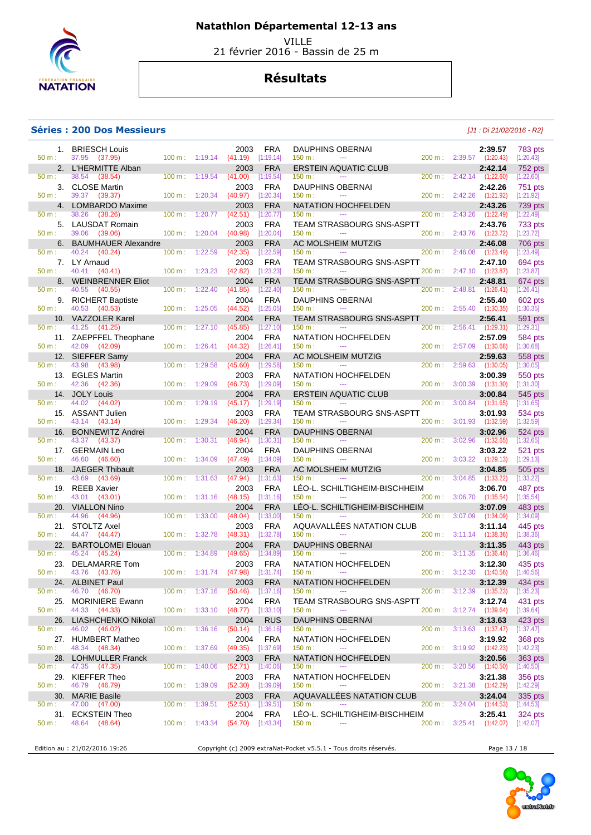

 VILLE 21 février 2016 - Bassin de 25 m

## **Résultats**

#### **Séries : 200 Dos Messieurs and the series of the series of the series of the series of the series of the series of the series of the series of the series of the series of the series of the series of the series of the se**

| $50 m$ :       | 1. BRIESCH Louis<br>37.95 (37.95)            |                          |                           | 2003<br>(41.19)       | <b>FRA</b><br>[1:19.14]   | <b>DAUPHINS OBERNAI</b><br>150 m:<br>$\sim$ $\sim$           |           |         | 2:39.57<br>200 m: 2:39.57 (1:20.43)  | 783 pts<br>[1:20.43]        |
|----------------|----------------------------------------------|--------------------------|---------------------------|-----------------------|---------------------------|--------------------------------------------------------------|-----------|---------|--------------------------------------|-----------------------------|
|                | 2. L'HERMITTE Alban                          | $100 \text{ m}: 1:19.14$ |                           | 2003                  | <b>FRA</b>                | <b>ERSTEIN AQUATIC CLUB</b>                                  |           |         | 2:42.14                              | 752 pts                     |
| 50 m:          | 38.54<br>(38.54)                             | 100 m:                   | 1:19.54                   | (41.00)               | [1:19.54]                 | 150 m:<br>$- - -$                                            | 200 m:    |         | $2:42.14$ $(1:22.60)$                | [1:22.60]                   |
| 50 m:          | 3. CLOSE Martin<br>39.37 (39.37)             | 100 m:                   | 1:20.34                   | 2003<br>(40.97)       | <b>FRA</b><br>[1:20.34]   | <b>DAUPHINS OBERNAI</b><br>150 m:<br>---                     | 200 m:    |         | 2:42.26<br>2:42.26 (1:21.92)         | 751 pts<br>[1:21.92]        |
|                | 4. LOMBARDO Maxime                           |                          |                           | 2003                  | <b>FRA</b>                | <b>NATATION HOCHFELDEN</b>                                   |           |         | 2:43.26                              | 739 pts                     |
| 50 m:          | 38.26<br>(38.26)                             | 100 m:                   | 1:20.77                   | (42.51)               | [1:20.77]                 | 150 m:<br>$\sim$ $\sim$                                      | 200 m:    | 2:43.26 | (1:22.49)                            | [1:22.49]                   |
|                | 5. LAUSDAT Romain                            |                          |                           | 2003                  | <b>FRA</b>                | TEAM STRASBOURG SNS-ASPTT                                    |           |         | 2:43.76                              | 733 pts                     |
| 50 m:          | 39.06 (39.06)<br>6. BAUMHAUER Alexandre      | 100 m:                   | 1:20.04                   | (40.98)<br>2003       | [1:20.04]<br><b>FRA</b>   | 150 m:<br>$\sim$<br>AC MOLSHEIM MUTZIG                       | 200 m:    | 2:43.76 | (1:23.72)<br>2:46.08                 | [1:23.72]<br>706 pts        |
| $50 m$ :       | 40.24<br>(40.24)                             | 100 m:                   | 1:22.59                   | (42.35)               | [1:22.59]                 | 150 m:<br>$\sim$                                             | 200 m:    | 2:46.08 | (1:23.49)                            | [1:23.49]                   |
|                | 7. LY Arnaud                                 |                          |                           | 2003                  | <b>FRA</b>                | <b>TEAM STRASBOURG SNS-ASPTT</b>                             |           |         | 2:47.10                              | 694 pts                     |
| $50 m$ :<br>8. | 40.41<br>(40.41)<br><b>WEINBRENNER Eliot</b> | 100 m:                   | 1:23.23                   | (42.82)<br>2004       | [1:23.23]<br><b>FRA</b>   | 150 m:<br>$\cdots$<br><b>TEAM STRASBOURG SNS-ASPTT</b>       | 200 m:    |         | 2:47.10 (1:23.87)<br>2:48.81         | [1:23.87]<br>674 pts        |
| 50 m:          | 40.55<br>(40.55)                             | 100 m:                   | 1:22.40                   | (41.85)               | [1:22.40]                 | 150 m:<br>$- - -$                                            | 200 m:    |         | $2:48.81$ $(1:26.41)$                | [1:26.41]                   |
|                | 9. RICHERT Baptiste                          |                          |                           | 2004                  | <b>FRA</b>                | <b>DAUPHINS OBERNAI</b>                                      |           |         | 2:55.40                              | 602 pts                     |
| $50 m$ :       | 40.53<br>(40.53)                             | 100 m:                   | 1:25.05                   | (44.52)               | [1:25.05]                 | 150 m:<br>$\sim$                                             | 200 m:    | 2:55.40 | (1:30.35)                            | [1:30.35]                   |
| 10.<br>50 m:   | <b>VAZZOLER Karel</b><br>41.25<br>(41.25)    | 100 m:                   | 1:27.10                   | 2004<br>(45.85)       | <b>FRA</b><br>[1:27.10]   | <b>TEAM STRASBOURG SNS-ASPTT</b><br>150 m:<br>$\cdots$       | 200 m:    | 2:56.41 | 2:56.41<br>(1:29.31)                 | <b>591 pts</b><br>[1:29.31] |
|                | 11. ZAEPFFEL Theophane                       |                          |                           | 2004                  | <b>FRA</b>                | NATATION HOCHFELDEN                                          |           |         | 2:57.09                              | 584 pts                     |
| 50 m:          | 42.09<br>(42.09)                             | 100 m:                   | 1:26.41                   | (44.32)               | [1:26.41]                 | 150 m:<br>$-$                                                | 200 m:    | 2:57.09 | (1:30.68)                            | [1:30.68]                   |
| $50 m$ :       | 12. SIEFFER Samy<br>43.98<br>(43.98)         | 100 m:                   | 1:29.58                   | 2004<br>(45.60)       | <b>FRA</b><br>[1:29.58]   | AC MOLSHEIM MUTZIG<br>150 m:<br>$\cdots$                     | 200 m:    | 2:59.63 | 2:59.63<br>(1:30.05)                 | 558 pts<br>[1:30.05]        |
|                | 13. EGLES Martin                             |                          |                           | 2003                  | <b>FRA</b>                | NATATION HOCHFELDEN                                          |           |         | 3:00.39                              | 550 pts                     |
| 50 m:          | 42.36<br>(42.36)                             | 100 m:                   | 1:29.09                   | (46.73)               | [1:29.09]                 | 150 m:<br>$\cdots$                                           | 200 m:    | 3:00.39 | (1:31.30)                            | [1:31.30]                   |
| 14.            | <b>JOLY Louis</b>                            |                          |                           | 2004                  | <b>FRA</b>                | <b>ERSTEIN AQUATIC CLUB</b><br>150 m:                        |           |         | 3:00.84                              | 545 pts                     |
| 50 m:          | 44.02<br>(44.02)<br>15. ASSANT Julien        | 100 m:                   | 1:29.19                   | (45.17)<br>2003       | [1:29.19]<br>FRA          | TEAM STRASBOURG SNS-ASPTT                                    | 200 m:    |         | $3:00.84$ $(1:31.65)$<br>3:01.93     | [1:31.65]<br>534 pts        |
| 50 m:          | 43.14 (43.14)                                | 100 m:                   | 1:29.34                   | (46.20)               | [1:29.34]                 | 150 m:<br>$\sim$                                             | 200 m:    |         | $3:01.93$ $(1:32.59)$                | [1:32.59]                   |
| 16.            | <b>BONNEWITZ Andrei</b>                      |                          |                           | 2004                  | <b>FRA</b>                | <b>DAUPHINS OBERNAI</b>                                      |           |         | 3:02.96                              | 524 pts                     |
| 50 m:          | 43.37<br>(43.37)<br>17. GERMAIN Leo          | 100 m:                   | 1:30.31                   | (46.94)<br>2004       | [1:30.31]<br><b>FRA</b>   | 150 m:<br>$\cdots$<br>DAUPHINS OBERNAI                       | $200 m$ : | 3:02.96 | (1:32.65)<br>3:03.22                 | [1:32.65]<br>521 pts        |
| 50 m:          | 46.60<br>(46.60)                             | 100 m:                   | 1:34.09                   | (47.49)               | [1:34.09]                 | 150 m:<br>$\sim$ $\sim$                                      | 200 m:    | 3:03.22 | (1:29.13)                            | [1:29.13]                   |
|                | 18. JAEGER Thibault                          |                          |                           | 2003                  | <b>FRA</b>                | AC MOLSHEIM MUTZIG                                           |           |         | 3:04.85                              | 505 pts                     |
| $50 m$ :       | 43.69<br>(43.69)                             | 100 m:                   | 1:31.63                   | (47.94)               | [1:31.63]                 | 150 m:<br>$\sim$                                             | 200 m:    | 3:04.85 | (1:33.22)                            | [1:33.22]                   |
| $50 m$ :       | 19. REEB Xavier<br>43.01<br>(43.01)          | 100 m:                   | 1:31.16                   | 2003<br>(48.15)       | <b>FRA</b><br>[1:31.16]   | LEO-L. SCHILTIGHEIM-BISCHHEIM<br>150 m:<br>$\cdots$          | 200 m:    | 3:06.70 | 3:06.70<br>(1:35.54)                 | 487 pts<br>[1:35.54]        |
| 20.            | <b>VIALLON Nino</b>                          |                          |                           | 2004                  | <b>FRA</b>                | LEO-L. SCHILTIGHEIM-BISCHHEIM                                |           |         | 3:07.09                              | 483 pts                     |
| 50 m:          | 44.96<br>(44.96)                             | 100 m:                   | 1:33.00                   | (48.04)               | [1:33.00]                 | 150 m:                                                       | 200 m:    | 3:07.09 | (1:34.09)                            | [1:34.09]                   |
| $50 m$ :       | 21. STOLTZ Axel<br>44.47 (44.47)             | 100 m:                   | 1:32.78                   | 2003<br>(48.31)       | <b>FRA</b><br>[1:32.78]   | AQUAVALLÉES NATATION CLUB<br>150 m:<br>$\sim$ $\sim$ $\sim$  | 200 m:    |         | 3:11.14<br>$3:11.14$ $(1:38.36)$     | 445 pts<br>[1:38.36]        |
| 22.            | <b>BARTOLOMEI Elouan</b>                     |                          |                           | 2004                  | <b>FRA</b>                | <b>DAUPHINS OBERNAI</b>                                      |           |         | 3:11.35                              | 443 pts                     |
| 50 m:          | 45.24<br>(45.24)                             | $100 \text{ m}$ :        | 1:34.89                   | (49.65)               | [1:34.89]                 | 150 m:<br>$- - -$                                            | 200 m:    | 3:11.35 | (1:36.46)                            | [1:36.46]                   |
| 23.<br>50 m:   | DELAMARRE Tom<br>43.76<br>(43.76)            | 100 m:                   | 1:31.74                   | 2003<br>(47.98)       | <b>FRA</b><br>[1:31.74]   | NATATION HOCHFELDEN<br>150 m:<br>$\cdots$                    | 200 m:    | 3:12.30 | 3:12.30<br>(1:40.56)                 | 435 pts<br>[1:40.56]        |
|                | 24. ALBINET Paul                             |                          |                           | 2003                  | <b>FRA</b>                | <b>NATATION HOCHFELDEN</b>                                   |           |         | 3:12.39                              | 434 pts                     |
| $50 m$ :       | 46.70 (46.70)                                |                          | 100 m: 1:37.16            | $(50.46)$ $[1:37.16]$ |                           | 150 m:<br>$\sim$ $\sim$                                      |           |         | 200 m : 3:12.39 (1:35.23)            | [1:35.23]                   |
|                | 25. MORINIERE Ewann                          |                          |                           | 2004                  | <b>FRA</b>                | TEAM STRASBOURG SNS-ASPTT                                    |           |         | 3:12.74                              | 431 pts                     |
| 50 m:<br>26.   | 44.33 (44.33)<br>LIASHCHENKO Nikolaï         |                          | 100 m: 1:33.10            | (48.77)<br>2004       | [1:33.10]<br><b>RUS</b>   | 150 m:<br>$\sim$ $\sim$<br><b>DAUPHINS OBERNAI</b>           |           |         | 200 m: 3:12.74 (1:39.64)<br>3:13.63  | [1:39.64]<br>423 pts        |
| 50 m:          | 46.02 (46.02)                                |                          | $100 \text{ m}$ : 1:36.16 | (50.14)               | [1:36.16]                 | 150 m:                                                       |           |         | $200 \text{ m}: 3:13.63$ $(1:37.47)$ | $[1:37.47]$                 |
|                | 27. HUMBERT Matheo                           |                          |                           | 2004                  | <b>FRA</b>                | NATATION HOCHFELDEN                                          |           |         | 3:19.92                              | 368 pts                     |
| 50 m:<br>28.   | 48.34 (48.34)<br><b>LOHMULLER Franck</b>     |                          | 100 m: 1:37.69            | (49.35)<br>2003       | $[1:37.69]$<br><b>FRA</b> | 150 m:<br>$\rightarrow$ $\rightarrow$<br>NATATION HOCHFELDEN |           |         | 200 m : 3:19.92 (1:42.23)<br>3:20.56 | [1:42.23]<br>363 pts        |
| $50 m$ :       | 47.35 (47.35)                                |                          | $100 \text{ m}: 1:40.06$  | (52.71)               | [1:40.06]                 | 150 m:<br>$\cdots$                                           |           |         | 200 m : 3:20.56 (1:40.50)            | [1:40.50]                   |
|                | 29. KIEFFER Theo                             |                          |                           | 2003                  | <b>FRA</b>                | NATATION HOCHFELDEN                                          |           |         | 3:21.38                              | 356 pts                     |
| 50 m:          | 46.79 (46.79)                                |                          | $100 \text{ m}: 1:39.09$  | (52.30)               | [1:39.09]                 | 150 m:<br>$\sim$                                             |           |         | 200 m: 3:21.38 (1:42.29)             | [1:42.29]                   |
| 30.<br>50 m:   | <b>MARIE Basile</b><br>47.00 (47.00)         |                          | $100 \text{ m}: 1:39.51$  | 2003<br>(52.51)       | <b>FRA</b><br>[1:39.51]   | AQUAVALLÉES NATATION CLUB<br>150 m:                          |           |         | 3:24.04<br>200 m: 3:24.04 (1:44.53)  | 335 pts<br>[1:44.53]        |
|                | 31. ECKSTEIN Theo                            |                          |                           | 2004                  | <b>FRA</b>                | LÉO-L. SCHILTIGHEIM-BISCHHEIM                                |           |         | 3:25.41                              | 324 pts                     |
| 50 m:          | 48.64<br>(48.64)                             |                          | $100 \text{ m}: 1:43.34$  | (54.70)               | [1:43.34]                 | 150 m:                                                       |           |         | 200 m : 3:25.41 (1:42.07)            | [1:42.07]                   |

Edition au : 21/02/2016 19:26 Copyright (c) 2009 extraNat-Pocket v5.5.1 - Tous droits réservés. Page 13 / 18

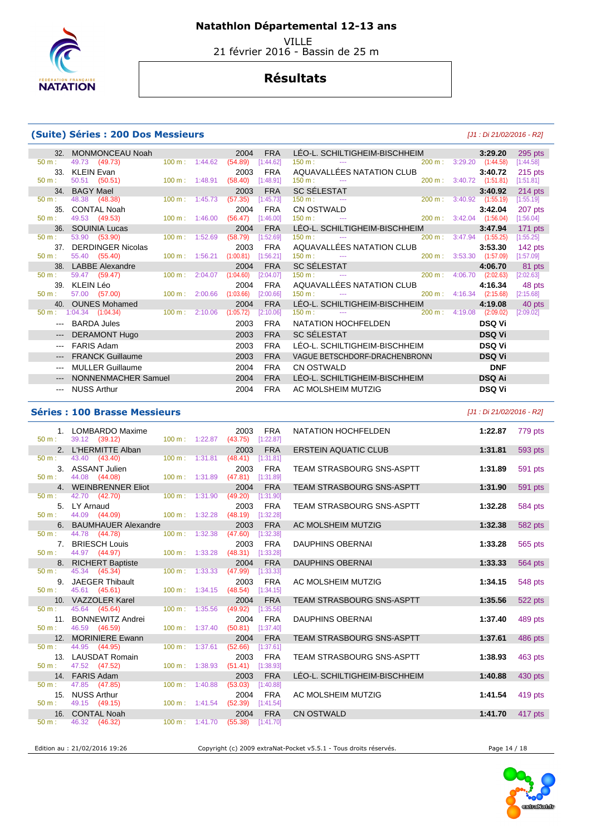

 VILLE 21 février 2016 - Bassin de 25 m

## **Résultats**

### **(Suite) Séries : 200 Dos Messieurs** [J1 : Di 21/02/2016 - R2]

|                                                                                                                                                                                                                                                                                                                                                                                                                                                                            | <b>MONMONCEAU Noah</b>              |                           |                           | 2004      | <b>FRA</b> | LÉO-L. SCHILTIGHEIM-BISCHHEIM                                                                                                                       |                   |                          | 3:29.20                  | 295 pts   |
|----------------------------------------------------------------------------------------------------------------------------------------------------------------------------------------------------------------------------------------------------------------------------------------------------------------------------------------------------------------------------------------------------------------------------------------------------------------------------|-------------------------------------|---------------------------|---------------------------|-----------|------------|-----------------------------------------------------------------------------------------------------------------------------------------------------|-------------------|--------------------------|--------------------------|-----------|
| 50 m:                                                                                                                                                                                                                                                                                                                                                                                                                                                                      | 49.73 (49.73)                       |                           | $100 \text{ m}: 1:44.62$  | (54.89)   | [1:44.62]  | 150 m:<br>the same control of the control of the                                                                                                    |                   | $200 \text{ m}: 3:29.20$ | (1:44.58)                | [1:44.58] |
|                                                                                                                                                                                                                                                                                                                                                                                                                                                                            | 33. KLEIN Evan                      |                           |                           | 2003      | <b>FRA</b> | AQUAVALLÉES NATATION CLUB                                                                                                                           |                   |                          | 3:40.72                  | $215$ pts |
| $50 m$ :                                                                                                                                                                                                                                                                                                                                                                                                                                                                   | 50.51 (50.51)                       |                           | 100 m: 1:48.91            | (58.40)   | [1:48.91]  | 150 m:<br><b>Contract Contract</b>                                                                                                                  |                   |                          | 200 m: 3:40.72 (1:51.81) | [1:51.81] |
|                                                                                                                                                                                                                                                                                                                                                                                                                                                                            | 34. BAGY Mael                       |                           |                           | 2003      | <b>FRA</b> |                                                                                                                                                     |                   |                          | 3:40.92                  | 214 pts   |
| $50 \text{ m}$ :                                                                                                                                                                                                                                                                                                                                                                                                                                                           | 48.38 (48.38)                       |                           | $100 \text{ m}$ : 1:45.73 | (57.35)   | [1:45.73]  |                                                                                                                                                     |                   |                          | $3:40.92$ $(1:55.19)$    | [1:55.19] |
| 35 <sub>1</sub>                                                                                                                                                                                                                                                                                                                                                                                                                                                            | <b>CONTAL Noah</b>                  |                           |                           | 2004      | <b>FRA</b> |                                                                                                                                                     |                   |                          | 3:42.04                  | 207 pts   |
| $50 m$ :                                                                                                                                                                                                                                                                                                                                                                                                                                                                   | 49.53 (49.53)                       |                           | $100 \text{ m}$ : 1:46.00 | (56.47)   | [1:46.00]  |                                                                                                                                                     |                   |                          | $3:42.04$ $(1:56.04)$    | [1:56.04] |
| 36.                                                                                                                                                                                                                                                                                                                                                                                                                                                                        | SOUINIA Lucas                       |                           |                           | 2004      | <b>FRA</b> | LÉO-L. SCHILTIGHEIM-BISCHHEIM                                                                                                                       |                   |                          | 3:47.94                  | $171$ pts |
| $50 \text{ m}$ :                                                                                                                                                                                                                                                                                                                                                                                                                                                           | 53.90 (53.90)                       |                           | 100 m: 1:52.69            | (58.79)   | [1:52.69]  | 150 m:<br>and the company of the company of                                                                                                         | $200 \text{ m}$ : | 3:47.94                  | (1:55.25)                | [1:55.25] |
| 37 <sub>1</sub>                                                                                                                                                                                                                                                                                                                                                                                                                                                            | <b>DERDINGER Nicolas</b>            |                           |                           | 2003      | <b>FRA</b> | AQUAVALLÉES NATATION CLUB                                                                                                                           |                   |                          | 3:53.30                  | $142$ pts |
| $50 m$ :                                                                                                                                                                                                                                                                                                                                                                                                                                                                   | 55.40 (55.40)                       | $100 \text{ m}$ : 1:56.21 |                           | (1:00.81) | [1:56.21]  | $\mathcal{L}(\mathcal{L})$ and $\mathcal{L}(\mathcal{L})$ and $\mathcal{L}(\mathcal{L})$ . The contribution of $\mathcal{L}(\mathcal{L})$<br>150 m: | $200 \text{ m}$ : | 3:53.30                  | (1:57.09)                | [1:57.09] |
|                                                                                                                                                                                                                                                                                                                                                                                                                                                                            | 38. LABBE Alexandre                 |                           |                           | 2004      | <b>FRA</b> | $SC$ SÉLESTAT $\frac{150 \text{ m}}{150 \text{ m}}$ :                                                                                               |                   |                          | 4:06.70                  | 81 pts    |
| 50 m:                                                                                                                                                                                                                                                                                                                                                                                                                                                                      | 59.47 (59.47)                       | $100 \text{ m}$ :         | 2:04.07                   | (1:04.60) | [2:04.07]  |                                                                                                                                                     | 200 m:            | 4:06.70                  | (2:02.63)                | [2:02.63] |
|                                                                                                                                                                                                                                                                                                                                                                                                                                                                            | 39. KLEIN Léo                       |                           |                           | 2004      | <b>FRA</b> | AQUAVALLÉES NATATION CLUB                                                                                                                           |                   |                          | 4:16.34                  | 48 pts    |
| $50 m$ :                                                                                                                                                                                                                                                                                                                                                                                                                                                                   | 57.00 (57.00)                       |                           | 100 m: 2:00.66            | (1:03.66) | [2:00.66]  | $150 m$ :<br>the company of the company of the                                                                                                      | $200 \text{ m}$ : |                          | 4:16.34 (2:15.68)        | [2:15.68] |
|                                                                                                                                                                                                                                                                                                                                                                                                                                                                            | 40. OUNES Mohamed                   |                           |                           | 2004      | <b>FRA</b> | LÉO-L. SCHILTIGHEIM-BISCHHEIM                                                                                                                       |                   |                          | 4:19.08                  | 40 pts    |
|                                                                                                                                                                                                                                                                                                                                                                                                                                                                            | $50 \text{ m}: 1:04.34$ $(1:04.34)$ |                           | 100 m: 2:10.06            | (1:05.72) | [2:10.06]  | 150 m:<br>and the state of the state of the                                                                                                         |                   |                          | 200 m: 4:19.08 (2:09.02) | [2:09.02] |
|                                                                                                                                                                                                                                                                                                                                                                                                                                                                            | <b>BARDA Jules</b>                  |                           |                           | 2003      | <b>FRA</b> | NATATION HOCHFELDEN                                                                                                                                 |                   |                          | <b>DSQ Vi</b>            |           |
| $\qquad \qquad - -$                                                                                                                                                                                                                                                                                                                                                                                                                                                        | <b>DERAMONT Hugo</b>                |                           |                           | 2003      | <b>FRA</b> | <b>SC SÉLESTAT</b><br><u> 1990 - Johann Barn, mars et al. 1990 - Anna ann an t-</u>                                                                 |                   |                          | <b>DSQ Vi</b>            |           |
| $\cdots$                                                                                                                                                                                                                                                                                                                                                                                                                                                                   | <b>FARIS Adam</b>                   |                           |                           | 2003      | <b>FRA</b> | LÉO-L. SCHILTIGHEIM-BISCHHEIM                                                                                                                       |                   |                          | <b>DSQ Vi</b>            |           |
|                                                                                                                                                                                                                                                                                                                                                                                                                                                                            | <b>FRANCK Guillaume</b>             |                           |                           | 2003      | <b>FRA</b> | VAGUE BETSCHDORF-DRACHENBRONN                                                                                                                       |                   |                          | <b>DSQ Vi</b>            |           |
|                                                                                                                                                                                                                                                                                                                                                                                                                                                                            | <b>MULLER Guillaume</b>             |                           |                           | 2004      | <b>FRA</b> | <b>CN OSTWALD</b>                                                                                                                                   |                   |                          | <b>DNF</b>               |           |
| $\cdots$                                                                                                                                                                                                                                                                                                                                                                                                                                                                   | NONNENMACHER Samuel                 |                           |                           | 2004      | <b>FRA</b> | LÉO-L. SCHILTIGHEIM-BISCHHEIM                                                                                                                       |                   |                          | <b>DSQ Ai</b>            |           |
| $\frac{1}{2} \left( \frac{1}{2} \right) \left( \frac{1}{2} \right) \left( \frac{1}{2} \right) \left( \frac{1}{2} \right) \left( \frac{1}{2} \right) \left( \frac{1}{2} \right) \left( \frac{1}{2} \right) \left( \frac{1}{2} \right) \left( \frac{1}{2} \right) \left( \frac{1}{2} \right) \left( \frac{1}{2} \right) \left( \frac{1}{2} \right) \left( \frac{1}{2} \right) \left( \frac{1}{2} \right) \left( \frac{1}{2} \right) \left( \frac{1}{2} \right) \left( \frac$ | <b>NUSS Arthur</b>                  |                           |                           | 2004      | <b>FRA</b> | AC MOLSHEIM MUTZIG                                                                                                                                  |                   |                          | <b>DSQ Vi</b>            |           |

### **Séries : 100 Brasse Messieurs** [J1 : Di 21/02/2016 - R2]

| 50 m:            | 1. LOMBARDO Maxime<br>39.12 (39.12)   |                                  |                        | 2003<br>100 m: 1:22.87 (43.75) [1:22.87] | FRA        | NATATION HOCHFELDEN              | 1:22.87 | 779 pts |
|------------------|---------------------------------------|----------------------------------|------------------------|------------------------------------------|------------|----------------------------------|---------|---------|
|                  | 2. L'HERMITTE Alban                   |                                  |                        | 2003                                     | <b>FRA</b> | <b>ERSTEIN AQUATIC CLUB</b>      | 1:31.81 | 593 pts |
| 50 m:            | 43.40 (43.40)                         | 100 m: 1:31.81                   |                        | (48.41)                                  | [1:31.81]  |                                  |         |         |
|                  | 3. ASSANT Julien                      |                                  |                        | 2003                                     | FRA        | TEAM STRASBOURG SNS-ASPTT        | 1:31.89 | 591 pts |
| $50 m$ :         | 44.08 (44.08)                         |                                  |                        | 100 m: 1:31.89 (47.81) [1:31.89]         |            |                                  |         |         |
|                  | 4. WEINBRENNER Eliot                  |                                  |                        | 2004                                     | <b>FRA</b> | <b>TEAM STRASBOURG SNS-ASPTT</b> | 1:31.90 | 591 pts |
| 50 m:            | 42.70 (42.70)                         | $100 \text{ m}: 1:31.90$ (49.20) |                        |                                          | [1:31.90]  |                                  |         |         |
|                  | 5. LY Arnaud                          |                                  |                        | 2003                                     | <b>FRA</b> | TEAM STRASBOURG SNS-ASPTT        | 1:32.28 | 584 pts |
| 50 m:            | 44.09 (44.09) 100 m : 1:32.28 (48.19) |                                  |                        |                                          | [1:32.28]  |                                  |         |         |
|                  | 6. BAUMHAUER Alexandre                |                                  |                        | 2003                                     | <b>FRA</b> | AC MOLSHEIM MUTZIG               | 1:32.38 | 582 pts |
| 50 m:            | 44.78 (44.78)                         | $100 \text{ m}$ : 1:32.38        |                        | (47.60)                                  | [1:32.38]  |                                  |         |         |
|                  | 7. BRIESCH Louis                      |                                  |                        | 2003                                     | <b>FRA</b> | <b>DAUPHINS OBERNAI</b>          | 1:33.28 | 565 pts |
| 50 m:            | 44.97 (44.97)                         | $100 \text{ m}: 1:33.28$         |                        | $(48.31)$ [1:33.28]                      |            |                                  |         |         |
|                  | 8. RICHERT Baptiste                   |                                  |                        | 2004                                     | <b>FRA</b> | <b>DAUPHINS OBERNAI</b>          | 1:33.33 | 564 pts |
| $50 \text{ m}$ : | 45.34 (45.34)                         | $100 \text{ m}: 1:33.33$ (47.99) |                        |                                          | [1:33.33]  |                                  |         |         |
|                  | 9. JAEGER Thibault                    |                                  |                        | 2003                                     | <b>FRA</b> | AC MOLSHEIM MUTZIG               | 1:34.15 | 548 pts |
| 50 m:            | 45.61 (45.61)                         |                                  |                        | 100 m: 1:34.15 (48.54) [1:34.15]         |            |                                  |         |         |
|                  | 10. VAZZOLER Karel                    |                                  |                        | 2004                                     | <b>FRA</b> | TEAM STRASBOURG SNS-ASPTT        | 1:35.56 | 522 pts |
| $50 m$ :         | 45.64 (45.64)                         | 100 m: 1:35.56                   |                        | (49.92)                                  | [1:35.56]  |                                  |         |         |
|                  | 11. BONNEWITZ Andrei                  |                                  |                        | 2004                                     | <b>FRA</b> | <b>DAUPHINS OBERNAI</b>          | 1:37.40 | 489 pts |
| $50 m$ :         | 46.59 (46.59)                         | $100 \text{ m}: 1:37.40$         |                        | $(50.81)$ [1:37.40]                      |            |                                  |         |         |
|                  | 12. MORINIERE Ewann                   |                                  |                        | 2004                                     | <b>FRA</b> | <b>TEAM STRASBOURG SNS-ASPTT</b> | 1:37.61 | 486 pts |
| 50 m:            | 44.95 (44.95)                         |                                  | 100 m: 1:37.61 (52.66) |                                          | [1:37.61]  |                                  |         |         |
|                  | 13. LAUSDAT Romain                    |                                  |                        | 2003                                     | <b>FRA</b> | TEAM STRASBOURG SNS-ASPTT        | 1:38.93 | 463 pts |
| 50 m:            | 47.52 (47.52)                         | $100 \text{ m}: 1:38.93$         |                        | $(51.41)$ [1:38.93]                      |            |                                  |         |         |
|                  | 14. FARIS Adam                        |                                  |                        | 2003                                     | <b>FRA</b> | LÉO-L. SCHILTIGHEIM-BISCHHEIM    | 1:40.88 | 430 pts |
| $50 m$ :         | 47.85 (47.85)                         | $100 \text{ m}$ : 1:40.88        |                        | (53.03)                                  | [1:40.88]  |                                  |         |         |
|                  | 15. NUSS Arthur                       |                                  |                        | 2004                                     | <b>FRA</b> | AC MOLSHEIM MUTZIG               | 1:41.54 | 419 pts |
| $50 m$ :         | 49.15 (49.15)                         | $100 \text{ m}: 1:41.54$ (52.39) |                        |                                          | [1:41.54]  |                                  |         |         |
|                  | 16. CONTAL Noah                       |                                  |                        | 2004                                     | <b>FRA</b> | <b>CN OSTWALD</b>                | 1:41.70 | 417 pts |
| 50 m:            | 46.32 (46.32)                         |                                  |                        | 100 m: 1:41.70 (55.38) [1:41.70]         |            |                                  |         |         |
|                  |                                       |                                  |                        |                                          |            |                                  |         |         |

Edition au : 21/02/2016 19:26 Copyright (c) 2009 extraNat-Pocket v5.5.1 - Tous droits réservés. Page 14 / 18

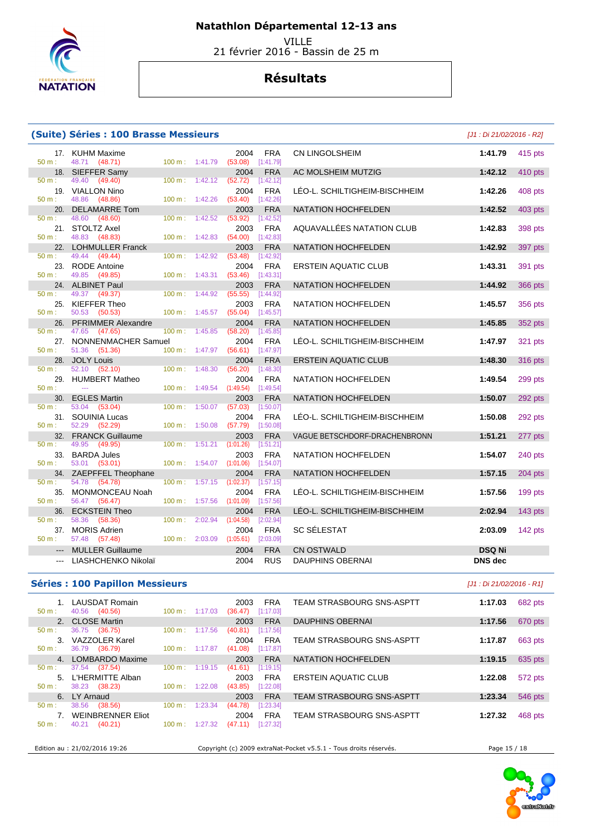

VILLE

21 février 2016 - Bassin de 25 m

## **Résultats**

### **(Suite) Séries : 100 Brasse Messieurs** [J1 : Di 21/02/2016 - R2]

17. KUHM Maxime 2004 FRA **COLLET 17. KUHM Maxime** 2004 FRA 50 m : 48.71 **(48.71)** 48.71 (48.71) 18. SIEFFER Samy 2004 FRA<br>  $\frac{1}{2}$  50 m : 49.40 (49.40) 100 m : 1:42.12 (52.72) [1:42.12]  $(49.40)$  19. VIALLON Nino 2004 FRA LÉO-L. SCHILTIGHEIM-BISCHHEIM **1:42.26** 408 pts 48.86 (48.86) 20. DELAMARRE Tom 2003 FRA<br>
2003 FRA 100 m: 1:42.52 **(53.92)** 1:42.52 48.60 (48.60) 100 m : 1:42.52 (53.92) 21. STOLTZ Axel 2003 FRA<br>
2003 FRA 30 48.83 (48.83) 100 m: 1:42.83 (54.00) [1:42.83] 48.83 (48.83) 22. LOHMULLER Franck 2003 FRA<br>
50 m: 49.44 (49.44) 100 m: 1:42.92 (53.48) [1:42.92] 50 m : 49.44 (49.44) 100 m : 1:42.92 (53.48) [1:42.92] 23. RODE Antoine 2004 FRA<br>
2004 FRA 50 m: 49.85 (49.85) 100 m: 1:43.31 (53.46) [1:43.31] 49.85 (49.85) 24. ALBINET Paul 2003 FRA<br>
2003 FRA 100 m: 1:44.92 **366 pm**: 49.37 **49.37 100 m:** 1:44.92 **36656 1:44.92** 49.37 (49.37) 25. KIEFFER Theo 2003 FRA<br>  $\frac{2003}{100 \text{ m}}$   $\frac{2003}{10504}$   $\frac{145.57}{1504}$   $\frac{145.57}{1504}$  50 m : 50.53 (50.53) 100 m : 1:45.57 (55.04) [1:45.57] 26. PFRIMMER Alexandre 2004 FRA<br>  $\frac{2004}{100 \text{ m}}$  1.45.85 (58.20) [1:45.85] 50 m : 47.65 (47.65) 100 m : 1:45.85 (58.20) [1:45.85] 27. NONNENMACHER Samuel 2004 FRA<br>  $50 \text{ m}: 51.36 (51.36) 100 \text{ m}: 1:47.97 (56.61) [1:47.97]$ 51.36 (51.36) 28. JOLY Louis 2004 FRA<br>1. 52.10 (52.10) 100 m: 1:48.30 (56.20) [1:48.30] 50 m : 52.10 (52.10) 100 m : 1:48.30 (56.20) 29. HUMBERT Matheo 2004 FRA<br>
<sup>200</sup> 1:49.54 **1:49.54 1:49.54 1:49.54 1:49.54** 50 m : --- 100 m : 1:49.54 (1:49.54) [1:49.54] 50 m : 53.04 (53.04) 100 m : 1:50.07 (57.03) [1:50.07] 31. SOUINIA Lucas 2004 FRA<br>1. 52.29 (52.29) 100 m : 1:50.08 (57.79) [1:50.08] 50 m : 52.29 (52.29) 100 m : 1:50.08 (57.79) [1:50.08] 32. FRANCK Guillaume 2003 FRA **50 m**: 49.95 (49.95) **100 m:** 1:51.21 **(1:01.26**) **1:51.21**  50 m : 49.95 (49.95) 100 m : 1:51.21 (1:01.26) [1:51.21] 33. BARDA Jules 2003 FRA<br>
50 m : 53.01 (53.01) 100 m : 1:54.07 (1:01.06) [1:54.07]  $53.01$   $(53.01)$ 34. ZAEPFFEL Theophane 2004 FRA<br>  $\frac{50 \text{ m}}{2}$ : 54.78  $\frac{(54.78)}{2}$  (54.78)  $\frac{100 \text{ m}}{2}$ : 1:57.15  $\frac{(1:02.37)}{2}$  [1:57.15] 50 m : 54.78 (54.78) 100 m : 1:57.15 (1:02.37) [1:57.15] 35. MONMONCEAU Noah 2004 FRA 2004 **FRA**<br>  $\frac{50 \text{ m}}{2}$ : 56.47 (56.47) 100 m: 1:57.56 (1:01.09) [1:57.56]  $(56.47)$ 36. ECKSTEIN Theo 2004 FRA<br>  $\frac{50 \text{ m}}{2}$ : 58.36 (58.36) **100 m**: 2:02.94 (1:04.58) [2:02.94]  $(58.36)$ 37. MORIS Adrien 2004 FRA 50 m : 57.48 (57.48) 100 m : 2:03.09 (1:05.61) [2:03.09] --- MULLER Guillaume 2004 FRA --- LIASHCHENKO Nikolaï 2004 RUS DAUPHINS OBERNAI **DNS dec** 

|                | te) Series : IUU Brasse Messieurs          |                           |         |                                 |                         |                               | JJ1 : DI 21/02/2016 - R2J |                |
|----------------|--------------------------------------------|---------------------------|---------|---------------------------------|-------------------------|-------------------------------|---------------------------|----------------|
| 17.            | KUHM Maxime<br>48.71 (48.71)               | $100 \text{ m}$ : 1:41.79 |         | 2004<br>(53.08)                 | <b>FRA</b><br>[1:41.79] | CN LINGOLSHEIM                | 1:41.79                   | 415 pts        |
| 18.            | SIEFFER Samy                               |                           |         | 2004                            | <b>FRA</b>              | AC MOLSHEIM MUTZIG            | 1:42.12                   | 410 pts        |
| ÷.             | 49.40 (49.40)                              | 100 m:                    | 1:42.12 | $(52.72)$ [1:42.12]             |                         |                               |                           |                |
| 19.            | <b>VIALLON Nino</b><br>48.86 (48.86)       | 100 m: 1:42.26            |         | 2004<br>(53.40)                 | <b>FRA</b><br>[1:42.26] | LÉO-L. SCHILTIGHEIM-BISCHHEIM | 1:42.26                   | 408 pts        |
| 20.            | <b>DELAMARRE Tom</b>                       |                           |         | 2003                            | <b>FRA</b>              | NATATION HOCHFELDEN           | 1:42.52                   | 403 pts        |
|                | 48.60 (48.60)                              | 100 m:                    | 1:42.52 | (53.92)                         | [1:42.52]               |                               |                           |                |
|                | 21. STOLTZ Axel                            |                           |         | 2003                            | <b>FRA</b>              | AQUAVALLÉES NATATION CLUB     | 1:42.83                   | 398 pts        |
| ÷              | 48.83 (48.83)                              | 100 m:                    | 1:42.83 | $(54.00)$ [1:42.83]             |                         |                               |                           |                |
| 22.<br>÷.      | <b>LOHMULLER Franck</b><br>49.44 (49.44)   | 100 m:                    | 1:42.92 | 2003<br>(53.48)                 | <b>FRA</b><br>[1:42.92] | NATATION HOCHFELDEN           | 1:42.92                   | 397 pts        |
| 23.            | <b>RODE Antoine</b>                        |                           |         | 2004                            | <b>FRA</b>              | <b>ERSTEIN AQUATIC CLUB</b>   | 1:43.31                   | 391 pts        |
|                | 49.85 (49.85)                              | $100 m$ : 1:43.31         |         | (53.46)                         | [1:43.31]               |                               |                           |                |
|                | 24. ALBINET Paul                           |                           |         | 2003                            | <b>FRA</b>              | NATATION HOCHFELDEN           | 1:44.92                   | 366 pts        |
| ÷.             | 49.37 (49.37)                              | 100 m:                    | 1:44.92 | (55.55)                         | [1:44.92]               |                               |                           |                |
|                | 25. KIEFFER Theo                           |                           |         | 2003                            | <b>FRA</b>              | NATATION HOCHFELDEN           | 1:45.57                   | 356 pts        |
| t<br>26.       | 50.53 (50.53)<br><b>PFRIMMER Alexandre</b> | 100 m: 1:45.57            |         | (55.04)<br>2004                 | [1:45.57]<br><b>FRA</b> | NATATION HOCHFELDEN           | 1:45.85                   | 352 pts        |
|                | 47.65 (47.65)                              | $100 \text{ m}$ :         | 1:45.85 | $(58.20)$ [1:45.85]             |                         |                               |                           |                |
| 27.            | NONNENMACHER Samuel                        |                           |         | 2004                            | <b>FRA</b>              | LÉO-L. SCHILTIGHEIM-BISCHHEIM | 1:47.97                   | 321 pts        |
| t.             | 51.36<br>(51.36)                           | 100 m: 1:47.97            |         | $(56.61)$ [1:47.97]             |                         |                               |                           |                |
| 28.            | <b>JOLY Louis</b>                          |                           |         | 2004                            | <b>FRA</b>              | <b>ERSTEIN AQUATIC CLUB</b>   | 1:48.30                   | <b>316 pts</b> |
| ÷              | 52.10 (52.10)                              | $100 \text{ m}$ :         | 1:48.30 | (56.20)                         | [1:48.30]               |                               |                           |                |
| 29.            | <b>HUMBERT Matheo</b><br>$\sim$            | 100 m: 1:49.54            |         | 2004<br>$(1:49.54)$ [1:49.54]   | <b>FRA</b>              | NATATION HOCHFELDEN           | 1:49.54                   | 299 pts        |
| 30.            | <b>EGLES Martin</b>                        |                           |         | 2003                            | <b>FRA</b>              | NATATION HOCHFELDEN           | 1:50.07                   | 292 pts        |
| ÷.             | 53.04 (53.04)                              | 100 m:                    | 1:50.07 | (57.03)                         | [1:50.07]               |                               |                           |                |
| 31.            | <b>SOUINIA Lucas</b>                       |                           |         | 2004                            | <b>FRA</b>              | LÉO-L. SCHILTIGHEIM-BISCHHEIM | 1:50.08                   | 292 pts        |
|                | 52.29 (52.29)                              | 100 m: 1:50.08            |         | $(57.79)$ [1:50.08]             |                         |                               |                           |                |
| 32.            | <b>FRANCK Guillaume</b>                    |                           |         | 2003                            | <b>FRA</b>              | VAGUE BETSCHDORF-DRACHENBRONN | 1:51.21                   | 277 pts        |
| 33.            | 49.95 (49.95)<br><b>BARDA Jules</b>        | 100 m: 1:51.21            |         | $(1:01.26)$ $[1:51.21]$<br>2003 | <b>FRA</b>              | NATATION HOCHFELDEN           | 1:54.07                   | 240 pts        |
|                | 53.01 (53.01)                              | 100 m:                    | 1:54.07 | (1:01.06)                       | [1:54.07]               |                               |                           |                |
| 34.            | ZAEPFFEL Theophane                         |                           |         | 2004                            | <b>FRA</b>              | NATATION HOCHFELDEN           | 1:57.15                   | $204$ pts      |
| ÷              | 54.78 (54.78)                              | $100 m$ : 1:57.15         |         | (1:02.37)                       | [1:57.15]               |                               |                           |                |
| 35.            | MONMONCEAU Noah                            |                           |         | 2004                            | <b>FRA</b>              | LÉO-L. SCHILTIGHEIM-BISCHHEIM | 1:57.56                   | 199 pts        |
|                | 56.47 (56.47)                              | 100 m: 1:57.56            |         | $(1:01.09)$ [1:57.56]           |                         |                               |                           |                |
| 36.<br>÷.      | <b>ECKSTEIN Theo</b><br>58.36 (58.36)      | $100 \text{ m}$ :         | 2:02.94 | 2004<br>(1:04.58)               | <b>FRA</b><br>[2:02.94] | LÉO-L. SCHILTIGHEIM-BISCHHEIM | 2:02.94                   | 143 pts        |
| 37.            | <b>MORIS Adrien</b>                        |                           |         | 2004                            | <b>FRA</b>              | SC SÉLESTAT                   | 2:03.09                   | 142 pts        |
|                | 57.48 (57.48)                              | 100 m:                    | 2:03.09 | $(1:05.61)$ [2:03.09]           |                         |                               |                           |                |
| $\overline{a}$ | <b>MULLER Guillaume</b>                    |                           |         | 2004                            | <b>FRA</b>              | <b>CN OSTWALD</b>             | <b>DSQ Ni</b>             |                |
|                |                                            |                           |         |                                 |                         |                               |                           |                |

#### **Séries : 100 Papillon Messieurs** [J1 : Di 21/02/2016 - R1]

| LAUSDAT Romain<br>(40.56)<br>40.56<br>50 m: | $100 \text{ m}$ :<br>1:17.03 | <b>FRA</b><br>2003<br>[1:17.03]<br>(36.47) | <b>TEAM STRASBOURG SNS-ASPTT</b> | 1:17.03 | 682 pts |
|---------------------------------------------|------------------------------|--------------------------------------------|----------------------------------|---------|---------|
| 2. CLOSE Martin                             |                              | <b>FRA</b><br>2003                         | <b>DAUPHINS OBERNAL</b>          | 1:17.56 | 670 pts |
| 36.75 (36.75)<br>$50 m$ :                   | 100 m:<br>1:17.56            | [1:17.56]<br>(40.81)                       |                                  |         |         |
| VAZZOLER Karel<br>$3_{-}$                   |                              | <b>FRA</b><br>2004                         | <b>TEAM STRASBOURG SNS-ASPTT</b> | 1:17.87 | 663 pts |
| (36.79)<br>36.79<br>50 m:                   | $100 \text{ m}$ :<br>1:17.87 | [1:17.87]<br>(41.08)                       |                                  |         |         |
| LOMBARDO Maxime<br>4 <sup>1</sup>           |                              | <b>FRA</b><br>2003                         | NATATION HOCHFELDEN              | 1:19.15 | 635 pts |
| (37.54)<br>37.54<br>50 m:                   | 100 m :<br>1:19.15           | [1:19.15]<br>(41.61)                       |                                  |         |         |
| L'HERMITTE Alban<br>5.                      |                              | FRA<br>2003                                | ERSTEIN AQUATIC CLUB             | 1:22.08 | 572 pts |
| (38.23)<br>38.23<br>50 m:                   | 100 m:<br>1:22.08            | (43.85)<br>[1:22.08]                       |                                  |         |         |
| LY Arnaud<br>6.                             |                              | <b>FRA</b><br>2003                         | <b>TEAM STRASBOURG SNS-ASPTT</b> | 1:23.34 | 546 pts |
| 38.56<br>(38.56)<br>50 m:                   | 1:23.34<br>100 m:            | [1:23.34]<br>(44.78)                       |                                  |         |         |
| <b>WEINBRENNER Eliot</b>                    |                              | <b>FRA</b><br>2004                         | <b>TEAM STRASBOURG SNS-ASPTT</b> | 1:27.32 | 468 pts |
| 40.21<br>(40.21)<br>$50 m$ :                | 1:27.32<br>$100 \text{ m}$ : | [1:27.32]<br>(47.11)                       |                                  |         |         |
|                                             |                              |                                            |                                  |         |         |

Edition au : 21/02/2016 19:26 Copyright (c) 2009 extraNat-Pocket v5.5.1 - Tous droits réservés. Page 15 / 18

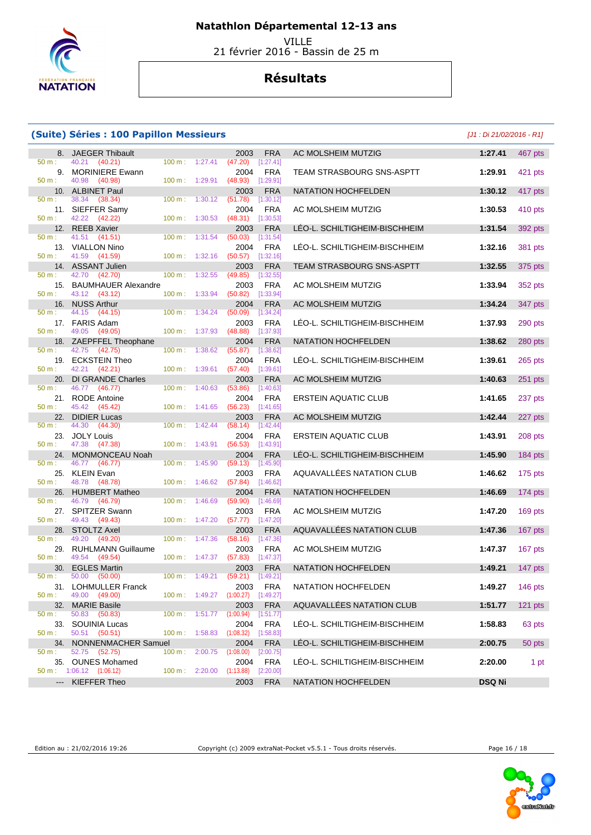

VILLE

21 février 2016 - Bassin de 25 m

## **Résultats**

#### **(Suite) Séries : 100 Papillon Messieurs** [J1 : Di 21/02/2016 - R1]

|                          | 8. JAEGER Thibault                                       |                   |                           | 2003                               | <b>FRA</b>              | AC MOLSHEIM MUTZIG               | 1:27.41         | 467 pts   |
|--------------------------|----------------------------------------------------------|-------------------|---------------------------|------------------------------------|-------------------------|----------------------------------|-----------------|-----------|
| 50 m:                    | 40.21 (40.21)                                            |                   | $100 \text{ m}: 1:27.41$  | (47.20)                            | [1:27.41]               |                                  |                 |           |
| 50 m:                    | 9. MORINIERE Ewann<br>40.98 (40.98)                      |                   | $100 \text{ m}: 1:29.91$  | 2004<br>$(48.93)$ [1:29.91]        | <b>FRA</b>              | TEAM STRASBOURG SNS-ASPTT        | 1:29.91         | 421 pts   |
|                          | 10. ALBINET Paul                                         |                   |                           | 2003                               | <b>FRA</b>              | <b>NATATION HOCHFELDEN</b>       | 1:30.12         | 417 pts   |
| 50 m:                    | 38.34 (38.34)                                            |                   | 100 m: 1:30.12            | (51.78)                            | [1:30.12]               |                                  |                 |           |
|                          | 11. SIEFFER Samy                                         |                   |                           | 2004                               | <b>FRA</b>              | AC MOLSHEIM MUTZIG               | 1:30.53         | 410 pts   |
| 50 m:                    | 42.22 (42.22)<br>12. REEB Xavier                         |                   | $100 \text{ m}: 1:30.53$  | $(48.31)$ [1:30.53]<br>2003        | <b>FRA</b>              | LÉO-L. SCHILTIGHEIM-BISCHHEIM    | 1:31.54         | 392 pts   |
| 50 m:                    | 41.51 (41.51)                                            | $100 \text{ m}$ : | 1:31.54                   | (50.03)                            | $[1:31.54]$             |                                  |                 |           |
|                          | 13. VIALLON Nino                                         |                   |                           | 2004                               | FRA                     | LEO-L. SCHILTIGHEIM-BISCHHEIM    | 1:32.16         | 381 pts   |
| $50 m$ :                 | 41.59 (41.59)                                            |                   | 100 m: 1:32.16            | $(50.57)$ [1:32.16]                |                         |                                  |                 |           |
| $50 \text{ m}$ :         | 14. ASSANT Julien<br>42.70 (42.70)                       |                   | 100 m: 1:32.55            | 2003<br>(49.85)                    | <b>FRA</b><br>[1:32.55] | <b>TEAM STRASBOURG SNS-ASPTT</b> | 1:32.55         | 375 pts   |
|                          | 15. BAUMHAUER Alexandre                                  |                   |                           | 2003                               | <b>FRA</b>              | AC MOLSHEIM MUTZIG               | 1:33.94         | 352 pts   |
| $50 m$ :                 | 43.12 (43.12)                                            |                   | 100 m: 1:33.94            | $(50.82)$ [1:33.94]                |                         |                                  |                 |           |
|                          | 16. NUSS Arthur                                          |                   |                           | 2004                               | <b>FRA</b>              | AC MOLSHEIM MUTZIG               | 1:34.24         | 347 pts   |
| 50 m:                    | 44.15 (44.15)                                            |                   | 100 m: 1:34.24            | (50.09)                            | [1:34.24]               |                                  |                 |           |
| 50 m:                    | 17. FARIS Adam<br>49.05 (49.05)                          |                   | 100 m: 1:37.93            | 2003<br>(48.88)                    | <b>FRA</b><br>[1:37.93] | LÉO-L. SCHILTIGHEIM-BISCHHEIM    | 1:37.93         | 290 pts   |
|                          | 18. ZAEPFFEL Theophane                                   |                   |                           | 2004                               | <b>FRA</b>              | <b>NATATION HOCHFELDEN</b>       | 1:38.62         | 280 pts   |
| 50 m:                    | 42.75 (42.75)                                            | $100 \text{ m}$ : | 1:38.62                   | $(55.87)$ [1:38.62]                |                         |                                  |                 |           |
|                          | 19. ECKSTEIN Theo                                        |                   |                           | 2004                               | FRA                     | LEO-L. SCHILTIGHEIM-BISCHHEIM    | 1:39.61         | 265 pts   |
| 50 m:                    | 42.21 (42.21)<br>20. DI GRANDE Charles                   |                   | 100 m: 1:39.61            | (57.40)<br>2003                    | [1:39.61]<br><b>FRA</b> | AC MOLSHEIM MUTZIG               | 1:40.63         | 251 pts   |
| 50 m:                    | 46.77 (46.77)                                            | $100 m$ :         | 1:40.63                   | (53.86)                            | [1:40.63]               |                                  |                 |           |
|                          | 21. RODE Antoine                                         |                   |                           | 2004                               | <b>FRA</b>              | <b>ERSTEIN AQUATIC CLUB</b>      | 1:41.65         | 237 pts   |
| 50 m:                    | 45.42 (45.42)                                            |                   | $100 \text{ m}$ : 1:41.65 | $(56.23)$ [1:41.65]                |                         |                                  |                 |           |
| 50 m:                    | 22. DIDIER Lucas<br>44.30 (44.30)                        |                   | 100 m: 1:42.44            | 2003<br>(58.14)                    | <b>FRA</b>              | AC MOLSHEIM MUTZIG               | 1:42.44         | 227 pts   |
|                          | 23. JOLY Louis                                           |                   |                           | 2004                               | [1:42.44]<br><b>FRA</b> | <b>ERSTEIN AQUATIC CLUB</b>      | 1:43.91         | 208 pts   |
| 50 m:                    | 47.38 (47.38)                                            |                   | $100 m$ : 1:43.91         | $(56.53)$ [1:43.91]                |                         |                                  |                 |           |
|                          | 24. MONMONCEAU Noah                                      |                   |                           | 2004                               | <b>FRA</b>              | LÉO-L. SCHILTIGHEIM-BISCHHEIM    | 1:45.90         | 184 pts   |
| 50 m:                    | 46.77 (46.77)                                            |                   | 100 m: 1:45.90            | (59.13)                            | [1:45.90]               |                                  |                 |           |
| 50 m:                    | 25. KLEIN Evan<br>48.78 (48.78)                          |                   | $100 \text{ m}: 1:46.62$  | 2003<br>$(57.84)$ [1:46.62]        | <b>FRA</b>              | AQUAVALLÉES NATATION CLUB        | 1:46.62         | 175 pts   |
|                          | 26. HUMBERT Matheo                                       |                   |                           | 2004                               | <b>FRA</b>              | NATATION HOCHFELDEN              | 1:46.69         | 174 pts   |
| 50 m:                    | 46.79 (46.79)                                            | $100 \text{ m}$ : | 1:46.69                   | (59.90)                            | [1:46.69]               |                                  |                 |           |
|                          | 27. SPITZER Swann                                        |                   |                           | 2003                               | <b>FRA</b>              | AC MOLSHEIM MUTZIG               | 1:47.20         | 169 pts   |
| 50 m:                    | 49.43 (49.43)<br>28. STOLTZ Axel                         |                   | 100 m: 1:47.20            | $(57.77)$ [1:47.20]<br>2003        | <b>FRA</b>              | AQUAVALLÉES NATATION CLUB        | 1:47.36         | 167 pts   |
| 50 m:                    | 49.20 (49.20)                                            |                   | 100 m: 1:47.36            | (58.16)                            | [1:47.36]               |                                  |                 |           |
|                          | 29. RUHLMANN Guillaume                                   |                   |                           | 2003                               | <b>FRA</b>              | AC MOLSHEIM MUTZIG               | 1:47.37         | 167 pts   |
| 50 m:                    | 49.54 (49.54)                                            |                   | 100 m: 1:47.37            | $(57.83)$ [1:47.37]                |                         |                                  |                 |           |
| $50 m$ :                 | 30. EGLES Martin<br>50.00 (50.00)                        |                   | $100 m$ : 1:49.21         | 2003<br>$(59.21)$ [1:49.21]        | <b>FRA</b>              | <b>NATATION HOCHFELDEN</b>       | 1:49.21         | $147$ pts |
|                          | 31. LOHMULLER Franck                                     |                   |                           |                                    | 2003 FRA                | NATATION HOCHFELDEN              | 1:49.27 146 pts |           |
| 50 m:                    | 49.00 (49.00)                                            |                   |                           | 100 m: 1:49.27 (1:00.27) [1:49.27] |                         |                                  |                 |           |
| 32.                      | <b>MARIE Basile</b>                                      |                   |                           | 2003                               | <b>FRA</b>              | AQUAVALLÉES NATATION CLUB        | 1:51.77         | $121$ pts |
| 50 m:                    | 50.83 (50.83)                                            |                   | 100 m: 1:51.77            | (1:00.94)<br>2004                  | [1:51.77]<br><b>FRA</b> | LÉO-L. SCHILTIGHEIM-BISCHHEIM    | 1:58.83         |           |
| $50 m$ :                 | 33. SOUINIA Lucas<br>50.51 (50.51)                       |                   | $100 \text{ m}: 1:58.83$  | (1:08.32)                          | [1:58.83]               |                                  |                 | 63 pts    |
| 34.                      | NONNENMACHER Samuel                                      |                   |                           | 2004                               | <b>FRA</b>              | LEO-L. SCHILTIGHEIM-BISCHHEIM    | 2:00.75         | 50 pts    |
| 50 m:                    | 52.75 (52.75)                                            |                   | 100 m: 2:00.75            | (1:08.00)                          | [2:00.75]               |                                  |                 |           |
|                          | 35. OUNES Mohamed<br>$50 \text{ m}: 1:06.12$ $(1:06.12)$ |                   | $100 \text{ m}: 2:20.00$  | 2004                               | <b>FRA</b>              | LÉO-L. SCHILTIGHEIM-BISCHHEIM    | 2:20.00         | 1 pt      |
| $\hspace{0.05cm} \ldots$ | KIEFFER Theo                                             |                   |                           | (1:13.88)<br>2003                  | [2:20.00]<br><b>FRA</b> | NATATION HOCHFELDEN              | <b>DSQ Ni</b>   |           |
|                          |                                                          |                   |                           |                                    |                         |                                  |                 |           |

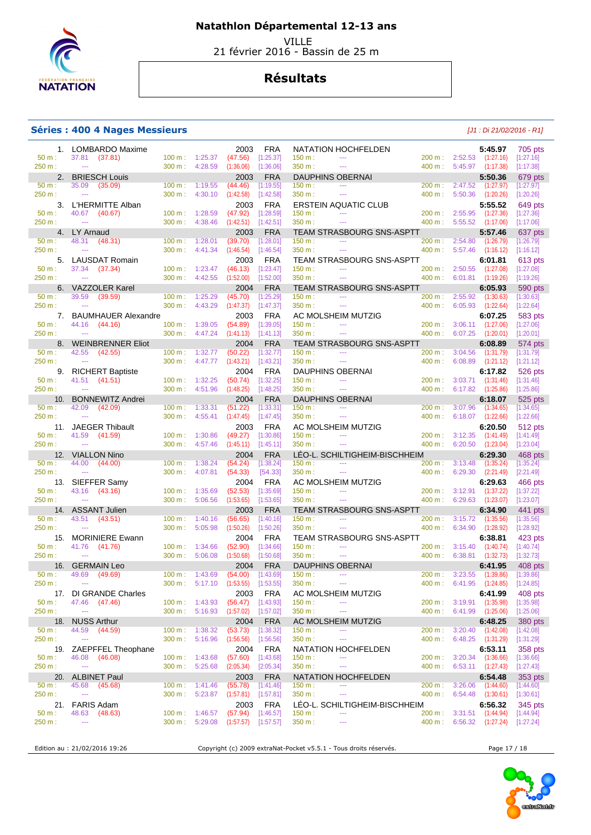

 VILLE 21 février 2016 - Bassin de 25 m

## **Résultats**

#### **Séries : 400 4 Nages Messieurs** [J1 : Di 21/02/2016 - R1]

|                    | 1. LOMBARDO Maxime                          |                                        |                    | 2003                 | <b>FRA</b>              | NATATION HOCHFELDEN                                        |                   |                                                       | 5:45.97                          | 705 pts                |
|--------------------|---------------------------------------------|----------------------------------------|--------------------|----------------------|-------------------------|------------------------------------------------------------|-------------------|-------------------------------------------------------|----------------------------------|------------------------|
| 50 m:              | 37.81 (37.81)                               | $100 m$ : 1:25.37                      |                    | (47.56)              | [1:25.37]               | 150 m:<br>$\sim$ $\sim$                                    |                   | 200 m: 2:52.53 (1:27.16)                              |                                  | [1:27.16]              |
| 250 m:             | $\sim$                                      | 300 m: 4:28.59                         |                    | (1:36.06)            | [1:36.06]               | 350 m:<br>$\sim$                                           |                   | 400 m: 5:45.97 (1:17.38)                              |                                  | [1:17.38]              |
| 50 m:              | 2. BRIESCH Louis<br>35.09<br>(35.09)        | $100 \text{ m}$ :                      | 1:19.55            | 2003<br>(44.46)      | <b>FRA</b><br>[1:19.55] | <b>DAUPHINS OBERNAI</b><br>150 m:<br>$\sim$ $\sim$         | 200 m:            |                                                       | 5:50.36<br>$2:47.52$ $(1:27.97)$ | 679 pts<br>[1:27.97]   |
| 250 m:             | $\sim$                                      | 300 m:                                 | 4:30.10            | (1:42.58)            | [1:42.58]               | 350 m :<br>$\sim$ $\sim$                                   |                   | $400 \text{ m}$ : 5:50.36                             | (1:20.26)                        | [1:20.26]              |
|                    | 3. L'HERMITTE Alban                         |                                        |                    | 2003                 | <b>FRA</b>              | <b>ERSTEIN AQUATIC CLUB</b>                                |                   |                                                       | 5:55.52                          | 649 pts                |
| 50 m:              | 40.67 (40.67)                               | $100 m$ :                              | 1:28.59            | (47.92)              | [1:28.59]               | 150 m:<br>$\sim$ $\sim$                                    | 200 m:            | 2:55.95 (1:27.36)                                     |                                  | [1:27.36]              |
| 250 m:             | $\sim$                                      | 300 m:                                 | 4:38.46            | (1:42.51)            | [1:42.51]               | 350 m :<br>$\sim$                                          | 400 m:            | 5:55.52 (1:17.06)                                     |                                  | [1:17.06]              |
|                    | 4. LY Arnaud                                |                                        |                    | 2003                 | <b>FRA</b>              | TEAM STRASBOURG SNS-ASPTT                                  |                   |                                                       | 5:57.46                          | 637 pts                |
| 50 m:<br>250 m:    | 48.31 (48.31)<br>$\sim$                     | $100 \text{ m}$ :<br>300 m:            | 1:28.01<br>4:41.34 | (39.70)<br>(1:46.54) | [1:28.01]<br>[1:46.54]  | 150 m:<br>$\sim$ $\sim$<br>350 m :<br>$\sim$ $\sim$ $\sim$ | 200 m:<br>400 m:  | $5:57.46$ $(1:16.12)$                                 | 2:54.80 (1:26.79)                | [1:26.79]<br>[1:16.12] |
|                    | 5. LAUSDAT Romain                           |                                        |                    | 2003                 | <b>FRA</b>              | <b>TEAM STRASBOURG SNS-ASPTT</b>                           |                   |                                                       | 6:01.81                          | 613 pts                |
| 50 m:              | 37.34 (37.34)                               | $100 \text{ m}$ :                      | 1:23.47            | (46.13)              | [1:23.47]               | 150 m:<br>$\sim$                                           | 200 m:            | 2:50.55                                               | (1:27.08)                        | [1:27.08]              |
| 250 m:             | $\sim$                                      | 300 m: 4:42.55                         |                    | (1:52.00)            | [1:52.00]               | 350 m:<br>$\sim$ $\sim$ $\sim$                             | 400 m:            | 6:01.81 (1:19.26)                                     |                                  | [1:19.26]              |
|                    | 6. VAZZOLER Karel                           |                                        |                    | 2004                 | <b>FRA</b>              | <b>TEAM STRASBOURG SNS-ASPTT</b>                           |                   |                                                       | 6:05.93                          | 590 pts                |
| 50 m:              | 39.59<br>(39.59)                            | $100 \text{ m}$ :                      | 1:25.29            | (45.70)              | [1:25.29]               | 150 m:<br>$\sim$ $\sim$ $\sim$                             |                   | 200 m: 2:55.92 (1:30.63)                              |                                  | [1:30.63]              |
| 250 m:             | $\sim$                                      | 300 m:                                 | 4:43.29            | (1:47.37)            | [1:47.37]               | 350 m :<br>$\sim$ $\sim$ $\sim$                            | 400 m:            |                                                       | $6:05.93$ $(1:22.64)$            | [1:22.64]              |
|                    | 7. BAUMHAUER Alexandre                      |                                        |                    | 2003                 | <b>FRA</b>              | AC MOLSHEIM MUTZIG<br>$\sim$                               |                   |                                                       | 6:07.25                          | 583 pts                |
| 50 m:<br>250 m:    | 44.16<br>(44.16)<br>$\sim$                  | $100 \text{ m}$ :<br>300 m: 4:47.24    | 1:39.05            | (54.89)<br>(1:41.13) | [1:39.05]<br>[1:41.13]  | 150 m:<br>350 m :<br>$\sim$                                | 200 m:            | 400 m: 6:07.25 (1:20.01)                              | $3:06.11$ $(1:27.06)$            | [1:27.06]<br>[1:20.01] |
|                    | 8. WEINBRENNER Eliot                        |                                        |                    | 2004                 | <b>FRA</b>              | <b>TEAM STRASBOURG SNS-ASPTT</b>                           |                   |                                                       | 6:08.89                          | 574 pts                |
| 50 m:              | 42.55<br>(42.55)                            | $100 \text{ m}$ :                      | 1:32.77            | (50.22)              | [1:32.77]               | 150 m:<br>$\sim$ $\sim$                                    | 200 m:            | 3:04.56                                               | (1:31.79)                        | [1:31.79]              |
| 250 m:             | $\sim$                                      | $300 \text{ m}$ :                      | 4:47.77            | (1:43.21)            | [1:43.21]               | 350 m :<br>$\sim$ $\sim$                                   | 400 m:            | 6:08.89                                               | (1:21.12)                        | [1:21.12]              |
|                    | 9. RICHERT Baptiste                         |                                        |                    | 2004                 | <b>FRA</b>              | <b>DAUPHINS OBERNAI</b>                                    |                   |                                                       | 6:17.82                          | 526 pts                |
| $50 m$ :           | 41.51 (41.51)                               | $100 m$ :                              | 1:32.25            | (50.74)              | [1:32.25]               | 150 m:<br>$\sim$ $\sim$                                    | 200 m:            |                                                       | $3:03.71$ $(1:31.46)$            | [1:31.46]              |
| 250 m:             | $\sim$                                      | $300 m$ :                              | 4:51.96            | (1:48.25)            | [1:48.25]               | 350 m :<br>$\sim$ $\sim$                                   | 400 m:            | 6:17.82 (1:25.86)                                     |                                  | [1:25.86]              |
| 10.<br>50 m:       | <b>BONNEWITZ Andrei</b><br>42.09<br>(42.09) | $100 m$ :                              | 1:33.31            | 2004<br>(51.22)      | <b>FRA</b><br>[1:33.31] | <b>DAUPHINS OBERNAI</b><br>150 m:<br>$\sim$ $\sim$         | 200 m:            |                                                       | 6:18.07<br>$3:07.96$ $(1:34.65)$ | 525 pts<br>[1:34.65]   |
| 250 m:             | $\sim$                                      | 300 m:                                 | 4:55.41            | (1:47.45)            | [1:47.45]               | 350 m:<br>$\sim$                                           | 400 m:            | 6:18.07 (1:22.66)                                     |                                  | [1:22.66]              |
|                    | 11. JAEGER Thibault                         |                                        |                    | 2003                 | <b>FRA</b>              | AC MOLSHEIM MUTZIG                                         |                   |                                                       | 6:20.50                          | 512 pts                |
| 50 m:              | 41.59<br>(41.59)                            | $100 \text{ m}$ :                      | 1:30.86            | (49.27)              | [1:30.86]               | 150 m:<br>$\sim$                                           | 200 m:            | 3:12.35                                               | (1:41.49)                        | [1:41.49]              |
| 250 m:             | $\sim$                                      | 300 m: 4:57.46                         |                    | (1:45.11)            | [1:45.11]               | 350 m :<br>$\sim$ $\sim$                                   | 400 m:            |                                                       | $6:20.50$ $(1:23.04)$            | [1:23.04]              |
|                    | 12. VIALLON Nino                            |                                        |                    | 2004                 | <b>FRA</b>              | LÉO-L. SCHILTIGHEIM-BISCHHEIM                              |                   |                                                       | 6:29.30                          | 468 pts                |
| $50 m$ :           | 44.00 (44.00)                               | $100 \text{ m}$ :                      | 1:38.24            | (54.24)              | [1:38.24]               | 150 m:<br>$\sim$ $\sim$ $\sim$                             | 200 m:            | $3:13.48$ $(1:35.24)$                                 |                                  | [1:35.24]              |
| 250 m:             | $\sim$                                      | 300 m:                                 | 4:07.81            | (54.33)              | [54.33]                 | 350 m :<br>$\sim$ $\sim$ $\sim$                            | 400 m:            | 6:29.30 (2:21.49)                                     |                                  | [2:21.49]              |
| 50 m:              | 13. SIEFFER Samy<br>43.16 (43.16)           | $100 \text{ m}$ :                      | 1:35.69            | 2004<br>(52.53)      | <b>FRA</b><br>[1:35.69] | AC MOLSHEIM MUTZIG<br>150 m:<br>$\sim$                     | 200 m:            | 3:12.91 (1:37.22)                                     | 6:29.63                          | 466 pts<br>[1:37.22]   |
| 250 m:             | $\sim$                                      | 300 m:                                 | 5:06.56            | (1:53.65)            | [1:53.65]               | 350 m:<br>$\sim$                                           |                   | 400 m: 6:29.63 (1:23.07)                              |                                  | [1:23.07]              |
|                    | 14. ASSANT Julien                           |                                        |                    | 2003                 | <b>FRA</b>              | TEAM STRASBOURG SNS-ASPTT                                  |                   |                                                       | 6:34.90                          | 441 pts                |
| 50 m:              | 43.51<br>(43.51)                            | $100 \text{ m}$ :                      | 1:40.16            | (56.65)              | [1:40.16]               | 150 m:<br>$\sim$                                           | 200 m:            |                                                       | 3:15.72 (1:35.56)                | [1:35.56]              |
| 250 m:             | $\sim$                                      | $300 \text{ m}$ :                      | 5:05.98            | (1:50.26)            | [1:50.26]               | 350 m :<br>$\sim$ $\sim$                                   | 400 m:            | 6:34.90                                               | (1:28.92)                        | [1:28.92]              |
|                    | 15. MORINIERE Ewann                         |                                        |                    | 2004                 | <b>FRA</b>              | TEAM STRASBOURG SNS-ASPTT                                  |                   |                                                       | 6:38.81                          | 423 pts                |
| $50 m$ :<br>250 m: | 41.76 (41.76)<br>$\sim$                     | $100 m$ :<br>300 m:                    | 1:34.66<br>5:06.08 | (52.90)<br>(1:50.68) | [1:34.66]<br>[1:50.68]  | 150 m:<br>$\sim$ $\sim$<br>350 m:<br>$\sim$                | 200 m:<br>400 m:  | 3:15.40<br>6:38.81 (1:32.73)                          | (1:40.74)                        | [1:40.74]<br>[1:32.73] |
|                    | 16. GERMAIN Leo                             |                                        |                    | 2004                 | <b>FRA</b>              | <b>DAUPHINS OBERNAI</b>                                    |                   |                                                       | 6:41.95                          | 408 pts                |
| 50 m:              | 49.69<br>(49.69)                            | $100 \text{ m}$ : 1:43.69              |                    | (54.00)              | [1:43.69]               | 150 m:<br>$\sim$ $\sim$                                    | $200 \text{ m}$ : | 3:23.55                                               | (1:39.86)                        | [1:39.86]              |
| 250 m:             | $\sim$                                      | 300 m: 5:17.10                         |                    | (1:53.55)            | [1:53.55]               | 350 m :<br>$\sim$                                          |                   | 400 m: 6:41.95                                        | (1:24.85)                        | [1:24.85]              |
|                    | 17. DI GRANDE Charles                       |                                        |                    | 2003                 | FRA                     | AC MOLSHEIM MUTZIG                                         |                   |                                                       | 6:41.99                          | 408 pts                |
| 50 m:              | 47.46 (47.46)                               | $100 \text{ m}: 1:43.93$               |                    | (56.47)              | [1:43.93]               | 150 m:<br>$\scriptstyle\cdots$                             |                   | 200 m: 3:19.91 (1:35.98)                              |                                  | [1:35.98]              |
| 250 m:             | $\sim$                                      | $300 \text{ m}: 5:16.93$               |                    | (1:57.02)            | [1:57.02]               | 350 m:<br>$\scriptstyle\cdots$                             |                   | 400 m : 6:41.99 (1:25.06)                             |                                  | [1:25.06]              |
| 18.<br>50 m:       |                                             |                                        |                    | 2004                 | <b>FRA</b>              | AC MOLSHEIM MUTZIG                                         |                   |                                                       | 6:48.25                          | 380 pts<br>[1:42.08]   |
| 250 m:             | <b>NUSS Arthur</b>                          |                                        |                    |                      |                         |                                                            |                   |                                                       |                                  |                        |
|                    | 44.59<br>(44.59)<br>$\sim$                  | 100 m: 1:38.32                         |                    | (53.73)              | [1:38.32]               | 150 m:<br>---                                              |                   | 200 m: 3:20.40 (1:42.08)                              |                                  |                        |
|                    |                                             | 300 m:                                 | 5:16.96            | (1:56.56)            | [1:56.56]               | 350 m:<br>$\scriptstyle\cdots$                             | 400 m:            | 6:48.25 (1:31.29)                                     |                                  | [1:31.29]              |
| 50 m:              | 19. ZAEPFFEL Theophane<br>46.08 (46.08)     | 100 m:                                 | 1:43.68            | 2004<br>(57.60)      | <b>FRA</b><br>[1:43.68] | NATATION HOCHFELDEN<br>150 m:<br>$\scriptstyle\cdots$      |                   | 200 m: 3:20.34 (1:36.66)                              | 6:53.11                          | 358 pts<br>[1:36.66]   |
| 250 m:             | $\sim$                                      | $300 \text{ m}$ :                      | 5:25.68            | (2:05.34)            | [2:05.34]               | 350 m:<br>$\scriptstyle\cdots$                             |                   | 400 m : 6:53.11 (1:27.43)                             |                                  | [1:27.43]              |
| 20.                | <b>ALBINET Paul</b>                         |                                        |                    | 2003                 | <b>FRA</b>              | NATATION HOCHFELDEN                                        |                   |                                                       | 6:54.48                          | 353 pts                |
| 50 m:              | 45.68 (45.68)                               | $100 m$ :                              | 1:41.46            | (55.78)              | [1:41.46]               | 150 m:<br>$\overline{\phantom{a}}$                         | 200 m:            | 3:26.06                                               | (1:44.60)                        | [1:44.60]              |
| 250 m:             | $\sim$                                      | 300 m:                                 | 5:23.87            | (1:57.81)            | [1:57.81]               | 350 m:<br>$\scriptstyle\cdots$                             | 400 m:            | 6:54.48 (1:30.61)                                     |                                  | [1:30.61]              |
|                    | 21. FARIS Adam                              |                                        |                    | 2003                 | <b>FRA</b>              | LÉO-L. SCHILTIGHEIM-BISCHHEIM                              |                   |                                                       | 6:56.32                          | 345 pts                |
| 50 m:<br>250 m:    | 48.63<br>(48.63)<br>$\sim$                  | $100 \text{ m}$ :<br>$300 \text{ m}$ : | 1:46.57<br>5:29.08 | (57.94)<br>(1:57.57) | [1:46.57]<br>[1:57.57]  | 150 m:<br>---<br>350 m:<br>---                             |                   | 200 m: 3:31.51 (1:44.94)<br>400 m : 6:56.32 (1:27.24) |                                  | [1:44.94]<br>[1:27.24] |

Edition au : 21/02/2016 19:26 Copyright (c) 2009 extraNat-Pocket v5.5.1 - Tous droits réservés. Page 17 / 18